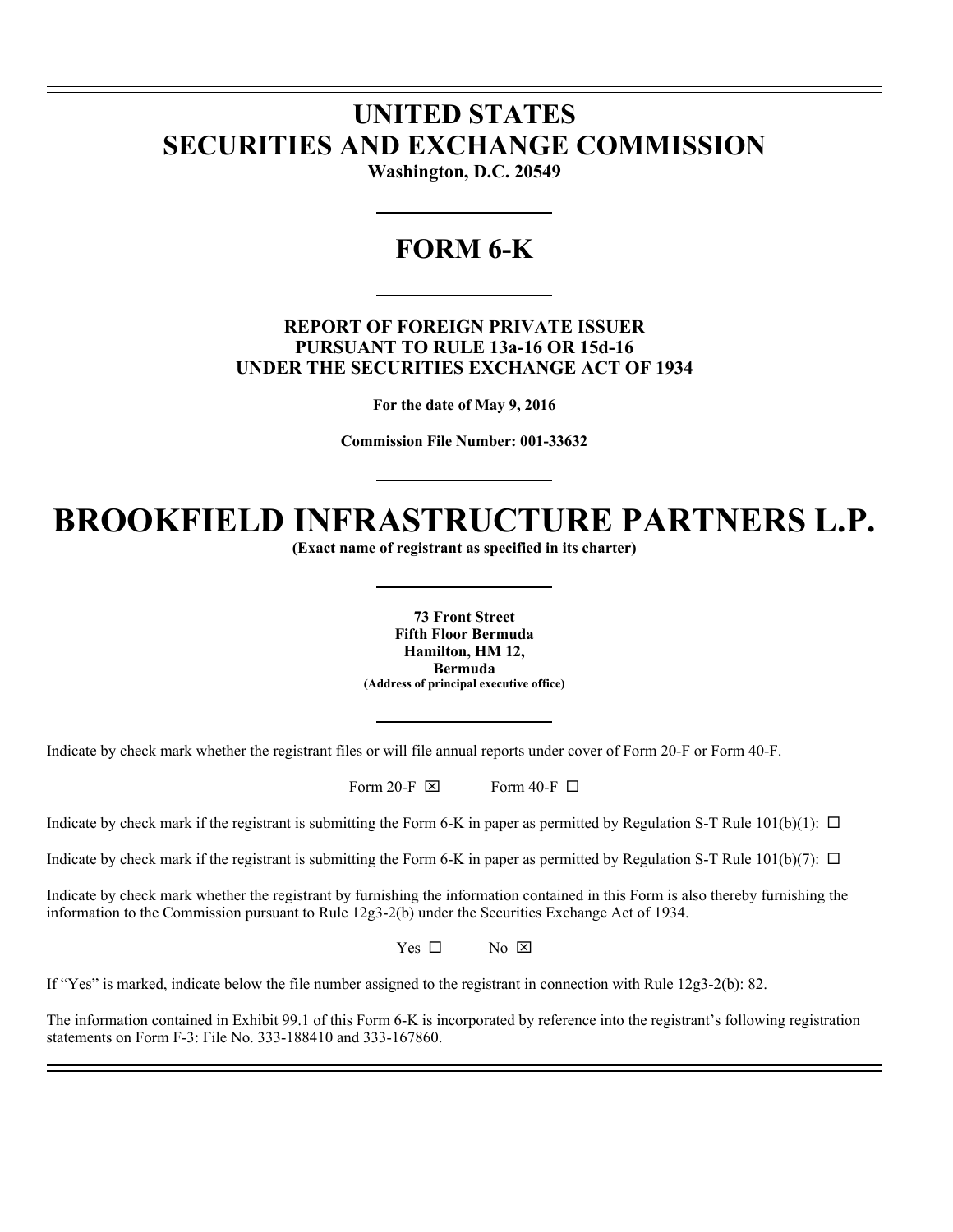# **UNITED STATES SECURITIES AND EXCHANGE COMMISSION**

l l

 $\overline{a}$ 

**Washington, D.C. 20549** 

## **FORM 6-K**

### **REPORT OF FOREIGN PRIVATE ISSUER PURSUANT TO RULE 13a-16 OR 15d-16 UNDER THE SECURITIES EXCHANGE ACT OF 1934**

**For the date of May 9, 2016** 

**Commission File Number: 001-33632** 

# **BROOKFIELD INFRASTRUCTURE PARTNERS L.P.**

**(Exact name of registrant as specified in its charter)** 

**73 Front Street Fifth Floor Bermuda Hamilton, HM 12, Bermuda (Address of principal executive office)** 

Indicate by check mark whether the registrant files or will file annual reports under cover of Form 20-F or Form 40-F.

Form 20-F  $\boxtimes$  Form 40-F  $\Box$ 

Indicate by check mark if the registrant is submitting the Form 6-K in paper as permitted by Regulation S-T Rule  $101(b)(1)$ :  $\Box$ 

Indicate by check mark if the registrant is submitting the Form 6-K in paper as permitted by Regulation S-T Rule  $101(b)(7)$ :  $\Box$ 

Indicate by check mark whether the registrant by furnishing the information contained in this Form is also thereby furnishing the information to the Commission pursuant to Rule 12g3-2(b) under the Securities Exchange Act of 1934.

 $Yes \Box$  No  $\boxtimes$ 

If "Yes" is marked, indicate below the file number assigned to the registrant in connection with Rule 12g3-2(b): 82.

The information contained in Exhibit 99.1 of this Form 6-K is incorporated by reference into the registrant's following registration statements on Form F-3: File No. 333-188410 and 333-167860.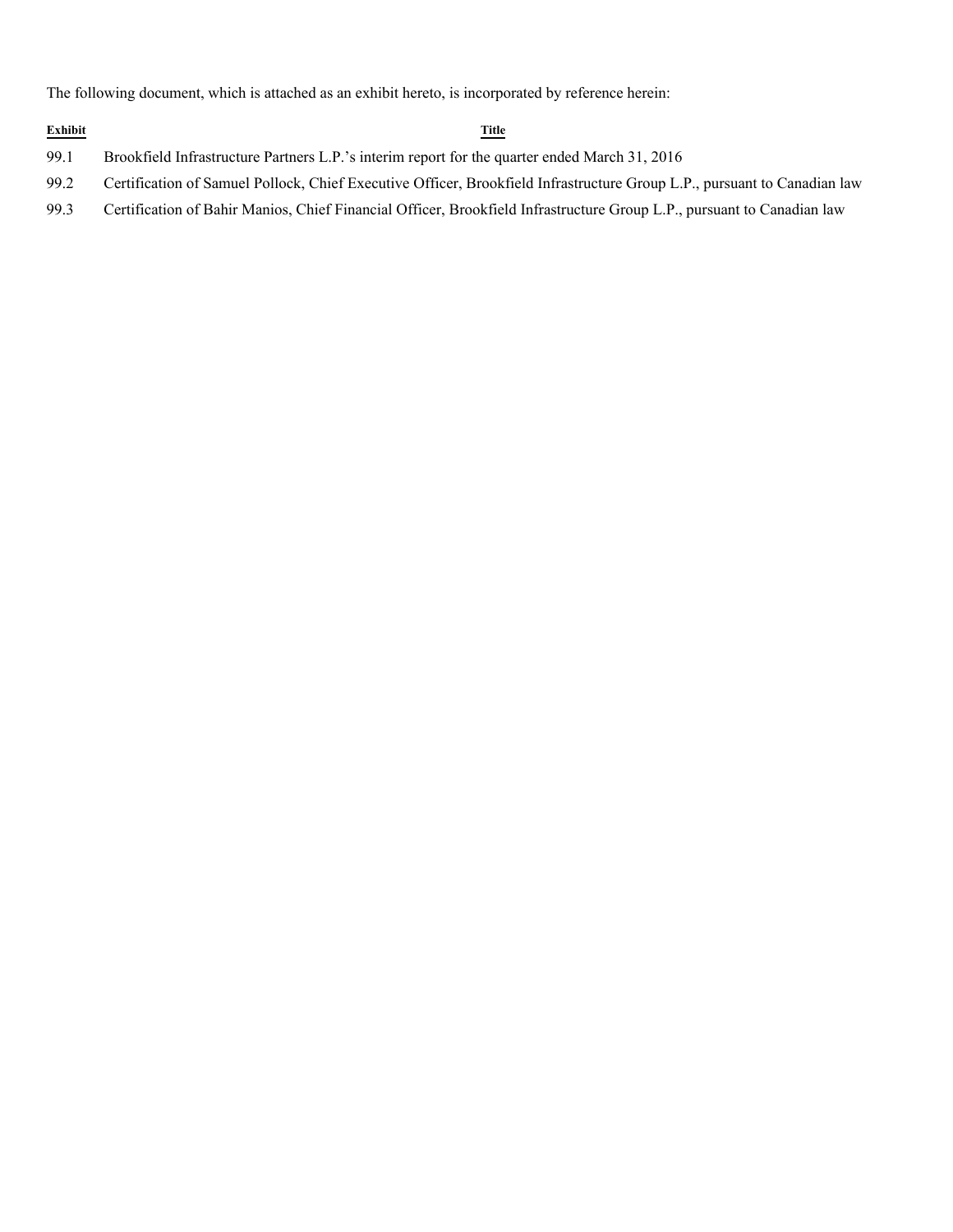The following document, which is attached as an exhibit hereto, is incorporated by reference herein:

### **Exhibit Title**

- 99.1 Brookfield Infrastructure Partners L.P.'s interim report for the quarter ended March 31, 2016
- 99.2 Certification of Samuel Pollock, Chief Executive Officer, Brookfield Infrastructure Group L.P., pursuant to Canadian law
- 99.3 Certification of Bahir Manios, Chief Financial Officer, Brookfield Infrastructure Group L.P., pursuant to Canadian law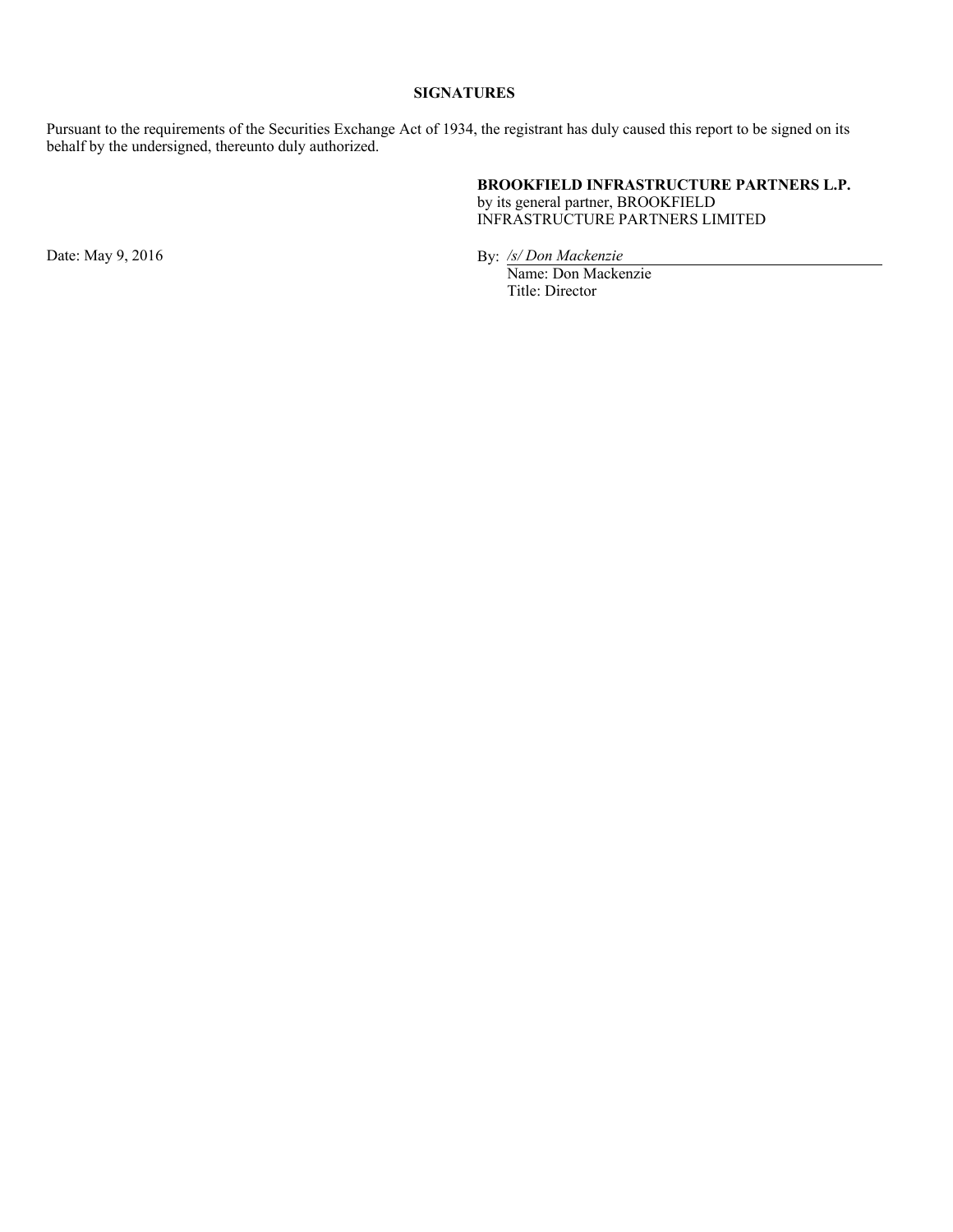### **SIGNATURES**

Pursuant to the requirements of the Securities Exchange Act of 1934, the registrant has duly caused this report to be signed on its behalf by the undersigned, thereunto duly authorized.

### **BROOKFIELD INFRASTRUCTURE PARTNERS L.P.**

by its general partner, BROOKFIELD INFRASTRUCTURE PARTNERS LIMITED

Date: May 9, 2016 **By:** */s/ Don Mackenzie* 

Name: Don Mackenzie Title: Director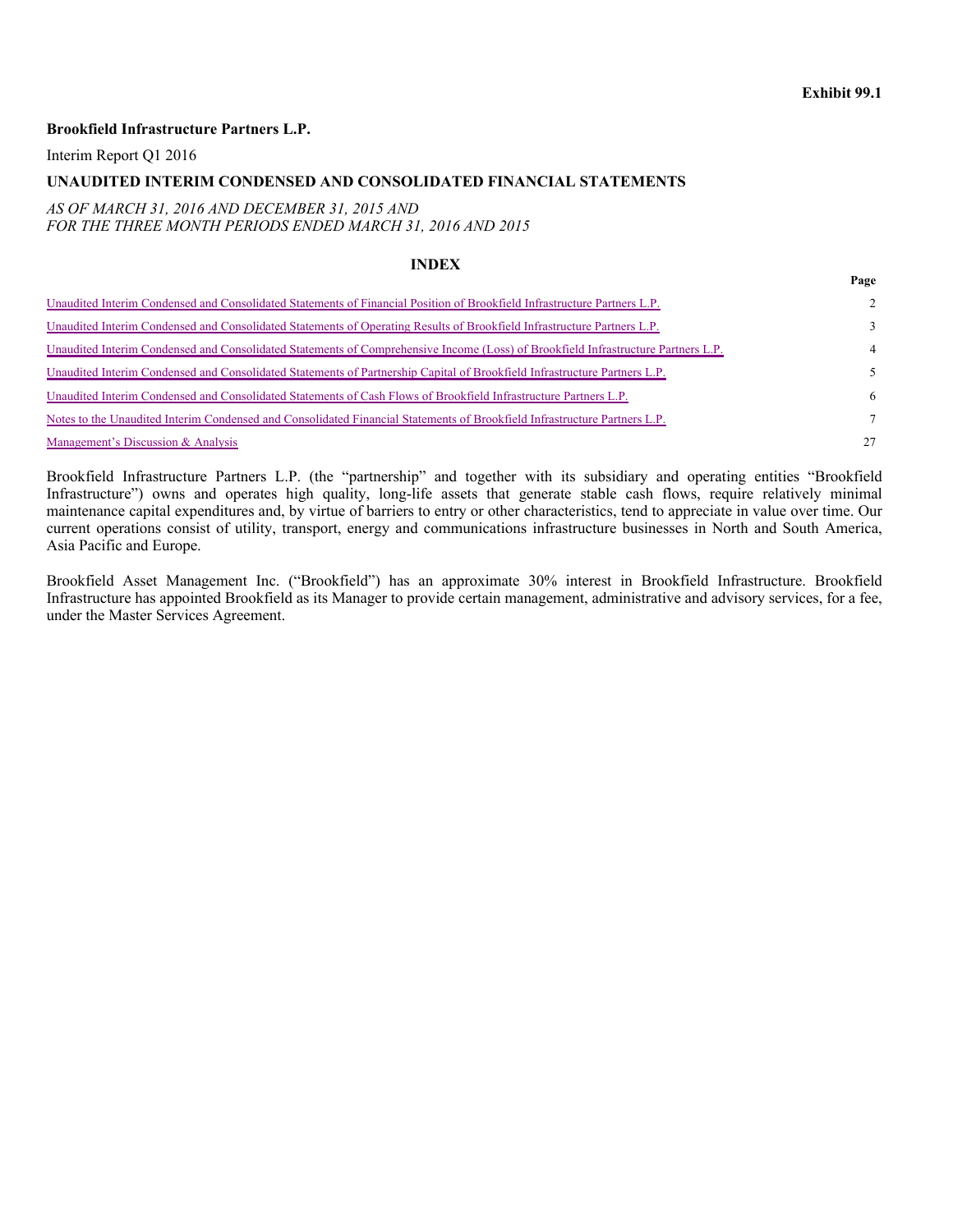### **Exhibit 99.1**

**Page**

### **Brookfield Infrastructure Partners L.P.**

Interim Report Q1 2016

### **UNAUDITED INTERIM CONDENSED AND CONSOLIDATED FINANCIAL STATEMENTS**

### *AS OF MARCH 31, 2016 AND DECEMBER 31, 2015 AND FOR THE THREE MONTH PERIODS ENDED MARCH 31, 2016 AND 2015*

### **INDEX**

| Unaudited Interim Condensed and Consolidated Statements of Financial Position of Brookfield Infrastructure Partners L.P.          | $2^{\circ}$   |
|-----------------------------------------------------------------------------------------------------------------------------------|---------------|
| Unaudited Interim Condensed and Consolidated Statements of Operating Results of Brookfield Infrastructure Partners L.P.           | $\mathcal{E}$ |
| Unaudited Interim Condensed and Consolidated Statements of Comprehensive Income (Loss) of Brookfield Infrastructure Partners L.P. | 4             |
| Unaudited Interim Condensed and Consolidated Statements of Partnership Capital of Brookfield Infrastructure Partners L.P.         | 5.            |
| Unaudited Interim Condensed and Consolidated Statements of Cash Flows of Brookfield Infrastructure Partners L.P.                  | 6             |
| Notes to the Unaudited Interim Condensed and Consolidated Financial Statements of Brookfield Infrastructure Partners L.P.         | $\tau$        |
| Management's Discussion & Analysis                                                                                                | 27            |

Brookfield Infrastructure Partners L.P. (the "partnership" and together with its subsidiary and operating entities "Brookfield Infrastructure") owns and operates high quality, long-life assets that generate stable cash flows, require relatively minimal maintenance capital expenditures and, by virtue of barriers to entry or other characteristics, tend to appreciate in value over time. Our current operations consist of utility, transport, energy and communications infrastructure businesses in North and South America, Asia Pacific and Europe.

Brookfield Asset Management Inc. ("Brookfield") has an approximate 30% interest in Brookfield Infrastructure. Brookfield Infrastructure has appointed Brookfield as its Manager to provide certain management, administrative and advisory services, for a fee, under the Master Services Agreement.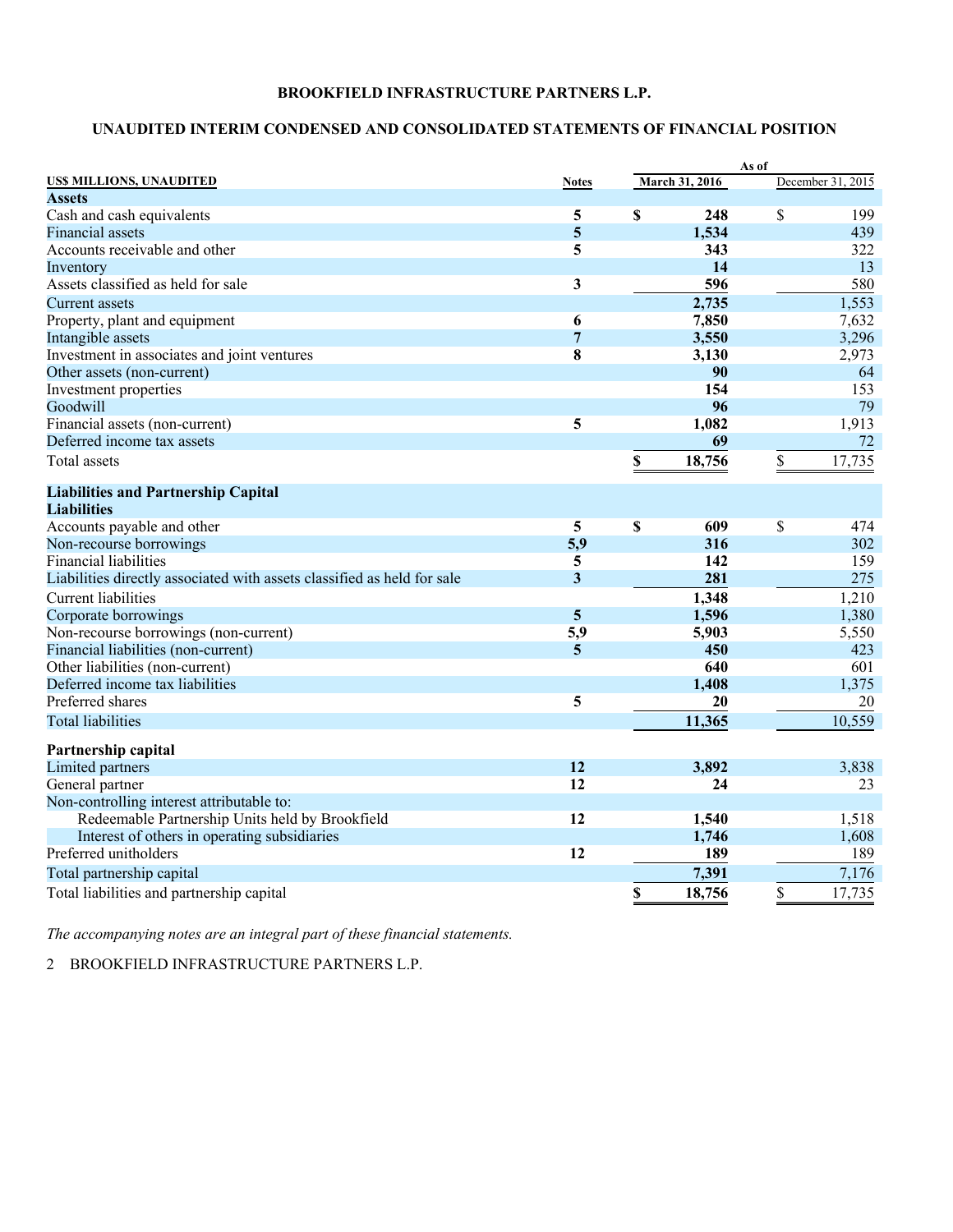### **UNAUDITED INTERIM CONDENSED AND CONSOLIDATED STATEMENTS OF FINANCIAL POSITION**

|                                                                         |                |                         |                | As of |                   |
|-------------------------------------------------------------------------|----------------|-------------------------|----------------|-------|-------------------|
| US\$ MILLIONS, UNAUDITED                                                | <b>Notes</b>   |                         | March 31, 2016 |       | December 31, 2015 |
| <b>Assets</b>                                                           |                |                         |                |       |                   |
| Cash and cash equivalents                                               | 5              | \$                      | 248            | \$    | 199               |
| <b>Financial assets</b>                                                 | 5              |                         | 1,534          |       | 439               |
| Accounts receivable and other                                           | 5              |                         | 343            |       | 322               |
| Inventory                                                               |                |                         | 14             |       | 13                |
| Assets classified as held for sale                                      | 3              |                         | 596            |       | 580               |
| Current assets                                                          |                |                         | 2,735          |       | 1,553             |
| Property, plant and equipment                                           | 6              |                         | 7,850          |       | 7,632             |
| Intangible assets                                                       | $\overline{7}$ |                         | 3,550          |       | 3,296             |
| Investment in associates and joint ventures                             | 8              |                         | 3,130          |       | 2,973             |
| Other assets (non-current)                                              |                |                         | 90             |       | 64                |
| Investment properties                                                   |                |                         | 154            |       | 153               |
| Goodwill                                                                |                |                         | 96             |       | 79                |
| Financial assets (non-current)                                          | 5              |                         | 1,082          |       | 1,913             |
| Deferred income tax assets                                              |                |                         | 69             |       | 72                |
| Total assets                                                            |                | \$                      | 18,756         | \$    | 17,735            |
| <b>Liabilities and Partnership Capital</b>                              |                |                         |                |       |                   |
| <b>Liabilities</b>                                                      |                |                         |                |       |                   |
| Accounts payable and other                                              | 5              | $\overline{\mathbf{S}}$ | 609            | \$    | 474               |
| Non-recourse borrowings                                                 | 5,9            |                         | 316            |       | 302               |
| <b>Financial liabilities</b>                                            | 5              |                         | 142            |       | 159               |
| Liabilities directly associated with assets classified as held for sale | 3              |                         | 281            |       | 275               |
| Current liabilities                                                     |                |                         | 1,348          |       | 1,210             |
| Corporate borrowings                                                    | 5              |                         | 1,596          |       | 1,380             |
| Non-recourse borrowings (non-current)                                   | 5,9            |                         | 5,903          |       | 5,550             |
| Financial liabilities (non-current)                                     | $\overline{5}$ |                         | 450            |       | 423               |
| Other liabilities (non-current)                                         |                |                         | 640            |       | 601               |
| Deferred income tax liabilities                                         |                |                         | 1,408          |       | 1,375             |
| Preferred shares                                                        | 5              |                         | 20             |       | 20                |
| <b>Total liabilities</b>                                                |                |                         | 11,365         |       | 10,559            |
| Partnership capital                                                     |                |                         |                |       |                   |
| Limited partners                                                        | 12             |                         | 3,892          |       | 3,838             |
| General partner                                                         | 12             |                         | 24             |       | 23                |
| Non-controlling interest attributable to:                               |                |                         |                |       |                   |
| Redeemable Partnership Units held by Brookfield                         | 12             |                         | 1,540          |       | 1,518             |
| Interest of others in operating subsidiaries                            |                |                         | 1,746          |       | 1,608             |
| Preferred unitholders                                                   | 12             |                         | 189            |       | 189               |
| Total partnership capital                                               |                |                         | 7,391          |       | 7,176             |
| Total liabilities and partnership capital                               |                | \$                      | 18,756         | \$    | 17,735            |

*The accompanying notes are an integral part of these financial statements.*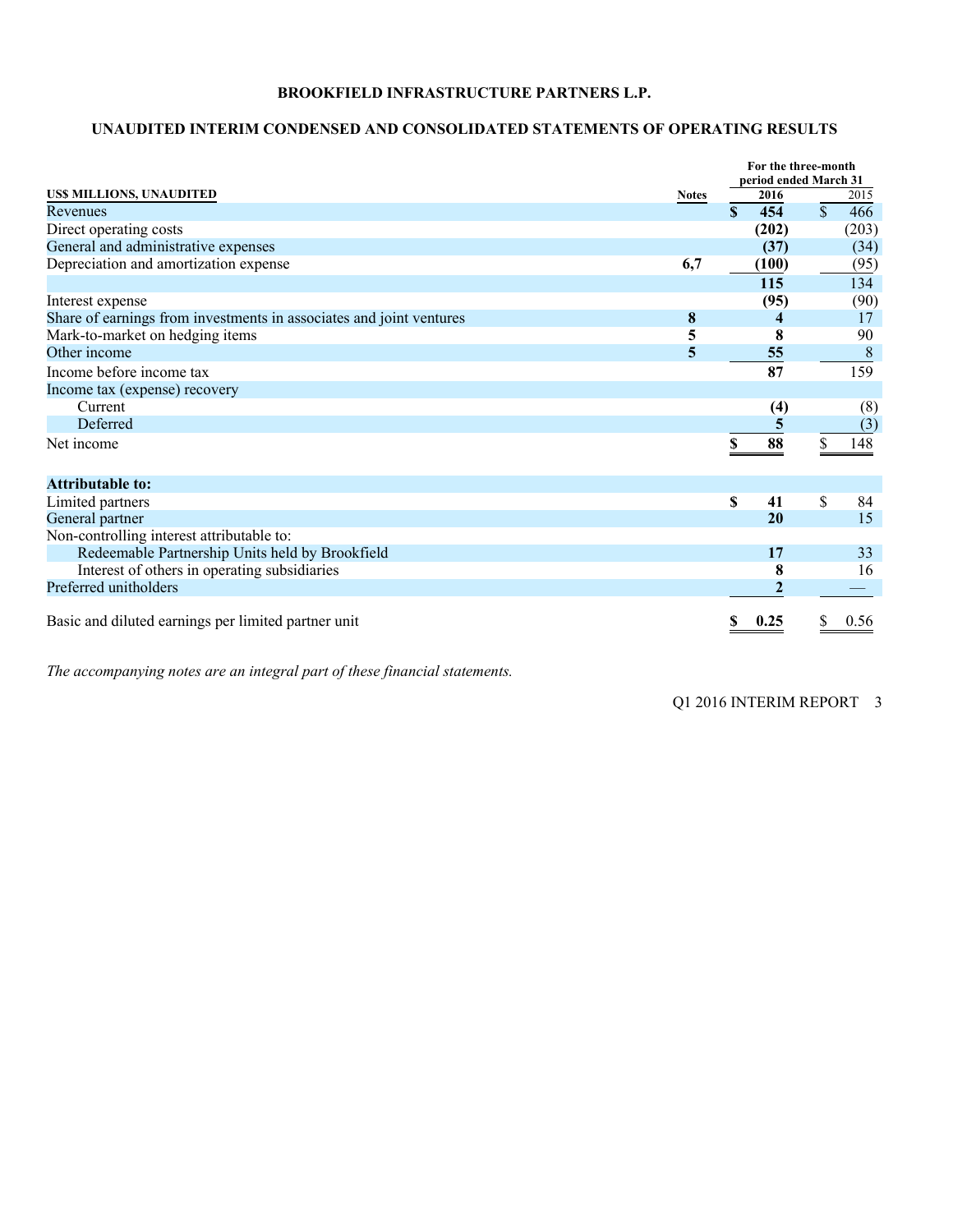### **UNAUDITED INTERIM CONDENSED AND CONSOLIDATED STATEMENTS OF OPERATING RESULTS**

|                                                                     |              |     | For the three-month   |               |       |
|---------------------------------------------------------------------|--------------|-----|-----------------------|---------------|-------|
|                                                                     |              |     | period ended March 31 |               |       |
| US\$ MILLIONS, UNAUDITED                                            | <b>Notes</b> |     | 2016                  |               | 2015  |
| Revenues                                                            |              | \$. | 454                   | $\mathcal{S}$ | 466   |
| Direct operating costs                                              |              |     | (202)                 |               | (203) |
| General and administrative expenses                                 |              |     | (37)                  |               | (34)  |
| Depreciation and amortization expense                               | 6,7          |     | (100)                 |               | (95)  |
|                                                                     |              |     | 115                   |               | 134   |
| Interest expense                                                    |              |     | (95)                  |               | (90)  |
| Share of earnings from investments in associates and joint ventures | 8            |     |                       |               | 17    |
| Mark-to-market on hedging items                                     | 5            |     | 8                     |               | 90    |
| Other income                                                        | 5            |     | 55                    |               | 8     |
| Income before income tax                                            |              |     | 87                    |               | 159   |
| Income tax (expense) recovery                                       |              |     |                       |               |       |
| Current                                                             |              |     | (4)                   |               | (8)   |
| Deferred                                                            |              |     |                       |               | (3)   |
| Net income                                                          |              |     | 88                    |               | 148   |
|                                                                     |              |     |                       |               |       |
| <b>Attributable to:</b>                                             |              |     |                       |               |       |
| Limited partners                                                    |              | \$  | 41                    | \$            | 84    |
| General partner                                                     |              |     | 20                    |               | 15    |
| Non-controlling interest attributable to:                           |              |     |                       |               |       |
| Redeemable Partnership Units held by Brookfield                     |              |     | 17                    |               | 33    |
| Interest of others in operating subsidiaries                        |              |     | 8                     |               | 16    |
| Preferred unitholders                                               |              |     |                       |               |       |
|                                                                     |              |     |                       |               |       |
| Basic and diluted earnings per limited partner unit                 |              |     | 0.25                  |               | 0.56  |

*The accompanying notes are an integral part of these financial statements.*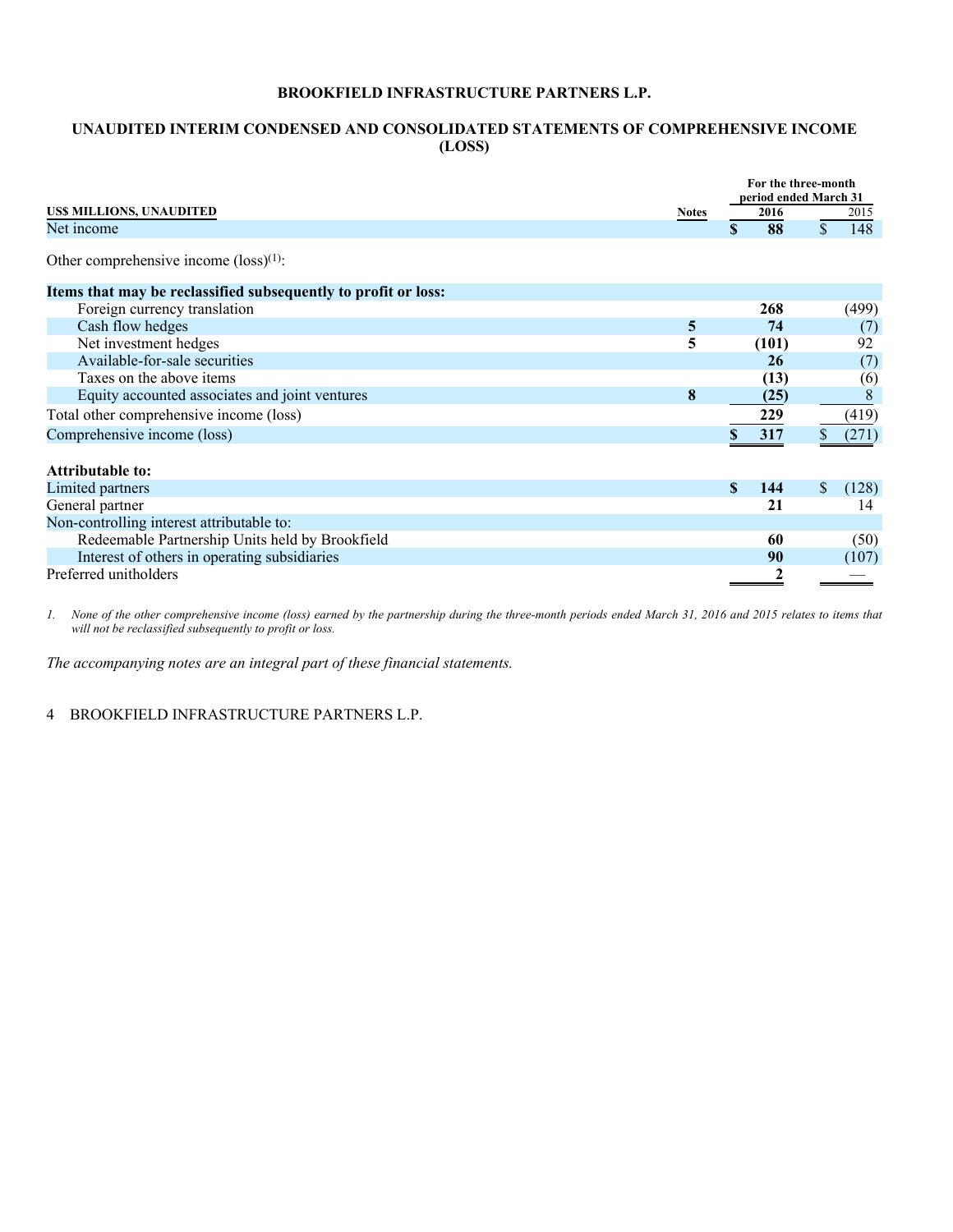### **UNAUDITED INTERIM CONDENSED AND CONSOLIDATED STATEMENTS OF COMPREHENSIVE INCOME (LOSS)**

|                                                                |              | For the three-month<br>period ended March 31 |             |       |  |  |
|----------------------------------------------------------------|--------------|----------------------------------------------|-------------|-------|--|--|
| <b>USS MILLIONS, UNAUDITED</b>                                 | <b>Notes</b> | 2016                                         |             | 2015  |  |  |
| Net income                                                     |              | 88<br>\$                                     | $\mathbf S$ | 148   |  |  |
| Other comprehensive income $(\text{loss})^{(1)}$ :             |              |                                              |             |       |  |  |
| Items that may be reclassified subsequently to profit or loss: |              |                                              |             |       |  |  |
| Foreign currency translation                                   |              | 268                                          |             | (499) |  |  |
| Cash flow hedges                                               | 5            | 74                                           |             | (7)   |  |  |
| Net investment hedges                                          | 5            | (101)                                        |             | 92    |  |  |
| Available-for-sale securities                                  |              | 26                                           |             | (7)   |  |  |
| Taxes on the above items                                       |              | (13)                                         |             | (6)   |  |  |
| Equity accounted associates and joint ventures                 | 8            | (25)                                         |             | 8     |  |  |
| Total other comprehensive income (loss)                        |              | 229                                          |             | (419) |  |  |
| Comprehensive income (loss)                                    |              | 317                                          |             | (271) |  |  |
|                                                                |              |                                              |             |       |  |  |
| <b>Attributable to:</b>                                        |              |                                              |             |       |  |  |
| Limited partners                                               |              | \$.<br>144                                   | \$          | (128) |  |  |
| General partner                                                |              | 21                                           |             | 14    |  |  |
| Non-controlling interest attributable to:                      |              |                                              |             |       |  |  |
| Redeemable Partnership Units held by Brookfield                |              | 60                                           |             | (50)  |  |  |
| Interest of others in operating subsidiaries                   |              | 90                                           |             | (107) |  |  |
| Preferred unitholders                                          |              | 2                                            |             |       |  |  |

*1. None of the other comprehensive income (loss) earned by the partnership during the three-month periods ended March 31, 2016 and 2015 relates to items that will not be reclassified subsequently to profit or loss.* 

*The accompanying notes are an integral part of these financial statements.*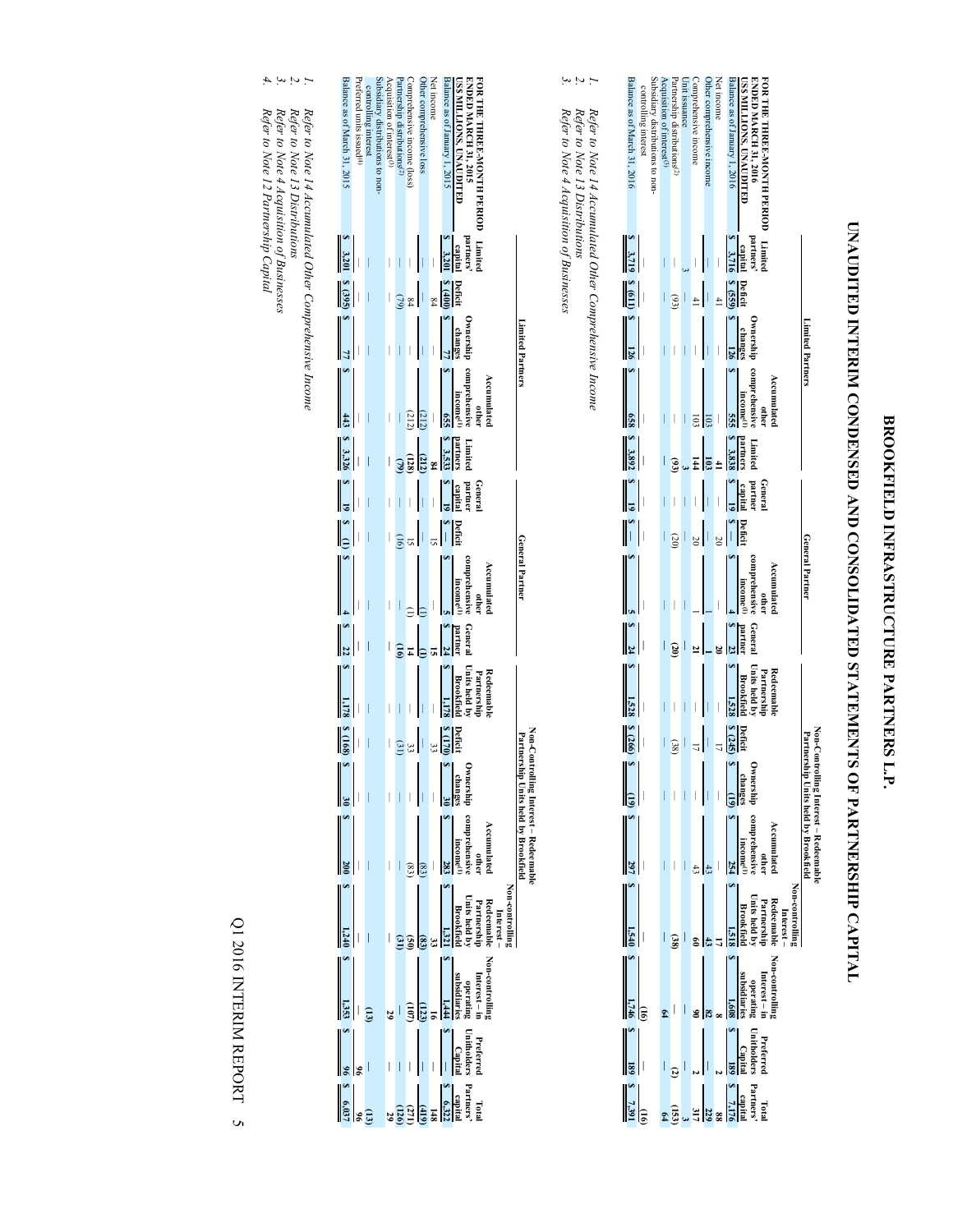# BROOKFIELD INFRASTRUCTURE PARTNERS L.P. **BROOKFIELD INFRASTRUCTURE PARTNERS L.P.**

# UNAUDITED INTERIM CONDENSED AND CONSOLIDATED STATEMENTS OF PARTNERSHIP CAPITAL **UNAUDITED INTERIM CONDENSED AND CONSOLIDATED STATEMENTS OF PARTNERSHIP CAPITAL**

| Balance as of March 31, 2016 | controlling interest | subsidiary distributions to non- | $\chi$ cquisition of interest <sup>(3)</sup> | artnership distributions <sup>(2)</sup> | Init issuance            | Comprehensive income | Other comprehensive income | Net income | $\alpha$ lance as of January 1, 2016  | FOR THE THREE-MONTH PERIOD<br><b>USS MILLIONS, UNAUDITED</b><br><b>INDED MARCH 31, 2016</b>                                                                                                                                                                   |
|------------------------------|----------------------|----------------------------------|----------------------------------------------|-----------------------------------------|--------------------------|----------------------|----------------------------|------------|---------------------------------------|---------------------------------------------------------------------------------------------------------------------------------------------------------------------------------------------------------------------------------------------------------------|
|                              |                      |                                  |                                              |                                         |                          |                      |                            |            |                                       |                                                                                                                                                                                                                                                               |
| $8 \t3.719$                  |                      |                                  | I                                            |                                         |                          |                      |                            |            |                                       | Limited<br>partners'<br>S 3,716                                                                                                                                                                                                                               |
| $\frac{1}{8}$                |                      |                                  |                                              | $\left( \frac{5}{2} \right)$            | $\overline{\phantom{a}}$ |                      |                            |            | $\frac{\text{Deficit}}{\text{S}(55)}$ |                                                                                                                                                                                                                                                               |
| 126                          |                      |                                  | I                                            | I                                       | $\overline{\phantom{a}}$ |                      |                            |            | $\frac{\text{change}}{126}$           | Ownership<br>Limited Partners                                                                                                                                                                                                                                 |
|                              |                      |                                  | I                                            |                                         | $\overline{\phantom{a}}$ |                      |                            |            | g.                                    | comprehensive<br>Accumulate<br>income <sup>(1</sup>                                                                                                                                                                                                           |
| $\frac{1}{8}$ 3,892          |                      |                                  |                                              |                                         |                          |                      | $\frac{103}{2}$            |            | partners<br><b>S</b> 3,838            | Limiter                                                                                                                                                                                                                                                       |
| $\frac{s}{s}$                |                      |                                  |                                              |                                         | $\overline{\phantom{a}}$ |                      |                            |            |                                       | General<br>partner<br>capital<br>Sapidal                                                                                                                                                                                                                      |
| $\frac{1}{2}$                |                      |                                  |                                              | $\overline{c}$                          | $\overline{\phantom{a}}$ | $\overline{50}$      |                            | 20         | $\frac{\text{Defit}}{\text{s}}$       |                                                                                                                                                                                                                                                               |
|                              |                      |                                  | I                                            |                                         | l                        |                      |                            |            |                                       | General Partner<br>comprehensive<br>Accumulate<br>income <sup>(1</sup>                                                                                                                                                                                        |
| $\frac{1}{2}$                |                      |                                  | I                                            | $\overline{3}$                          | $\vert$                  |                      |                            |            | $\frac{\text{partime}}{\text{S}}$     | General                                                                                                                                                                                                                                                       |
|                              |                      |                                  |                                              |                                         | $\overline{\phantom{a}}$ |                      |                            |            | 1.521                                 | Partnership<br>Units held by<br>Redeemabl<br><b>Brookfiel</b>                                                                                                                                                                                                 |
| 8(266)<br>∣∾                 |                      |                                  |                                              |                                         |                          |                      |                            |            |                                       | Non-Contr<br>Partnershi                                                                                                                                                                                                                                       |
| $\ \mathbf{e}\ $             |                      |                                  |                                              |                                         |                          |                      |                            |            |                                       | Deficit changes<br>$\frac{17}{5 \text{ days}} \frac{199}{5 \text{ days}} \frac{1}{199}$<br>$\frac{17}{17}$<br>$\frac{17}{17}$<br>$\frac{17}{17}$                                                                                                              |
| $\frac{1}{2}$                |                      |                                  |                                              |                                         |                          |                      |                            |            |                                       | lling Interest – Redeemable<br>p Units held by Brookfield                                                                                                                                                                                                     |
| $\frac{1,540}{1,540}$        |                      |                                  |                                              |                                         |                          |                      |                            |            |                                       | Non-controlling<br>Redeemable<br>Redeemable<br>Units held<br>Someological<br>Someological<br>Someological<br>Someological<br>Someological<br>Someological<br>Someological<br>Someological<br>Someological<br>Someological<br>Someological<br>Someological<br> |
| $\frac{(16)}{8}$             |                      |                                  |                                              |                                         |                          |                      |                            |            |                                       | Non-controlling<br>Internation<br>Internation<br>Internation<br>Subsidiaries<br>Subsidiaries<br>Internation<br>Internation<br>Internation<br>International International International International International International International Internati      |
| $\frac{1}{8}$                |                      |                                  |                                              |                                         |                          |                      |                            |            |                                       | Preferred<br>Unit<br>$\frac{180}{\frac{180}{30}}$ $\frac{180}{180}$ $\frac{1}{20}$ $\frac{1}{20}$ $\frac{1}{20}$ $\frac{1}{20}$                                                                                                                               |
| $\frac{100}{2.7391}$         |                      |                                  |                                              |                                         |                          |                      |                            |            |                                       |                                                                                                                                                                                                                                                               |

Refer to Note 14 Accumulated Other Comprehensive Income<br>Refer to Note 13 Distributions<br>Refer to Note 4 Acquisition of Businesses *Refer to Note 14 Accumulated Other Comprehensive Income* 

*1. 2. 3. Refer to Note 13 Distributions* 

*Refer to Note 4 Acquisition of Businesses* 

| Balance as of March 31, 2015  | referred units issued <sup>(4)</sup> | controlling interest | losidiary distributions to non- | $\chi$ cquisition of interest <sup>(3)</sup> | rtnership distributions <sup>(2)</sup> | omprehensive income (loss) | ther comprehensive loss | Net income | $\frac{1}{2}$ salance as of January 1, 2015 | <b>INDED MARCH 31, 2015</b><br>OR THE THREE-MONTH PERIOD<br>SS MILLIONS, UNAUDITED                                                                                                                                                                                                                                                                                                            |
|-------------------------------|--------------------------------------|----------------------|---------------------------------|----------------------------------------------|----------------------------------------|----------------------------|-------------------------|------------|---------------------------------------------|-----------------------------------------------------------------------------------------------------------------------------------------------------------------------------------------------------------------------------------------------------------------------------------------------------------------------------------------------------------------------------------------------|
| \$3,201                       |                                      |                      |                                 | I                                            | I                                      |                            |                         |            |                                             | Limited<br>partners'<br>S 3,201                                                                                                                                                                                                                                                                                                                                                               |
| $\frac{1}{2}$ $\frac{8}{395}$ |                                      | I                    |                                 | I                                            | $\omega$                               | 84                         |                         | $^{84}$    | Deficit<br>S (400                           |                                                                                                                                                                                                                                                                                                                                                                                               |
| $\mathbf{s}$ 7.               |                                      |                      |                                 | I                                            |                                        |                            |                         |            |                                             | Ownership<br>ehanges<br>s<br>Limited Partners                                                                                                                                                                                                                                                                                                                                                 |
| $\frac{443}{1}$               |                                      | I                    |                                 | I                                            |                                        | (212)                      | (212)                   |            |                                             | comprehensive<br>Accumulate<br>income <sup>(1</sup>                                                                                                                                                                                                                                                                                                                                           |
| <b>S</b> 3,326                |                                      | I                    |                                 | I                                            |                                        | (128)                      | $\frac{a_{12}}{a_{12}}$ |            | partners<br><b>S</b> 3,532                  | Limite                                                                                                                                                                                                                                                                                                                                                                                        |
| $\frac{s}{s-19}$              |                                      | I                    |                                 | $\bigg]$                                     |                                        |                            |                         |            |                                             | General<br>partner<br>spital<br>s<br>19                                                                                                                                                                                                                                                                                                                                                       |
| $\frac{s}{s}$                 |                                      | I                    |                                 | I                                            | (16)                                   |                            |                         |            | $\frac{1}{s}$                               |                                                                                                                                                                                                                                                                                                                                                                                               |
|                               |                                      |                      |                                 |                                              |                                        |                            |                         |            |                                             | General Partner                                                                                                                                                                                                                                                                                                                                                                               |
|                               |                                      | l                    |                                 | I                                            |                                        |                            |                         |            |                                             | comprehensive<br>Accumulate<br>income <sup>(1</sup>                                                                                                                                                                                                                                                                                                                                           |
| $\frac{1}{2}$                 |                                      | I                    |                                 |                                              |                                        |                            |                         |            |                                             | Genera<br>partneı                                                                                                                                                                                                                                                                                                                                                                             |
|                               |                                      |                      |                                 | I                                            |                                        |                            |                         |            |                                             | Partnership<br>Units held by<br><b>Redeemabl</b><br><b>Brookfield</b>                                                                                                                                                                                                                                                                                                                         |
| $8 \frac{(168)}{2}$           |                                      | ļ                    |                                 | $\begin{array}{c} \end{array}$               | (31)                                   | ະ                          | $\vert$ (               | ယ္က        | $\frac{\text{Deficit}}{\text{8 (170)}}$     | Non-C                                                                                                                                                                                                                                                                                                                                                                                         |
|                               |                                      |                      |                                 |                                              |                                        |                            |                         |            |                                             |                                                                                                                                                                                                                                                                                                                                                                                               |
|                               |                                      |                      |                                 |                                              |                                        |                            |                         |            |                                             |                                                                                                                                                                                                                                                                                                                                                                                               |
|                               |                                      |                      |                                 |                                              |                                        |                            |                         |            |                                             | Von-Controlling Interest – Redeemable<br>Partnership Units held by Brookfield<br>Ownership comprehensive<br>$\frac{30}{8}$ and $\frac{30}{8}$ $\frac{30}{8}$ $\frac{30}{8}$ $\frac{30}{8}$<br>$\frac{30}{8}$ $\frac{30}{8}$<br>$\frac{30}{8}$<br>$\frac{30}{8}$<br>$\frac{30}{8}$<br>$\frac{30}{8}$<br>$\frac{30}{8}$<br>$\frac{30}{8}$<br>$\frac{30}{8}$<br>$\frac{30}{8}$<br>$\frac{30}{8}$ |
|                               |                                      |                      |                                 |                                              |                                        |                            |                         |            |                                             | Non-routering<br>1 Redeemable<br>1 Redeemable<br>1 Redeemable<br>1 Redeemable<br>1 Redeemable<br>1 Redeemable<br>1 Redeemable<br>1 Redeemable<br>1 Redeemable<br>1 Redeemable<br>1 Redeemable<br>1 Redeemable<br>1 Redeemable<br>1 Redeemable<br>1 Redeemab                                                                                                                                   |
| $S = 1,353$                   |                                      |                      |                                 |                                              |                                        |                            |                         |            |                                             | Non-controlling<br>Internation<br>Internation<br>Surbsidiaries<br>Surbsidiaries<br>Surbsidiaries<br>Surbsidiaries<br>Surbsidiaries<br>Surbsidiaries<br>Surbsidiaries<br>Surbsidiaries<br>Surbsidiaries<br>Surbsidiaries<br>Surbsidiaries<br>Surbsidiaries                                                                                                                                     |
| $\frac{3}{12}$ $\frac{8}{12}$ |                                      |                      |                                 |                                              |                                        |                            |                         |            |                                             | Preferred<br>Uniformial<br>$\frac{1}{\sqrt{2}}$<br>$\frac{1}{\sqrt{2}}$<br>$\frac{1}{\sqrt{2}}$<br>$\frac{1}{\sqrt{2}}$<br>$\frac{1}{\sqrt{2}}$                                                                                                                                                                                                                                               |
|                               |                                      |                      |                                 |                                              |                                        |                            |                         |            |                                             | <b>Primaries 1943</b><br><b>Primaries 1944</b><br><b>Primaries 1959</b><br><b>Primaries 1959</b><br><b>Primaries 1959</b><br><b>Primaries 1959</b>                                                                                                                                                                                                                                            |

*1. 2. 3. 4.* Refer to Note 14 Accumulated Other Comprehensive Income<br>Refer to Note 13 Distributions<br>Refer to Note 4 Acquisition of Businesses<br>Refer to Note 12 Partmership Capital *Refer to Note 14 Accumulated Other Comprehensive Income* 

*Refer to Note 13 Distributions* 

*Refer to Note 4 Acquisition of Businesses* 

*Refer to Note 12 Partnership Capital* 

Q1 2016 INTERIM REPORT 5 Q1 2016 INTERIM REPORT 5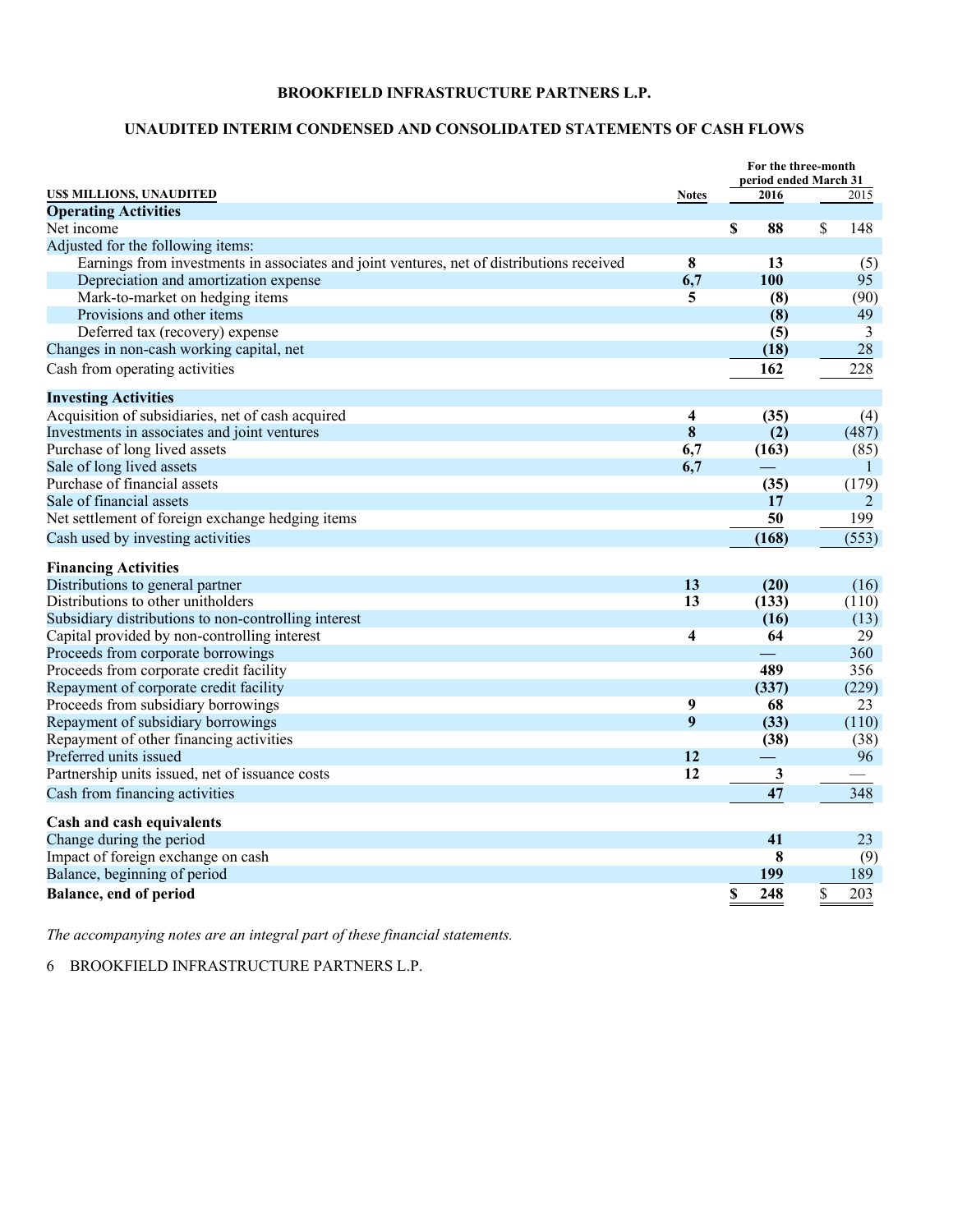### **UNAUDITED INTERIM CONDENSED AND CONSOLIDATED STATEMENTS OF CASH FLOWS**

|                                                                                           |              | For the three-month<br>period ended March 31 |                |
|-------------------------------------------------------------------------------------------|--------------|----------------------------------------------|----------------|
| US\$ MILLIONS, UNAUDITED                                                                  | <b>Notes</b> | 2016                                         | 2015           |
| <b>Operating Activities</b>                                                               |              |                                              |                |
| Net income                                                                                |              | \$<br>88                                     | \$<br>148      |
| Adjusted for the following items:                                                         |              |                                              |                |
| Earnings from investments in associates and joint ventures, net of distributions received | 8            | 13                                           | (5)            |
| Depreciation and amortization expense                                                     | 6,7          | 100                                          | 95             |
| Mark-to-market on hedging items                                                           | 5            | (8)                                          | (90)           |
| Provisions and other items                                                                |              | (8)                                          | 49             |
| Deferred tax (recovery) expense                                                           |              | (5)                                          | 3              |
| Changes in non-cash working capital, net                                                  |              | (18)                                         | 28             |
| Cash from operating activities                                                            |              | 162                                          | 228            |
| <b>Investing Activities</b>                                                               |              |                                              |                |
| Acquisition of subsidiaries, net of cash acquired                                         | 4            | (35)                                         | (4)            |
| Investments in associates and joint ventures                                              | 8            | (2)                                          | (487)          |
| Purchase of long lived assets                                                             | 6,7          | (163)                                        | (85)           |
| Sale of long lived assets                                                                 | 6,7          |                                              | $\mathbf{1}$   |
| Purchase of financial assets                                                              |              | (35)                                         | (179)          |
| Sale of financial assets                                                                  |              | 17                                           | $\overline{2}$ |
| Net settlement of foreign exchange hedging items                                          |              | 50                                           | 199            |
| Cash used by investing activities                                                         |              | (168)                                        | (553)          |
| <b>Financing Activities</b>                                                               |              |                                              |                |
| Distributions to general partner                                                          | 13           | (20)                                         | (16)           |
| Distributions to other unitholders                                                        | 13           | (133)                                        | (110)          |
| Subsidiary distributions to non-controlling interest                                      |              | (16)                                         | (13)           |
| Capital provided by non-controlling interest                                              | 4            | 64                                           | 29             |
| Proceeds from corporate borrowings                                                        |              |                                              | 360            |
| Proceeds from corporate credit facility                                                   |              | 489                                          | 356            |
| Repayment of corporate credit facility                                                    |              | (337)                                        | (229)          |
| Proceeds from subsidiary borrowings                                                       | 9            | 68                                           | 23             |
| Repayment of subsidiary borrowings                                                        | 9            | (33)                                         | (110)          |
| Repayment of other financing activities                                                   |              | (38)                                         | (38)           |
| Preferred units issued                                                                    | 12           |                                              | 96             |
| Partnership units issued, net of issuance costs                                           | 12           | 3                                            |                |
| Cash from financing activities                                                            |              | 47                                           | 348            |
| Cash and cash equivalents                                                                 |              |                                              |                |
| Change during the period                                                                  |              | 41                                           | 23             |
| Impact of foreign exchange on cash                                                        |              | 8                                            | (9)            |
| Balance, beginning of period                                                              |              | 199                                          | 189            |
| <b>Balance, end of period</b>                                                             |              | 248<br>\$                                    | \$<br>203      |

*The accompanying notes are an integral part of these financial statements.*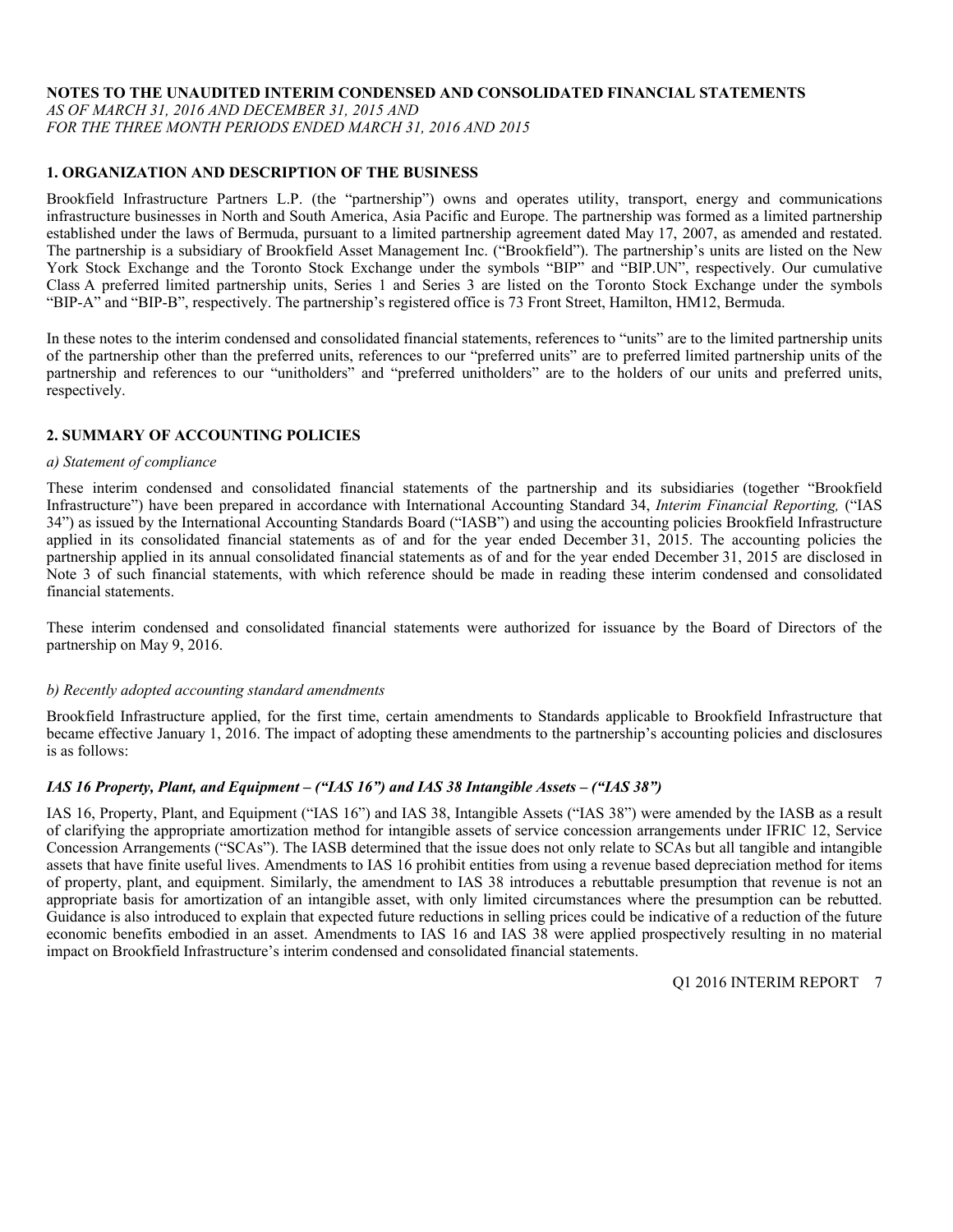### **NOTES TO THE UNAUDITED INTERIM CONDENSED AND CONSOLIDATED FINANCIAL STATEMENTS**

*AS OF MARCH 31, 2016 AND DECEMBER 31, 2015 AND* 

*FOR THE THREE MONTH PERIODS ENDED MARCH 31, 2016 AND 2015* 

### **1. ORGANIZATION AND DESCRIPTION OF THE BUSINESS**

Brookfield Infrastructure Partners L.P. (the "partnership") owns and operates utility, transport, energy and communications infrastructure businesses in North and South America, Asia Pacific and Europe. The partnership was formed as a limited partnership established under the laws of Bermuda, pursuant to a limited partnership agreement dated May 17, 2007, as amended and restated. The partnership is a subsidiary of Brookfield Asset Management Inc. ("Brookfield"). The partnership's units are listed on the New York Stock Exchange and the Toronto Stock Exchange under the symbols "BIP" and "BIP.UN", respectively. Our cumulative Class A preferred limited partnership units, Series 1 and Series 3 are listed on the Toronto Stock Exchange under the symbols "BIP-A" and "BIP-B", respectively. The partnership's registered office is 73 Front Street, Hamilton, HM12, Bermuda.

In these notes to the interim condensed and consolidated financial statements, references to "units" are to the limited partnership units of the partnership other than the preferred units, references to our "preferred units" are to preferred limited partnership units of the partnership and references to our "unitholders" and "preferred unitholders" are to the holders of our units and preferred units, respectively.

### **2. SUMMARY OF ACCOUNTING POLICIES**

### *a) Statement of compliance*

These interim condensed and consolidated financial statements of the partnership and its subsidiaries (together "Brookfield Infrastructure") have been prepared in accordance with International Accounting Standard 34, *Interim Financial Reporting,* ("IAS 34") as issued by the International Accounting Standards Board ("IASB") and using the accounting policies Brookfield Infrastructure applied in its consolidated financial statements as of and for the year ended December 31, 2015. The accounting policies the partnership applied in its annual consolidated financial statements as of and for the year ended December 31, 2015 are disclosed in Note 3 of such financial statements, with which reference should be made in reading these interim condensed and consolidated financial statements.

These interim condensed and consolidated financial statements were authorized for issuance by the Board of Directors of the partnership on May 9, 2016.

### *b) Recently adopted accounting standard amendments*

Brookfield Infrastructure applied, for the first time, certain amendments to Standards applicable to Brookfield Infrastructure that became effective January 1, 2016. The impact of adopting these amendments to the partnership's accounting policies and disclosures is as follows:

### *IAS 16 Property, Plant, and Equipment – ("IAS 16") and IAS 38 Intangible Assets – ("IAS 38")*

IAS 16, Property, Plant, and Equipment ("IAS 16") and IAS 38, Intangible Assets ("IAS 38") were amended by the IASB as a result of clarifying the appropriate amortization method for intangible assets of service concession arrangements under IFRIC 12, Service Concession Arrangements ("SCAs"). The IASB determined that the issue does not only relate to SCAs but all tangible and intangible assets that have finite useful lives. Amendments to IAS 16 prohibit entities from using a revenue based depreciation method for items of property, plant, and equipment. Similarly, the amendment to IAS 38 introduces a rebuttable presumption that revenue is not an appropriate basis for amortization of an intangible asset, with only limited circumstances where the presumption can be rebutted. Guidance is also introduced to explain that expected future reductions in selling prices could be indicative of a reduction of the future economic benefits embodied in an asset. Amendments to IAS 16 and IAS 38 were applied prospectively resulting in no material impact on Brookfield Infrastructure's interim condensed and consolidated financial statements.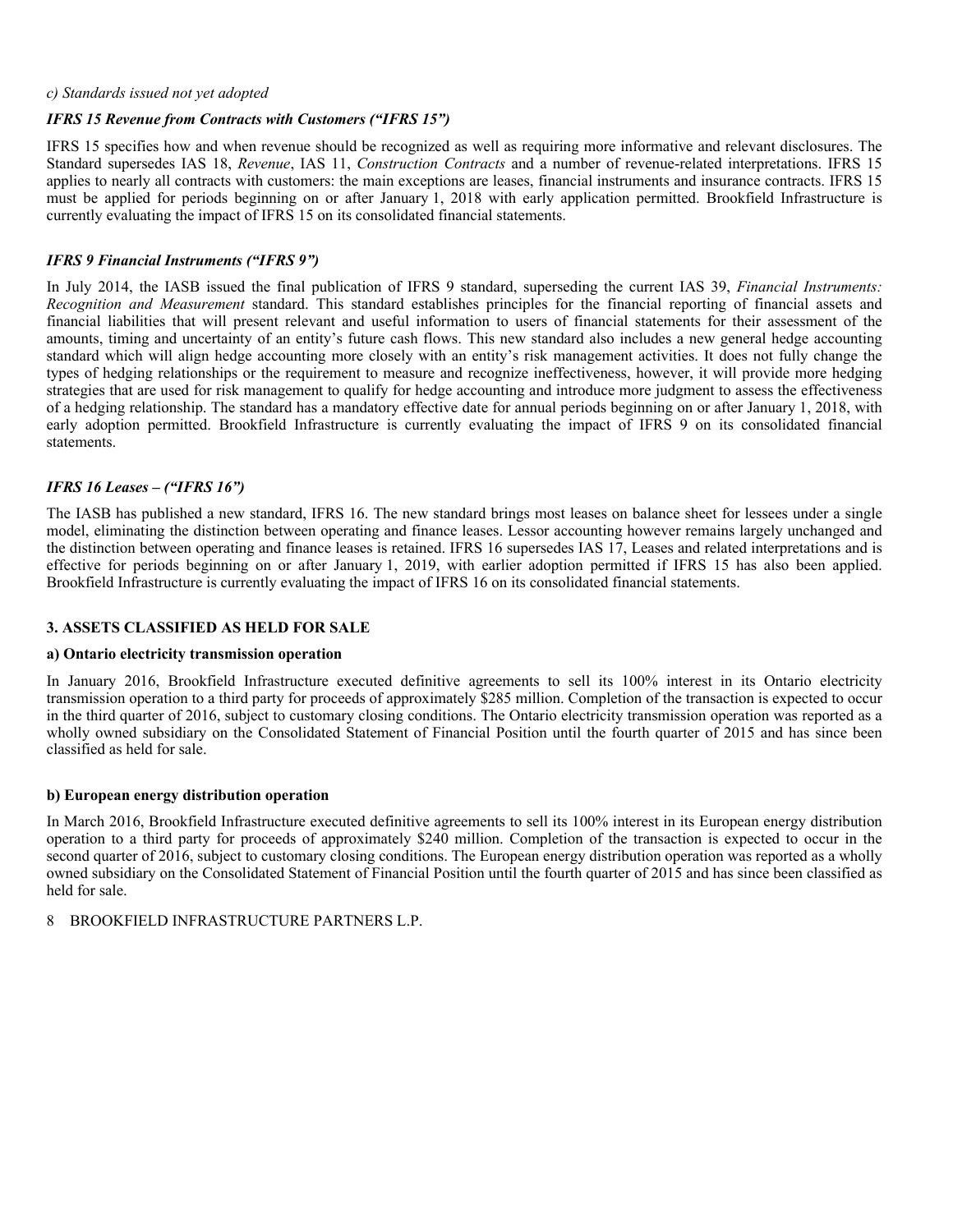### *c) Standards issued not yet adopted*

### *IFRS 15 Revenue from Contracts with Customers ("IFRS 15")*

IFRS 15 specifies how and when revenue should be recognized as well as requiring more informative and relevant disclosures. The Standard supersedes IAS 18, *Revenue*, IAS 11, *Construction Contracts* and a number of revenue-related interpretations. IFRS 15 applies to nearly all contracts with customers: the main exceptions are leases, financial instruments and insurance contracts. IFRS 15 must be applied for periods beginning on or after January 1, 2018 with early application permitted. Brookfield Infrastructure is currently evaluating the impact of IFRS 15 on its consolidated financial statements.

### *IFRS 9 Financial Instruments ("IFRS 9")*

In July 2014, the IASB issued the final publication of IFRS 9 standard, superseding the current IAS 39, *Financial Instruments: Recognition and Measurement* standard. This standard establishes principles for the financial reporting of financial assets and financial liabilities that will present relevant and useful information to users of financial statements for their assessment of the amounts, timing and uncertainty of an entity's future cash flows. This new standard also includes a new general hedge accounting standard which will align hedge accounting more closely with an entity's risk management activities. It does not fully change the types of hedging relationships or the requirement to measure and recognize ineffectiveness, however, it will provide more hedging strategies that are used for risk management to qualify for hedge accounting and introduce more judgment to assess the effectiveness of a hedging relationship. The standard has a mandatory effective date for annual periods beginning on or after January 1, 2018, with early adoption permitted. Brookfield Infrastructure is currently evaluating the impact of IFRS 9 on its consolidated financial statements.

### *IFRS 16 Leases – ("IFRS 16")*

The IASB has published a new standard, IFRS 16. The new standard brings most leases on balance sheet for lessees under a single model, eliminating the distinction between operating and finance leases. Lessor accounting however remains largely unchanged and the distinction between operating and finance leases is retained. IFRS 16 supersedes IAS 17, Leases and related interpretations and is effective for periods beginning on or after January 1, 2019, with earlier adoption permitted if IFRS 15 has also been applied. Brookfield Infrastructure is currently evaluating the impact of IFRS 16 on its consolidated financial statements.

### **3. ASSETS CLASSIFIED AS HELD FOR SALE**

### **a) Ontario electricity transmission operation**

In January 2016, Brookfield Infrastructure executed definitive agreements to sell its 100% interest in its Ontario electricity transmission operation to a third party for proceeds of approximately \$285 million. Completion of the transaction is expected to occur in the third quarter of 2016, subject to customary closing conditions. The Ontario electricity transmission operation was reported as a wholly owned subsidiary on the Consolidated Statement of Financial Position until the fourth quarter of 2015 and has since been classified as held for sale.

### **b) European energy distribution operation**

In March 2016, Brookfield Infrastructure executed definitive agreements to sell its 100% interest in its European energy distribution operation to a third party for proceeds of approximately \$240 million. Completion of the transaction is expected to occur in the second quarter of 2016, subject to customary closing conditions. The European energy distribution operation was reported as a wholly owned subsidiary on the Consolidated Statement of Financial Position until the fourth quarter of 2015 and has since been classified as held for sale.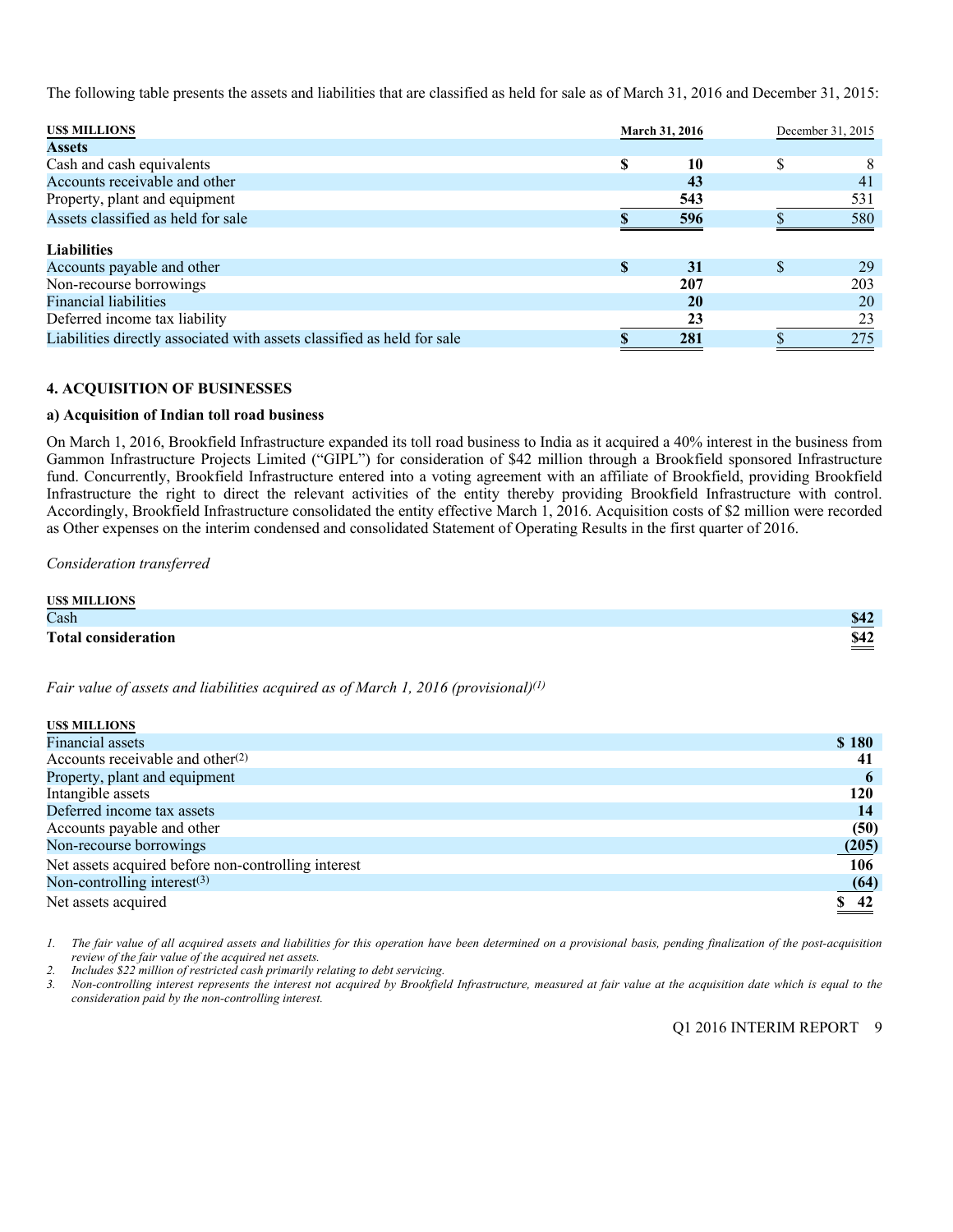The following table presents the assets and liabilities that are classified as held for sale as of March 31, 2016 and December 31, 2015:

| <b>USS MILLIONS</b>                                                     |              | <b>March 31, 2016</b> | December 31, 2015 |
|-------------------------------------------------------------------------|--------------|-----------------------|-------------------|
| <b>Assets</b>                                                           |              |                       |                   |
| Cash and cash equivalents                                               | S            | 10                    | \$<br>8           |
| Accounts receivable and other                                           |              | 43                    | 41                |
| Property, plant and equipment                                           |              | 543                   | 531               |
| Assets classified as held for sale                                      |              | 596                   | 580               |
| <b>Liabilities</b>                                                      |              |                       |                   |
| Accounts payable and other                                              | $\mathbf{s}$ | 31                    | \$<br>29          |
| Non-recourse borrowings                                                 |              | 207                   | 203               |
| <b>Financial liabilities</b>                                            |              | 20                    | 20                |
| Deferred income tax liability                                           |              | 23                    | 23                |
| Liabilities directly associated with assets classified as held for sale |              | 281                   | 275               |

### **4. ACQUISITION OF BUSINESSES**

### **a) Acquisition of Indian toll road business**

On March 1, 2016, Brookfield Infrastructure expanded its toll road business to India as it acquired a 40% interest in the business from Gammon Infrastructure Projects Limited ("GIPL") for consideration of \$42 million through a Brookfield sponsored Infrastructure fund. Concurrently, Brookfield Infrastructure entered into a voting agreement with an affiliate of Brookfield, providing Brookfield Infrastructure the right to direct the relevant activities of the entity thereby providing Brookfield Infrastructure with control. Accordingly, Brookfield Infrastructure consolidated the entity effective March 1, 2016. Acquisition costs of \$2 million were recorded as Other expenses on the interim condensed and consolidated Statement of Operating Results in the first quarter of 2016.

*Consideration transferred* 

| <b>USS MILLIONS</b>        |                                       |
|----------------------------|---------------------------------------|
| Cash                       | <b>\$42</b>                           |
| <b>Total consideration</b> | \$42<br>the control of the control of |

*Fair value of assets and liabilities acquired as of March 1, 2016 (provisional)(1)*

| <b>USS MILLIONS</b>                                 |                     |
|-----------------------------------------------------|---------------------|
| Financial assets                                    | \$180               |
| Accounts receivable and other <sup>(2)</sup>        | -41                 |
| Property, plant and equipment                       | $\mathbf b$         |
| Intangible assets                                   | 120                 |
| Deferred income tax assets                          | 14                  |
| Accounts payable and other                          | (50)                |
| Non-recourse borrowings                             | (205)               |
| Net assets acquired before non-controlling interest | 106                 |
| Non-controlling interest $(3)$                      | (64)                |
| Net assets acquired                                 | $\underline{\$ 42}$ |

*1. The fair value of all acquired assets and liabilities for this operation have been determined on a provisional basis, pending finalization of the post-acquisition review of the fair value of the acquired net assets.* 

*2. Includes \$22 million of restricted cash primarily relating to debt servicing.* 

*3. Non-controlling interest represents the interest not acquired by Brookfield Infrastructure, measured at fair value at the acquisition date which is equal to the consideration paid by the non-controlling interest.*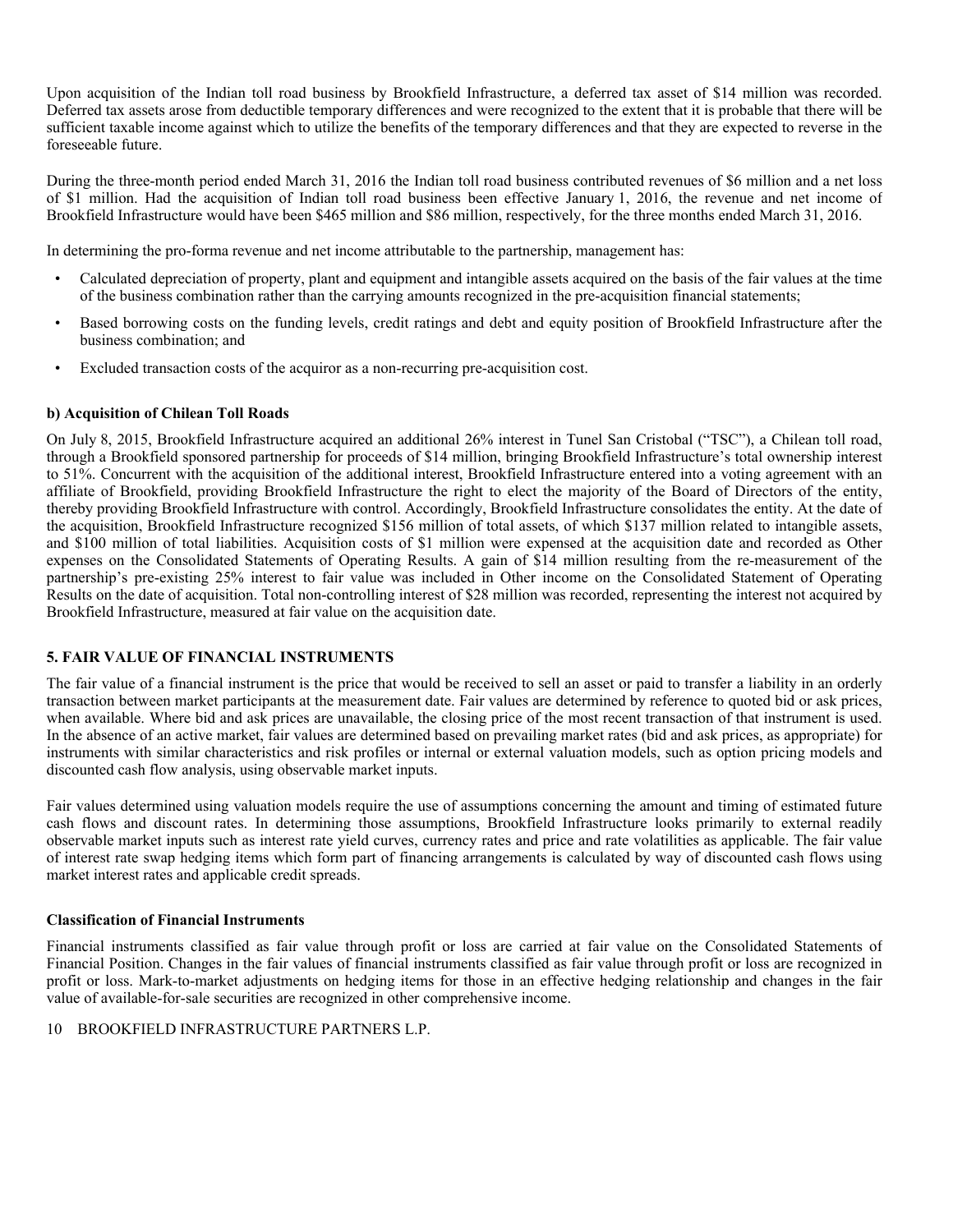Upon acquisition of the Indian toll road business by Brookfield Infrastructure, a deferred tax asset of \$14 million was recorded. Deferred tax assets arose from deductible temporary differences and were recognized to the extent that it is probable that there will be sufficient taxable income against which to utilize the benefits of the temporary differences and that they are expected to reverse in the foreseeable future.

During the three-month period ended March 31, 2016 the Indian toll road business contributed revenues of \$6 million and a net loss of \$1 million. Had the acquisition of Indian toll road business been effective January 1, 2016, the revenue and net income of Brookfield Infrastructure would have been \$465 million and \$86 million, respectively, for the three months ended March 31, 2016.

In determining the pro-forma revenue and net income attributable to the partnership, management has:

- Calculated depreciation of property, plant and equipment and intangible assets acquired on the basis of the fair values at the time of the business combination rather than the carrying amounts recognized in the pre-acquisition financial statements;
- Based borrowing costs on the funding levels, credit ratings and debt and equity position of Brookfield Infrastructure after the business combination; and
- Excluded transaction costs of the acquiror as a non-recurring pre-acquisition cost.

### **b) Acquisition of Chilean Toll Roads**

On July 8, 2015, Brookfield Infrastructure acquired an additional 26% interest in Tunel San Cristobal ("TSC"), a Chilean toll road, through a Brookfield sponsored partnership for proceeds of \$14 million, bringing Brookfield Infrastructure's total ownership interest to 51%. Concurrent with the acquisition of the additional interest, Brookfield Infrastructure entered into a voting agreement with an affiliate of Brookfield, providing Brookfield Infrastructure the right to elect the majority of the Board of Directors of the entity, thereby providing Brookfield Infrastructure with control. Accordingly, Brookfield Infrastructure consolidates the entity. At the date of the acquisition, Brookfield Infrastructure recognized \$156 million of total assets, of which \$137 million related to intangible assets, and \$100 million of total liabilities. Acquisition costs of \$1 million were expensed at the acquisition date and recorded as Other expenses on the Consolidated Statements of Operating Results. A gain of \$14 million resulting from the re-measurement of the partnership's pre-existing 25% interest to fair value was included in Other income on the Consolidated Statement of Operating Results on the date of acquisition. Total non-controlling interest of \$28 million was recorded, representing the interest not acquired by Brookfield Infrastructure, measured at fair value on the acquisition date.

### **5. FAIR VALUE OF FINANCIAL INSTRUMENTS**

The fair value of a financial instrument is the price that would be received to sell an asset or paid to transfer a liability in an orderly transaction between market participants at the measurement date. Fair values are determined by reference to quoted bid or ask prices, when available. Where bid and ask prices are unavailable, the closing price of the most recent transaction of that instrument is used. In the absence of an active market, fair values are determined based on prevailing market rates (bid and ask prices, as appropriate) for instruments with similar characteristics and risk profiles or internal or external valuation models, such as option pricing models and discounted cash flow analysis, using observable market inputs.

Fair values determined using valuation models require the use of assumptions concerning the amount and timing of estimated future cash flows and discount rates. In determining those assumptions, Brookfield Infrastructure looks primarily to external readily observable market inputs such as interest rate yield curves, currency rates and price and rate volatilities as applicable. The fair value of interest rate swap hedging items which form part of financing arrangements is calculated by way of discounted cash flows using market interest rates and applicable credit spreads.

### **Classification of Financial Instruments**

Financial instruments classified as fair value through profit or loss are carried at fair value on the Consolidated Statements of Financial Position. Changes in the fair values of financial instruments classified as fair value through profit or loss are recognized in profit or loss. Mark-to-market adjustments on hedging items for those in an effective hedging relationship and changes in the fair value of available-for-sale securities are recognized in other comprehensive income.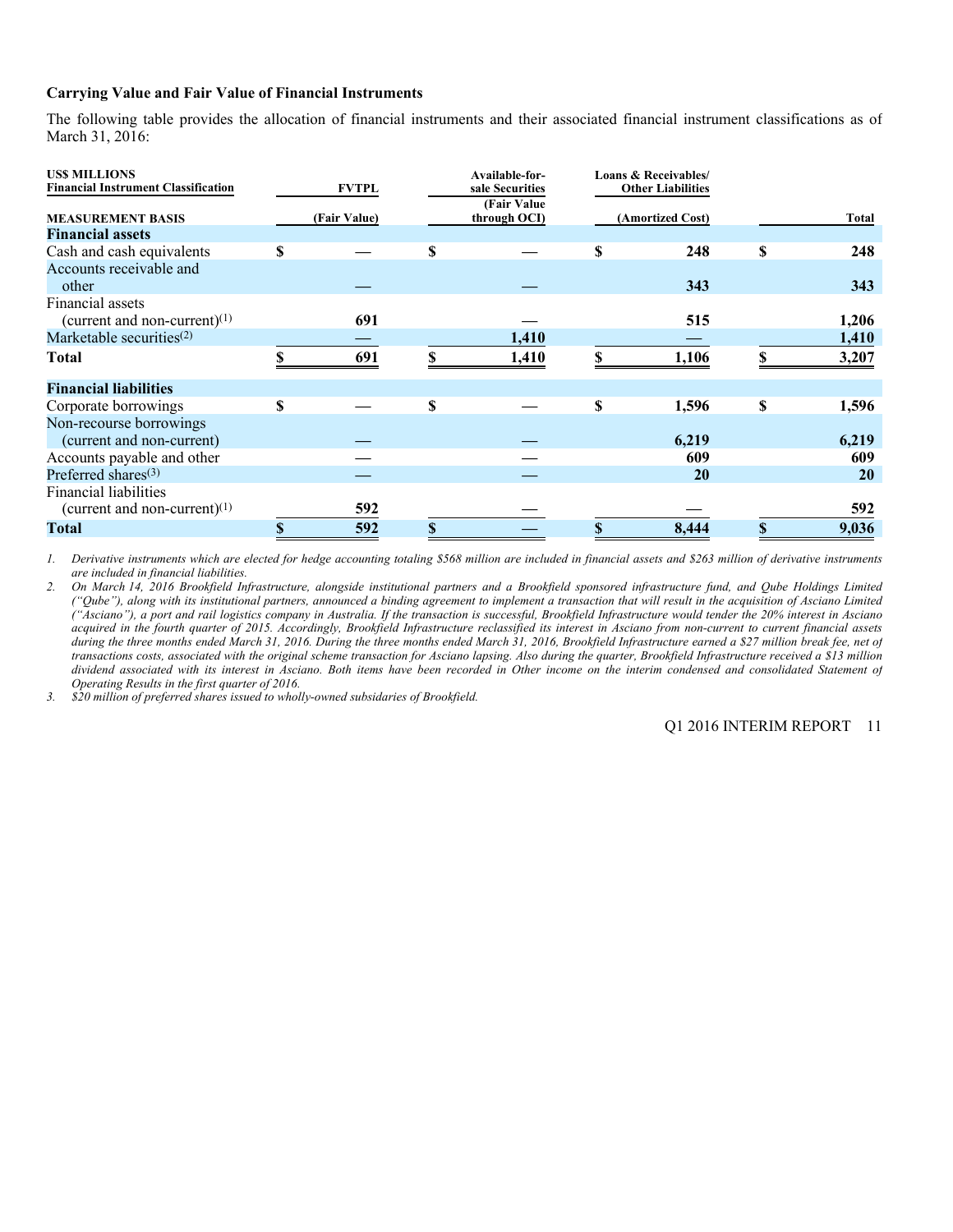### **Carrying Value and Fair Value of Financial Instruments**

The following table provides the allocation of financial instruments and their associated financial instrument classifications as of March 31, 2016:

| <b>USS MILLIONS</b><br><b>Financial Instrument Classification</b> | <b>FVTPL</b> |   | Available-for-<br>sale Securities<br>(Fair Value) |   | Loans & Receivables/<br><b>Other Liabilities</b> |             |
|-------------------------------------------------------------------|--------------|---|---------------------------------------------------|---|--------------------------------------------------|-------------|
| <b>MEASUREMENT BASIS</b>                                          | (Fair Value) |   | through OCI)                                      |   | (Amortized Cost)                                 | Total       |
| <b>Financial assets</b>                                           |              |   |                                                   |   |                                                  |             |
| Cash and cash equivalents                                         | \$           | S |                                                   | S | 248                                              | \$<br>248   |
| Accounts receivable and<br>other                                  |              |   |                                                   |   | 343                                              | 343         |
| Financial assets<br>(current and non-current) $(1)$               | 691          |   |                                                   |   | 515                                              | 1,206       |
| Marketable securities $(2)$                                       |              |   | 1,410                                             |   |                                                  | 1,410       |
| <b>Total</b>                                                      | \$<br>691    |   | 1,410                                             |   | 1,106                                            | 3,207       |
| <b>Financial liabilities</b>                                      |              |   |                                                   |   |                                                  |             |
| Corporate borrowings                                              | \$           | S |                                                   | S | 1,596                                            | \$<br>1,596 |
| Non-recourse borrowings<br>(current and non-current)              |              |   |                                                   |   | 6,219                                            | 6,219       |
| Accounts payable and other                                        |              |   |                                                   |   | 609                                              | 609         |
| Preferred shares $(3)$                                            |              |   |                                                   |   | <b>20</b>                                        | <b>20</b>   |
| <b>Financial liabilities</b><br>(current and non-current) $(1)$   | 592          |   |                                                   |   |                                                  | 592         |
| <b>Total</b>                                                      | \$<br>592    |   |                                                   |   | 8,444                                            | \$<br>9,036 |

 *1. Derivative instruments which are elected for hedge accounting totaling \$568 million are included in financial assets and \$263 million of derivative instruments are included in financial liabilities.* 

*2. On March 14, 2016 Brookfield Infrastructure, alongside institutional partners and a Brookfield sponsored infrastructure fund, and Qube Holdings Limited ("Qube"), along with its institutional partners, announced a binding agreement to implement a transaction that will result in the acquisition of Asciano Limited ("Asciano"), a port and rail logistics company in Australia. If the transaction is successful, Brookfield Infrastructure would tender the 20% interest in Asciano acquired in the fourth quarter of 2015. Accordingly, Brookfield Infrastructure reclassified its interest in Asciano from non-current to current financial assets during the three months ended March 31, 2016. During the three months ended March 31, 2016, Brookfield Infrastructure earned a \$27 million break fee, net of transactions costs, associated with the original scheme transaction for Asciano lapsing. Also during the quarter, Brookfield Infrastructure received a \$13 million dividend associated with its interest in Asciano. Both items have been recorded in Other income on the interim condensed and consolidated Statement of Operating Results in the first quarter of 2016.* 

*3. \$20 million of preferred shares issued to wholly-owned subsidaries of Brookfield.*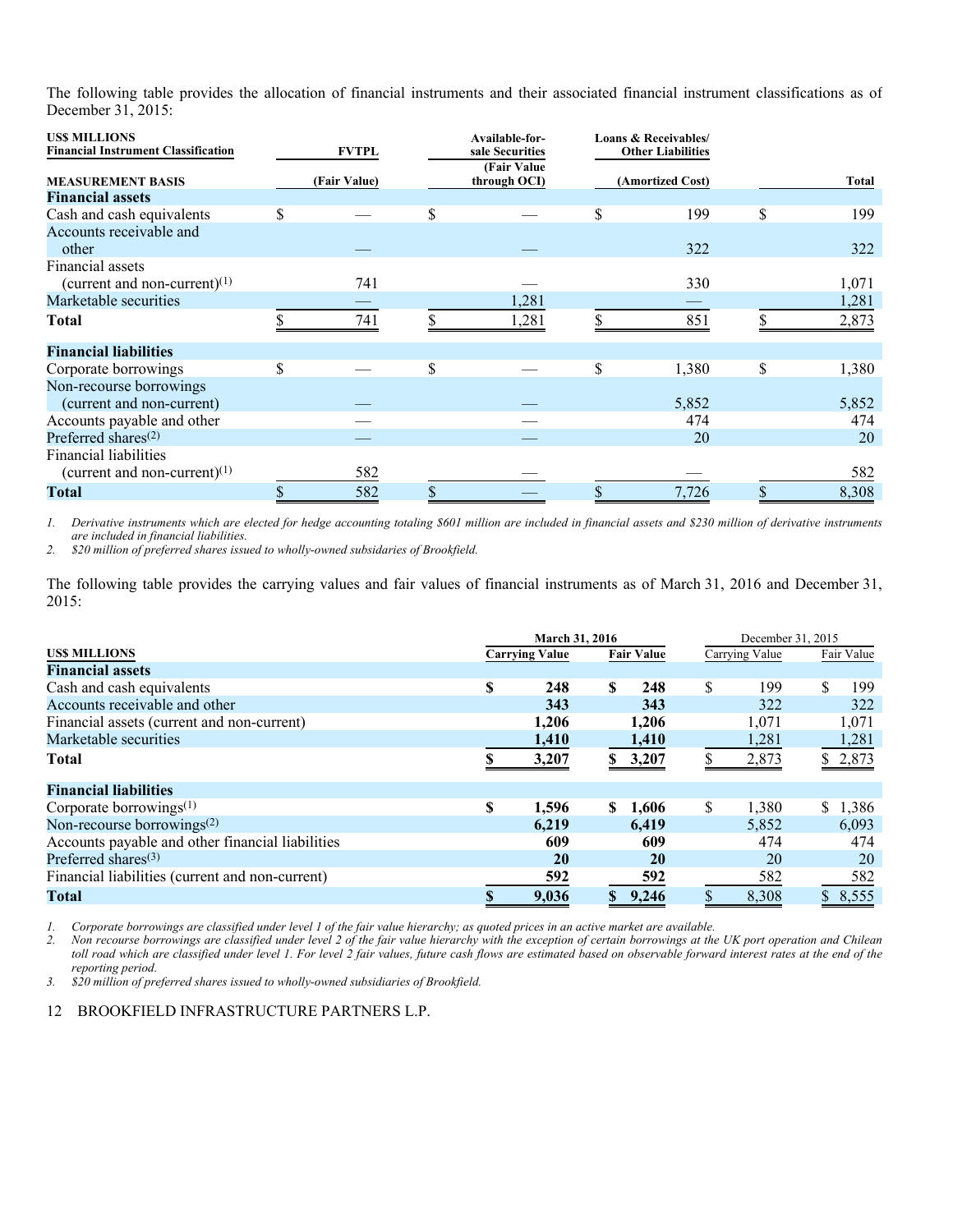The following table provides the allocation of financial instruments and their associated financial instrument classifications as of December 31, 2015:

| <b>USS MILLIONS</b><br><b>Financial Instrument Classification</b> | <b>FVTPL</b> | Available-for-<br>sale Securities | Loans & Receivables/<br><b>Other Liabilities</b> |             |
|-------------------------------------------------------------------|--------------|-----------------------------------|--------------------------------------------------|-------------|
| <b>MEASUREMENT BASIS</b>                                          | (Fair Value) | (Fair Value)<br>through OCI)      | (Amortized Cost)                                 | Total       |
| <b>Financial assets</b>                                           |              |                                   |                                                  |             |
| Cash and cash equivalents                                         |              | \$                                | \$<br>199                                        | \$<br>199   |
| Accounts receivable and<br>other                                  |              |                                   | 322                                              | 322         |
| Financial assets<br>(current and non-current) $(1)$               | 741          |                                   | 330                                              | 1,071       |
| Marketable securities                                             |              | 1,281                             |                                                  | 1,281       |
| <b>Total</b>                                                      | 741          | 1,281                             | 851                                              | 2,873       |
| <b>Financial liabilities</b>                                      |              |                                   |                                                  |             |
| Corporate borrowings                                              | \$           | \$                                | \$<br>1,380                                      | \$<br>1,380 |
| Non-recourse borrowings<br>(current and non-current)              |              |                                   | 5,852                                            | 5,852       |
| Accounts payable and other                                        |              |                                   | 474                                              | 474         |
| Preferred shares <sup><math>(2)</math></sup>                      |              |                                   | 20                                               | 20          |
| <b>Financial liabilities</b><br>(current and non-current) $(1)$   | 582          |                                   |                                                  | 582         |
| <b>Total</b>                                                      | 582          |                                   | 7,726                                            | 8,308       |

*1. Derivative instruments which are elected for hedge accounting totaling \$601 million are included in financial assets and \$230 million of derivative instruments are included in financial liabilities.* 

*2. \$20 million of preferred shares issued to wholly-owned subsidaries of Brookfield.* 

The following table provides the carrying values and fair values of financial instruments as of March 31, 2016 and December 31, 2015:

|                                                  | March 31, 2016 |                       |                       |    | December 31, 2015 |            |
|--------------------------------------------------|----------------|-----------------------|-----------------------|----|-------------------|------------|
| <b>USS MILLIONS</b>                              |                | <b>Carrying Value</b> | <b>Fair Value</b>     |    | Carrying Value    | Fair Value |
| <b>Financial assets</b>                          |                |                       |                       |    |                   |            |
| Cash and cash equivalents                        | \$.            | 248                   | $\mathbf{s}$<br>248   | S  | 199               | \$<br>199  |
| Accounts receivable and other                    |                | 343                   | 343                   |    | 322               | 322        |
| Financial assets (current and non-current)       |                | 1,206                 | 1,206                 |    | 1,071             | 1,071      |
| Marketable securities                            |                | 1,410                 | 1,410                 |    | 1,281             | 1,281      |
| <b>Total</b>                                     |                | 3,207                 | 3,207                 |    | 2,873             | \$2,873    |
| <b>Financial liabilities</b>                     |                |                       |                       |    |                   |            |
| Corporate borrowings $(1)$                       | \$             | 1,596                 | 1,606<br>S.           | \$ | 1,380             | \$1,386    |
| Non-recourse borrowings <sup>(2)</sup>           |                | 6.219                 | 6,419                 |    | 5,852             | 6.093      |
| Accounts payable and other financial liabilities |                | 609                   | 609                   |    | 474               | 474        |
| Preferred shares $(3)$                           |                | 20                    | 20                    |    | 20                | 20         |
| Financial liabilities (current and non-current)  |                | 592                   | 592                   |    | 582               | 582        |
| <b>Total</b>                                     |                | 9,036                 | 9,246<br>$\mathbb{S}$ |    | 8,308             | \$8,555    |

*1. Corporate borrowings are classified under level 1 of the fair value hierarchy; as quoted prices in an active market are available.* 

*2. Non recourse borrowings are classified under level 2 of the fair value hierarchy with the exception of certain borrowings at the UK port operation and Chilean toll road which are classified under level 1. For level 2 fair values, future cash flows are estimated based on observable forward interest rates at the end of the reporting period.* 

*3. \$20 million of preferred shares issued to wholly-owned subsidiaries of Brookfield.*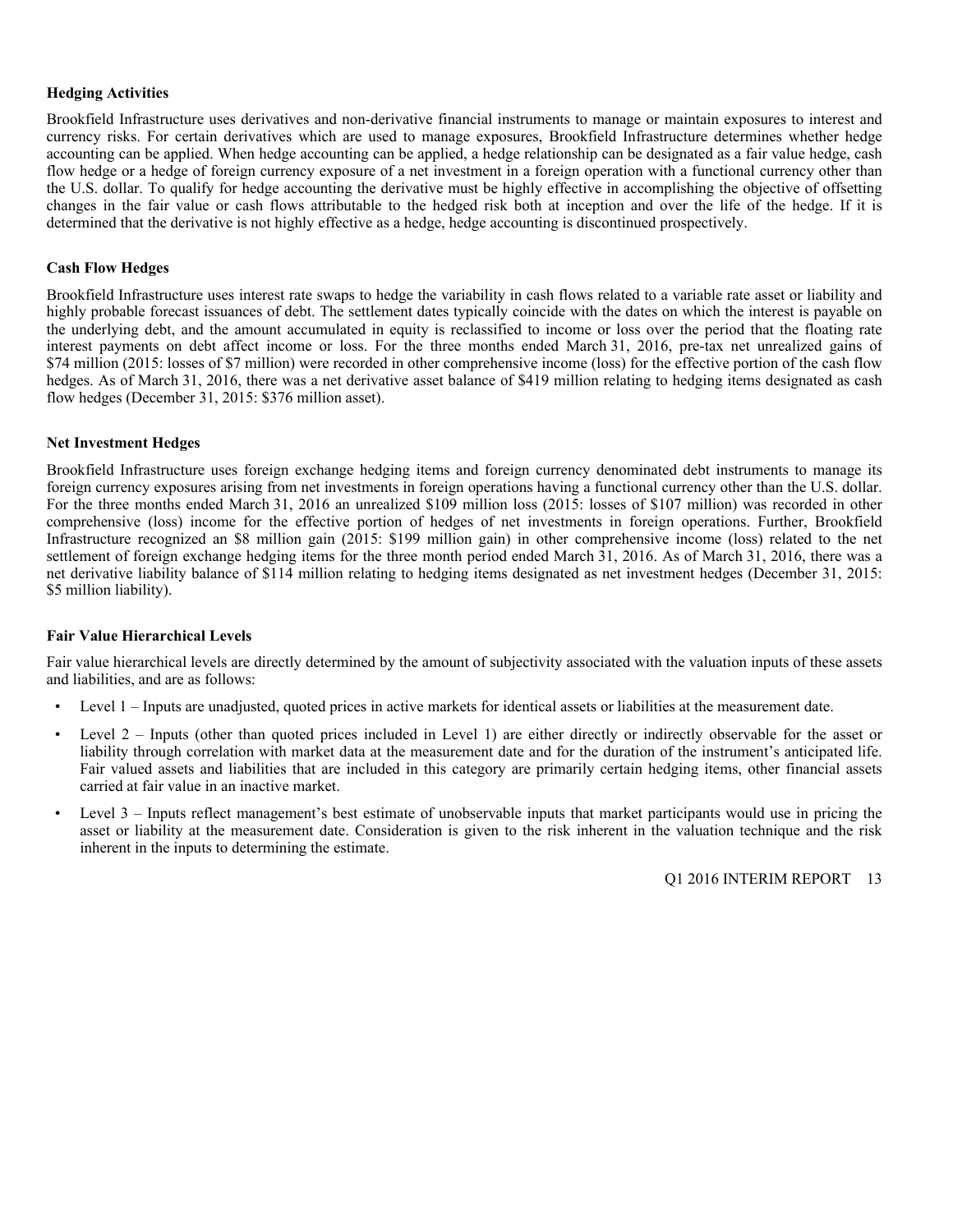### **Hedging Activities**

Brookfield Infrastructure uses derivatives and non-derivative financial instruments to manage or maintain exposures to interest and currency risks. For certain derivatives which are used to manage exposures, Brookfield Infrastructure determines whether hedge accounting can be applied. When hedge accounting can be applied, a hedge relationship can be designated as a fair value hedge, cash flow hedge or a hedge of foreign currency exposure of a net investment in a foreign operation with a functional currency other than the U.S. dollar. To qualify for hedge accounting the derivative must be highly effective in accomplishing the objective of offsetting changes in the fair value or cash flows attributable to the hedged risk both at inception and over the life of the hedge. If it is determined that the derivative is not highly effective as a hedge, hedge accounting is discontinued prospectively.

### **Cash Flow Hedges**

Brookfield Infrastructure uses interest rate swaps to hedge the variability in cash flows related to a variable rate asset or liability and highly probable forecast issuances of debt. The settlement dates typically coincide with the dates on which the interest is payable on the underlying debt, and the amount accumulated in equity is reclassified to income or loss over the period that the floating rate interest payments on debt affect income or loss. For the three months ended March 31, 2016, pre-tax net unrealized gains of \$74 million (2015: losses of \$7 million) were recorded in other comprehensive income (loss) for the effective portion of the cash flow hedges. As of March 31, 2016, there was a net derivative asset balance of \$419 million relating to hedging items designated as cash flow hedges (December 31, 2015: \$376 million asset).

### **Net Investment Hedges**

Brookfield Infrastructure uses foreign exchange hedging items and foreign currency denominated debt instruments to manage its foreign currency exposures arising from net investments in foreign operations having a functional currency other than the U.S. dollar. For the three months ended March 31, 2016 an unrealized \$109 million loss (2015: losses of \$107 million) was recorded in other comprehensive (loss) income for the effective portion of hedges of net investments in foreign operations. Further, Brookfield Infrastructure recognized an \$8 million gain (2015: \$199 million gain) in other comprehensive income (loss) related to the net settlement of foreign exchange hedging items for the three month period ended March 31, 2016. As of March 31, 2016, there was a net derivative liability balance of \$114 million relating to hedging items designated as net investment hedges (December 31, 2015: \$5 million liability).

### **Fair Value Hierarchical Levels**

Fair value hierarchical levels are directly determined by the amount of subjectivity associated with the valuation inputs of these assets and liabilities, and are as follows:

- Level 1 Inputs are unadjusted, quoted prices in active markets for identical assets or liabilities at the measurement date.
- Level 2 Inputs (other than quoted prices included in Level 1) are either directly or indirectly observable for the asset or liability through correlation with market data at the measurement date and for the duration of the instrument's anticipated life. Fair valued assets and liabilities that are included in this category are primarily certain hedging items, other financial assets carried at fair value in an inactive market.
- Level 3 Inputs reflect management's best estimate of unobservable inputs that market participants would use in pricing the asset or liability at the measurement date. Consideration is given to the risk inherent in the valuation technique and the risk inherent in the inputs to determining the estimate.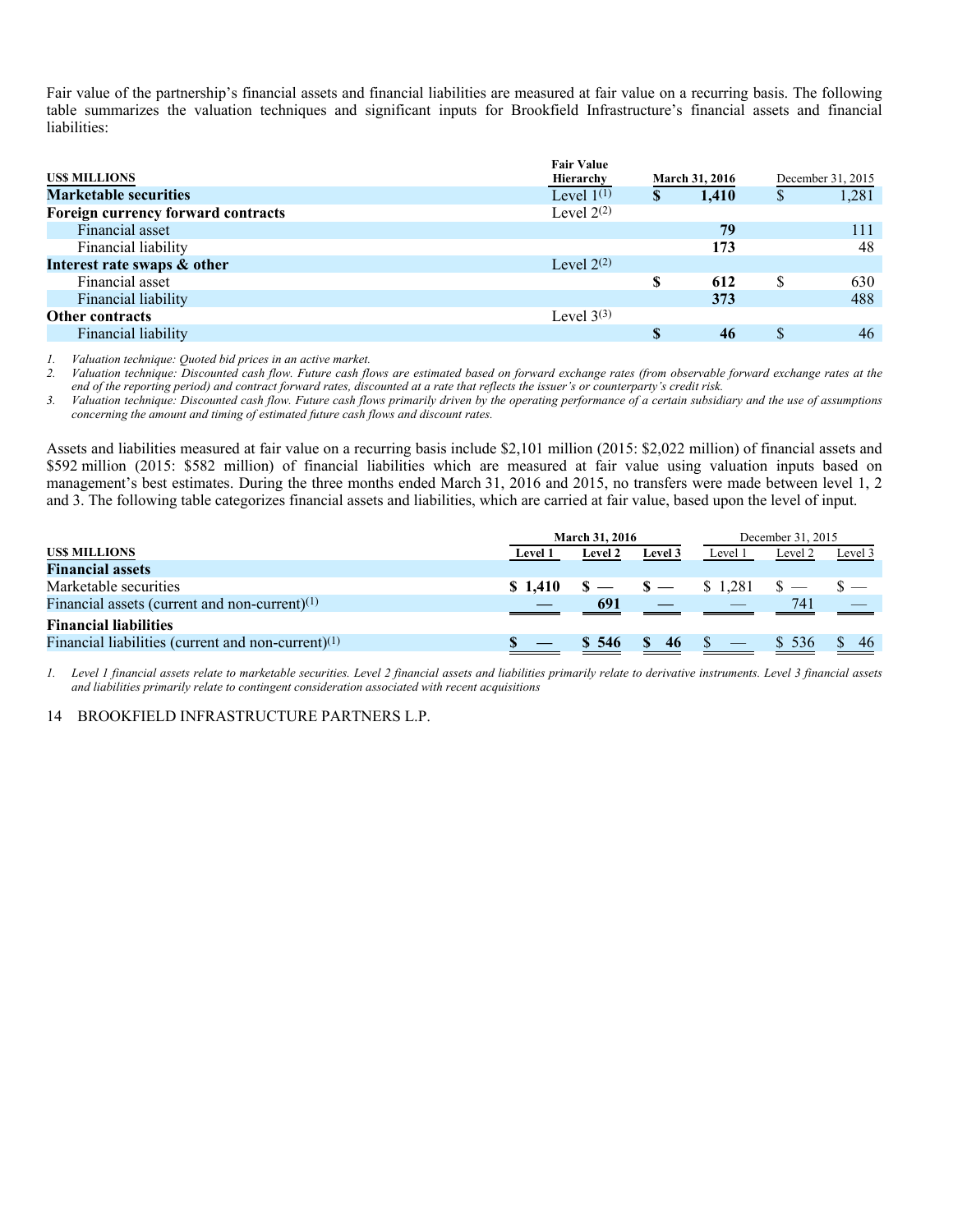Fair value of the partnership's financial assets and financial liabilities are measured at fair value on a recurring basis. The following table summarizes the valuation techniques and significant inputs for Brookfield Infrastructure's financial assets and financial liabilities:

|                                    | <b>Fair Value</b> |               |                       |    |                   |
|------------------------------------|-------------------|---------------|-----------------------|----|-------------------|
| <b>USS MILLIONS</b>                | Hierarchy         |               | <b>March 31, 2016</b> |    | December 31, 2015 |
| <b>Marketable securities</b>       | Level $1^{(1)}$   | <sup>\$</sup> | 1,410                 | S  | 1,281             |
| Foreign currency forward contracts | Level $2^{(2)}$   |               |                       |    |                   |
| Financial asset                    |                   |               | 79                    |    | 111               |
| Financial liability                |                   |               | 173                   |    | 48                |
| Interest rate swaps & other        | Level $2^{(2)}$   |               |                       |    |                   |
| Financial asset                    |                   | S             | 612                   | \$ | 630               |
| Financial liability                |                   |               | 373                   |    | 488               |
| <b>Other contracts</b>             | Level $3^{(3)}$   |               |                       |    |                   |
| Financial liability                |                   |               | 46                    |    | 46                |

*1. Valuation technique: Quoted bid prices in an active market.* 

*2. Valuation technique: Discounted cash flow. Future cash flows are estimated based on forward exchange rates (from observable forward exchange rates at the end of the reporting period) and contract forward rates, discounted at a rate that reflects the issuer's or counterparty's credit risk.* 

*3. Valuation technique: Discounted cash flow. Future cash flows primarily driven by the operating performance of a certain subsidiary and the use of assumptions concerning the amount and timing of estimated future cash flows and discount rates.* 

Assets and liabilities measured at fair value on a recurring basis include \$2,101 million (2015: \$2,022 million) of financial assets and \$592 million (2015: \$582 million) of financial liabilities which are measured at fair value using valuation inputs based on management's best estimates. During the three months ended March 31, 2016 and 2015, no transfers were made between level 1, 2 and 3. The following table categorizes financial assets and liabilities, which are carried at fair value, based upon the level of input.

|                                                       | <b>March 31, 2016</b> |                |                   |                                      | December 31, 2015 |         |
|-------------------------------------------------------|-----------------------|----------------|-------------------|--------------------------------------|-------------------|---------|
| US\$ MILLIONS                                         | <b>Level 1</b>        | <b>Level 2</b> | Level 3           | Level 1                              | Level 2           | Level 3 |
| <b>Financial assets</b>                               |                       |                |                   |                                      |                   |         |
| Marketable securities                                 |                       |                |                   | $$1,410$ $$ - $ - $ - $ 1,281$ $$ -$ |                   |         |
| Financial assets (current and non-current) $(1)$      |                       | 691            |                   |                                      | 741               |         |
| <b>Financial liabilities</b>                          |                       |                |                   |                                      |                   |         |
| Financial liabilities (current and non-current) $(1)$ |                       | \$ 546         | $\frac{\ }{6}$ 46 |                                      | \$ 536            | 46      |

*1. Level 1 financial assets relate to marketable securities. Level 2 financial assets and liabilities primarily relate to derivative instruments. Level 3 financial assets and liabilities primarily relate to contingent consideration associated with recent acquisitions*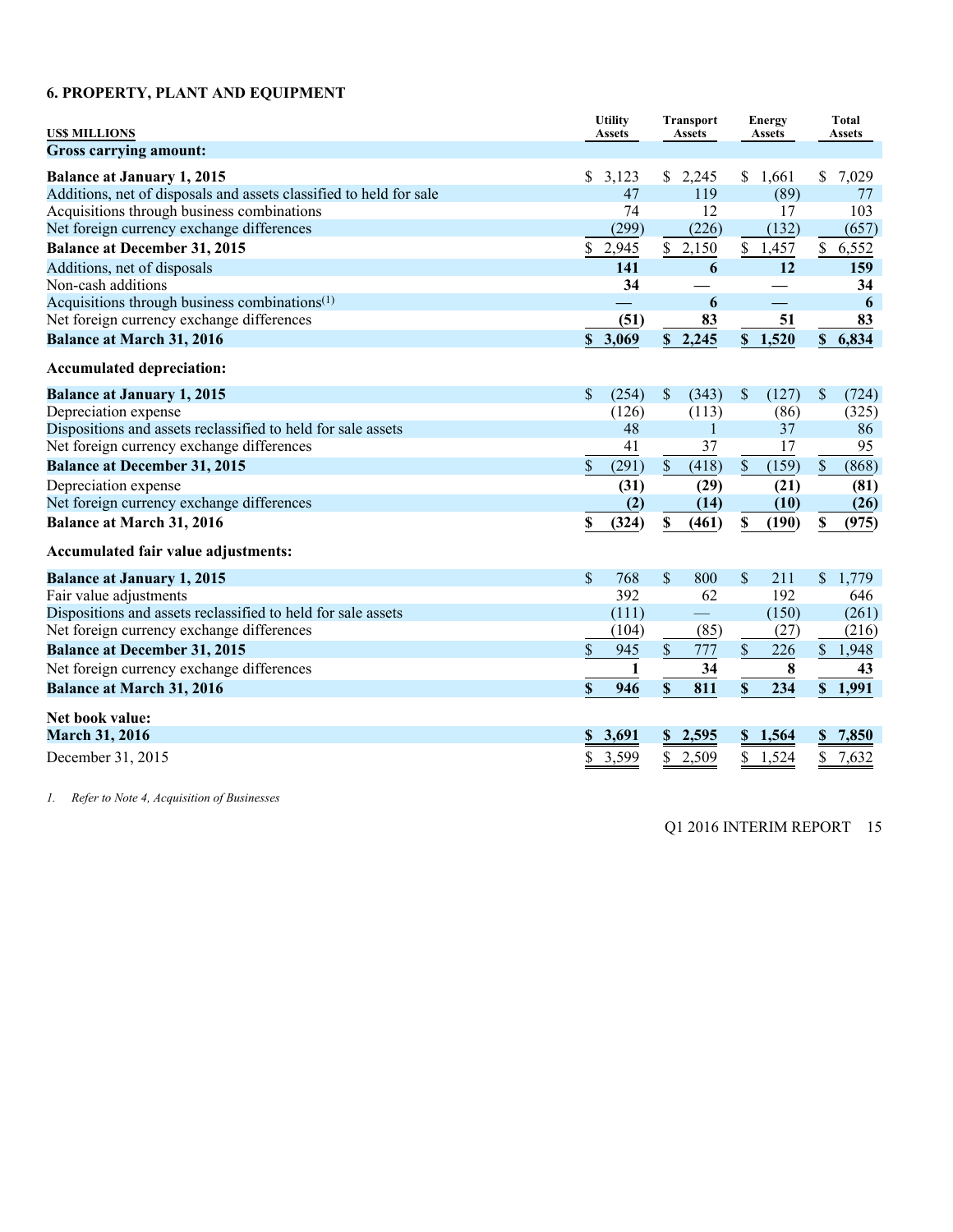### **6. PROPERTY, PLANT AND EQUIPMENT**

| <b>USS MILLIONS</b>                                                                                     | <b>Utility</b><br><b>Assets</b> | <b>Transport</b><br><b>Assets</b> | <b>Energy</b><br><b>Assets</b>   | <b>Total</b><br><b>Assets</b> |
|---------------------------------------------------------------------------------------------------------|---------------------------------|-----------------------------------|----------------------------------|-------------------------------|
| Gross carrying amount:                                                                                  |                                 |                                   |                                  |                               |
| <b>Balance at January 1, 2015</b><br>Additions, net of disposals and assets classified to held for sale | \$3,123<br>47                   | \$2,245<br>119                    | \$1,661<br>(89)                  | \$<br>7,029<br>77             |
| Acquisitions through business combinations                                                              | 74                              | 12                                | 17                               | 103                           |
| Net foreign currency exchange differences                                                               | (299)                           | (226)                             | (132)                            | (657)                         |
| <b>Balance at December 31, 2015</b>                                                                     | \$<br>2,945                     | \$2,150                           | \$1,457                          | \$6,552                       |
| Additions, net of disposals                                                                             | 141                             | 6                                 | 12                               | 159                           |
| Non-cash additions                                                                                      | 34                              |                                   |                                  | 34                            |
| Acquisitions through business combinations <sup>(1)</sup>                                               |                                 | 6                                 |                                  | 6                             |
| Net foreign currency exchange differences                                                               | (51)                            | 83                                | 51                               | 83                            |
| <b>Balance at March 31, 2016</b>                                                                        | 3,069<br>\$                     | \$2,245                           | \$1,520                          | \$6,834                       |
| <b>Accumulated depreciation:</b>                                                                        |                                 |                                   |                                  |                               |
| <b>Balance at January 1, 2015</b>                                                                       | \$<br>(254)                     | $\sqrt{\ }$<br>(343)              | \$<br>(127)                      | \$<br>(724)                   |
| Depreciation expense                                                                                    | (126)                           | (113)                             | (86)                             | (325)                         |
| Dispositions and assets reclassified to held for sale assets                                            | 48                              | $\mathbf{1}$                      | 37                               | 86                            |
| Net foreign currency exchange differences                                                               | 41                              | 37                                | 17                               | 95                            |
| <b>Balance at December 31, 2015</b>                                                                     | \$<br>(291)                     | $\mathbb S$<br>(418)              | $\$$<br>(159)                    | \$<br>(868)                   |
| Depreciation expense                                                                                    | (31)                            | (29)                              | (21)                             | (81)                          |
| Net foreign currency exchange differences                                                               | (2)                             | (14)                              | (10)                             | (26)                          |
| <b>Balance at March 31, 2016</b>                                                                        | \$<br>(324)                     | \$<br>(461)                       | \$<br>(190)                      | \$<br>(975)                   |
| Accumulated fair value adjustments:                                                                     |                                 |                                   |                                  |                               |
| <b>Balance at January 1, 2015</b>                                                                       | $\mathsf{\$}$<br>768            | $\mathbf{\hat{S}}$<br>800         | $\mathbf{\hat{S}}$<br>211        | \$<br>1,779                   |
| Fair value adjustments                                                                                  | 392                             | 62                                | 192                              | 646                           |
| Dispositions and assets reclassified to held for sale assets                                            | (111)                           | $\overline{\phantom{a}}$          | (150)                            | (261)                         |
| Net foreign currency exchange differences                                                               | (104)                           | (85)                              | (27)                             | (216)                         |
| <b>Balance at December 31, 2015</b>                                                                     | \$<br>945                       | \$<br>777                         | $\boldsymbol{\mathsf{S}}$<br>226 | \$1,948                       |
| Net foreign currency exchange differences                                                               | $\mathbf{1}$                    | 34                                | 8                                | 43                            |
| <b>Balance at March 31, 2016</b>                                                                        | \$<br>946                       | \$<br>811                         | \$<br>234                        | \$1,991                       |
| Net book value:                                                                                         |                                 |                                   |                                  |                               |
| <b>March 31, 2016</b>                                                                                   | 3,691<br>S                      | 2,595<br>$\mathbf{s}$             | \$1,564                          | 7,850<br>\$                   |
| December 31, 2015                                                                                       | \$<br>3,599                     | 2,509<br>\$                       | \$<br>1,524                      | 7,632<br>\$                   |

*1. Refer to Note 4, Acquisition of Businesses*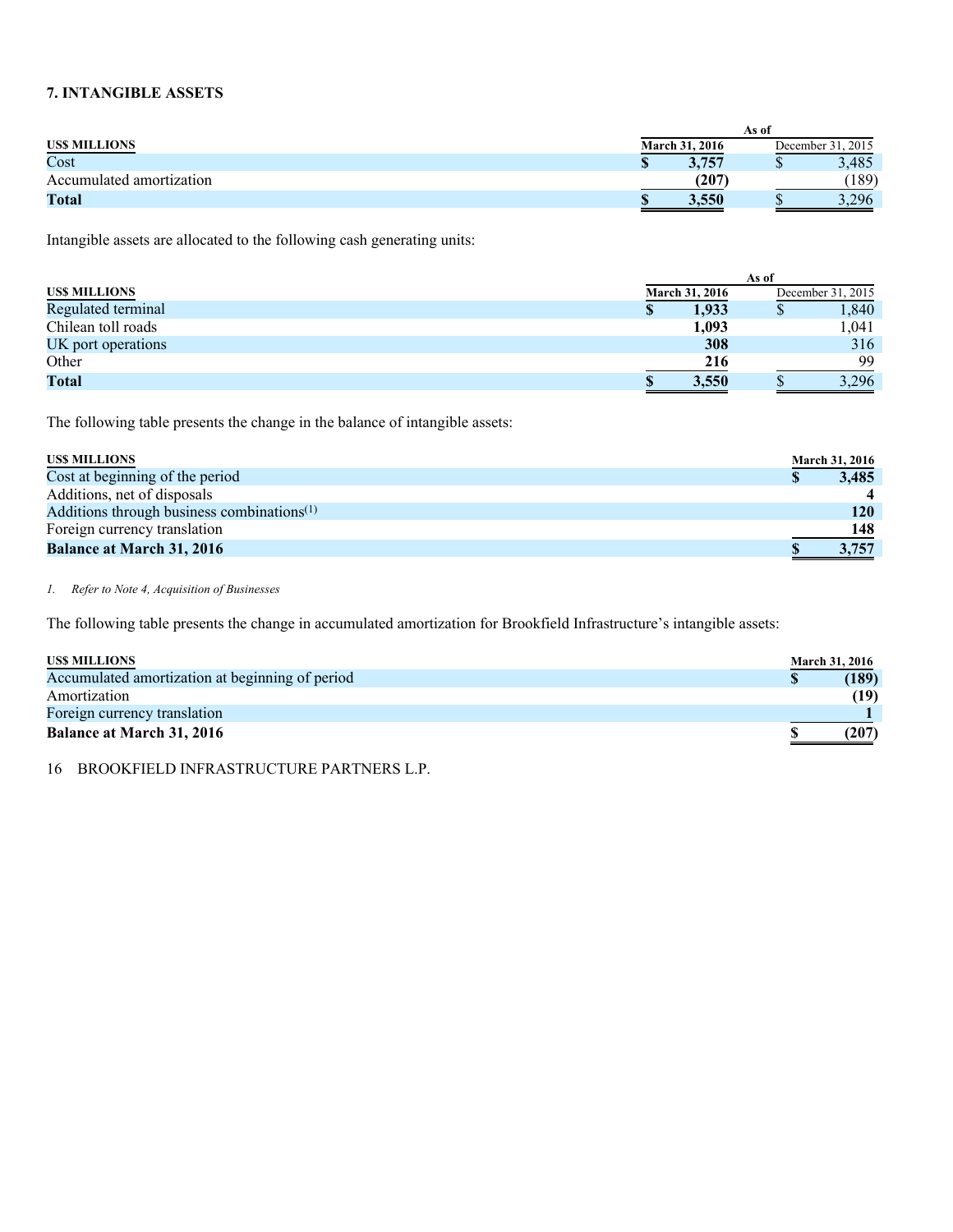### **7. INTANGIBLE ASSETS**

|                          | As of                 |                   |
|--------------------------|-----------------------|-------------------|
| <b>USS MILLIONS</b>      | <b>March 31, 2016</b> | December 31, 2015 |
| Cost                     | 3,757                 | 3.485             |
| Accumulated amortization | $^{\prime}207$        | (189)             |
| <b>Total</b>             | 3,550                 | 3,296             |

Intangible assets are allocated to the following cash generating units:

|                     | As of |                       |  |                   |
|---------------------|-------|-----------------------|--|-------------------|
| <b>USS MILLIONS</b> |       | <b>March 31, 2016</b> |  | December 31, 2015 |
| Regulated terminal  | S     | 1,933                 |  | 1,840             |
| Chilean toll roads  |       | 1,093                 |  | 1,041             |
| UK port operations  |       | 308                   |  | 316               |
| Other               |       | 216                   |  | 99                |
| <b>Total</b>        |       | 3,550                 |  | 3.296             |

The following table presents the change in the balance of intangible assets:

| <b>USS MILLIONS</b>                                    | <b>March 31, 2016</b> |
|--------------------------------------------------------|-----------------------|
| Cost at beginning of the period                        | 3,485                 |
| Additions, net of disposals                            |                       |
| Additions through business combinations <sup>(1)</sup> | 120                   |
| Foreign currency translation                           | 148                   |
| <b>Balance at March 31, 2016</b>                       | 3,757                 |

*1. Refer to Note 4, Acquisition of Businesses* 

The following table presents the change in accumulated amortization for Brookfield Infrastructure's intangible assets:

| <b>USS MILLIONS</b>                             | <b>March 31, 2016</b> |
|-------------------------------------------------|-----------------------|
| Accumulated amortization at beginning of period | (189)                 |
| Amortization                                    | (19)                  |
| Foreign currency translation                    |                       |
| <b>Balance at March 31, 2016</b>                | (207)                 |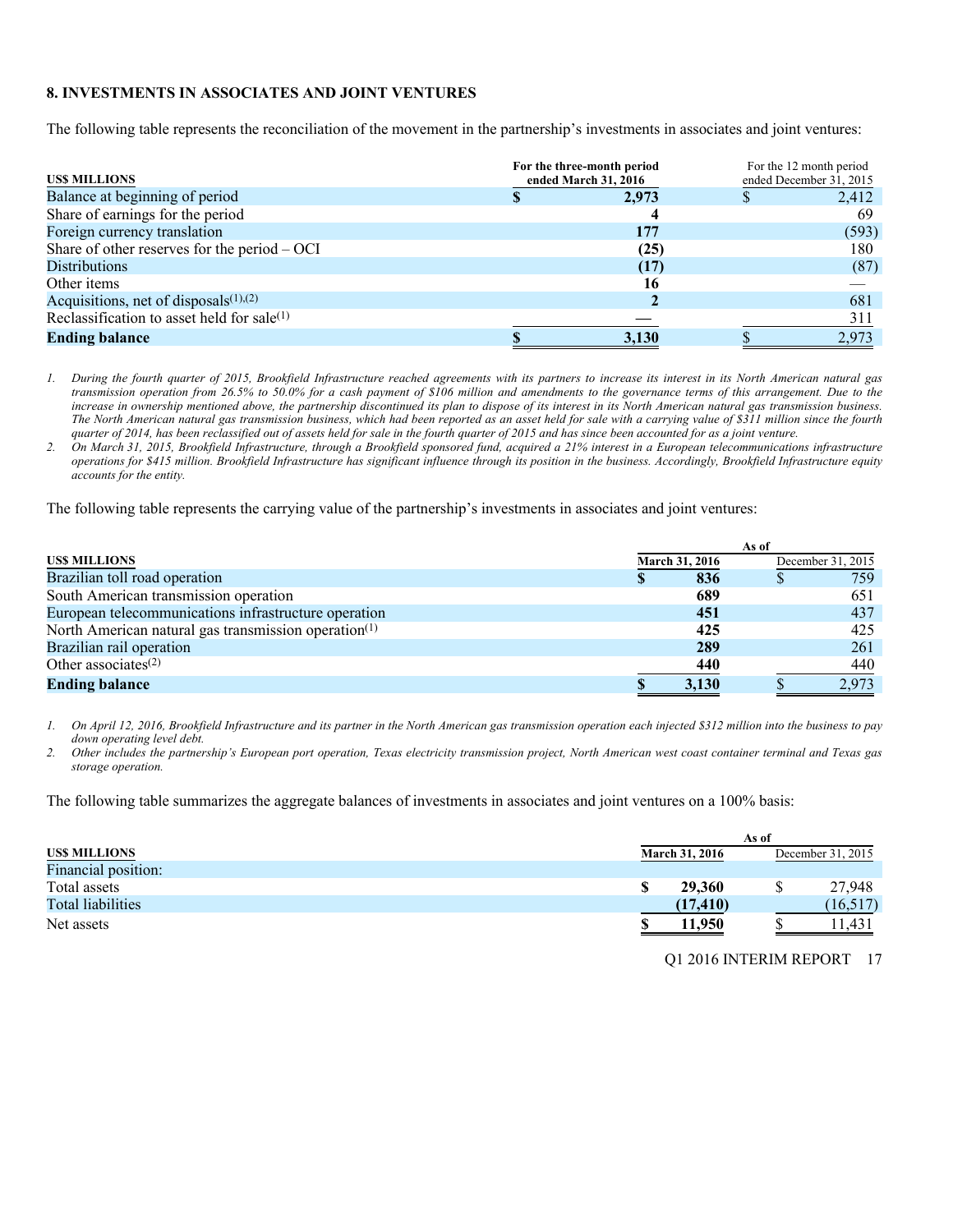### **8. INVESTMENTS IN ASSOCIATES AND JOINT VENTURES**

The following table represents the reconciliation of the movement in the partnership's investments in associates and joint ventures:

| <b>USS MILLIONS</b>                            | For the three-month period<br>ended March 31, 2016 | For the 12 month period<br>ended December 31, 2015 |
|------------------------------------------------|----------------------------------------------------|----------------------------------------------------|
| Balance at beginning of period                 | 2,973                                              | 2,412                                              |
| Share of earnings for the period               |                                                    | 69                                                 |
| Foreign currency translation                   | 177                                                | (593)                                              |
| Share of other reserves for the period $-$ OCI | (25)                                               | 180                                                |
| <b>Distributions</b>                           | (17)                                               | (87)                                               |
| Other items                                    | 16                                                 |                                                    |
| Acquisitions, net of disposals $(1)$ , $(2)$   |                                                    | 681                                                |
| Reclassification to asset held for sale(1)     |                                                    | 311                                                |
| <b>Ending balance</b>                          | 3,130                                              | 2.973                                              |

*1. During the fourth quarter of 2015, Brookfield Infrastructure reached agreements with its partners to increase its interest in its North American natural gas transmission operation from 26.5% to 50.0% for a cash payment of \$106 million and amendments to the governance terms of this arrangement. Due to the increase in ownership mentioned above, the partnership discontinued its plan to dispose of its interest in its North American natural gas transmission business. The North American natural gas transmission business, which had been reported as an asset held for sale with a carrying value of \$311 million since the fourth quarter of 2014, has been reclassified out of assets held for sale in the fourth quarter of 2015 and has since been accounted for as a joint venture.* 

*2. On March 31, 2015, Brookfield Infrastructure, through a Brookfield sponsored fund, acquired a 21% interest in a European telecommunications infrastructure operations for \$415 million. Brookfield Infrastructure has significant influence through its position in the business. Accordingly, Brookfield Infrastructure equity accounts for the entity.* 

The following table represents the carrying value of the partnership's investments in associates and joint ventures:

|                                                                  | As of |                       |  |                   |
|------------------------------------------------------------------|-------|-----------------------|--|-------------------|
| <b>USS MILLIONS</b>                                              |       | <b>March 31, 2016</b> |  | December 31, 2015 |
| Brazilian toll road operation                                    |       | 836                   |  | 759               |
| South American transmission operation                            |       | 689                   |  | 651               |
| European telecommunications infrastructure operation             |       | 451                   |  | 437               |
| North American natural gas transmission operation <sup>(1)</sup> |       | 425                   |  | 425               |
| Brazilian rail operation                                         |       | 289                   |  | 261               |
| Other associates $(2)$                                           |       | 440                   |  | 440               |
| <b>Ending balance</b>                                            |       | 3,130                 |  | 2.973             |

*1. On April 12, 2016, Brookfield Infrastructure and its partner in the North American gas transmission operation each injected \$312 million into the business to pay down operating level debt.* 

*2. Other includes the partnership's European port operation, Texas electricity transmission project, North American west coast container terminal and Texas gas storage operation.* 

The following table summarizes the aggregate balances of investments in associates and joint ventures on a 100% basis:

|                          | As of                 |  |                   |  |
|--------------------------|-----------------------|--|-------------------|--|
| US\$ MILLIONS            | <b>March 31, 2016</b> |  | December 31, 2015 |  |
| Financial position:      |                       |  |                   |  |
| Total assets             | 29,360                |  | 27,948            |  |
| <b>Total liabilities</b> | (17, 410)             |  | (16, 517)         |  |
| Net assets               | 11.950                |  | 1.431             |  |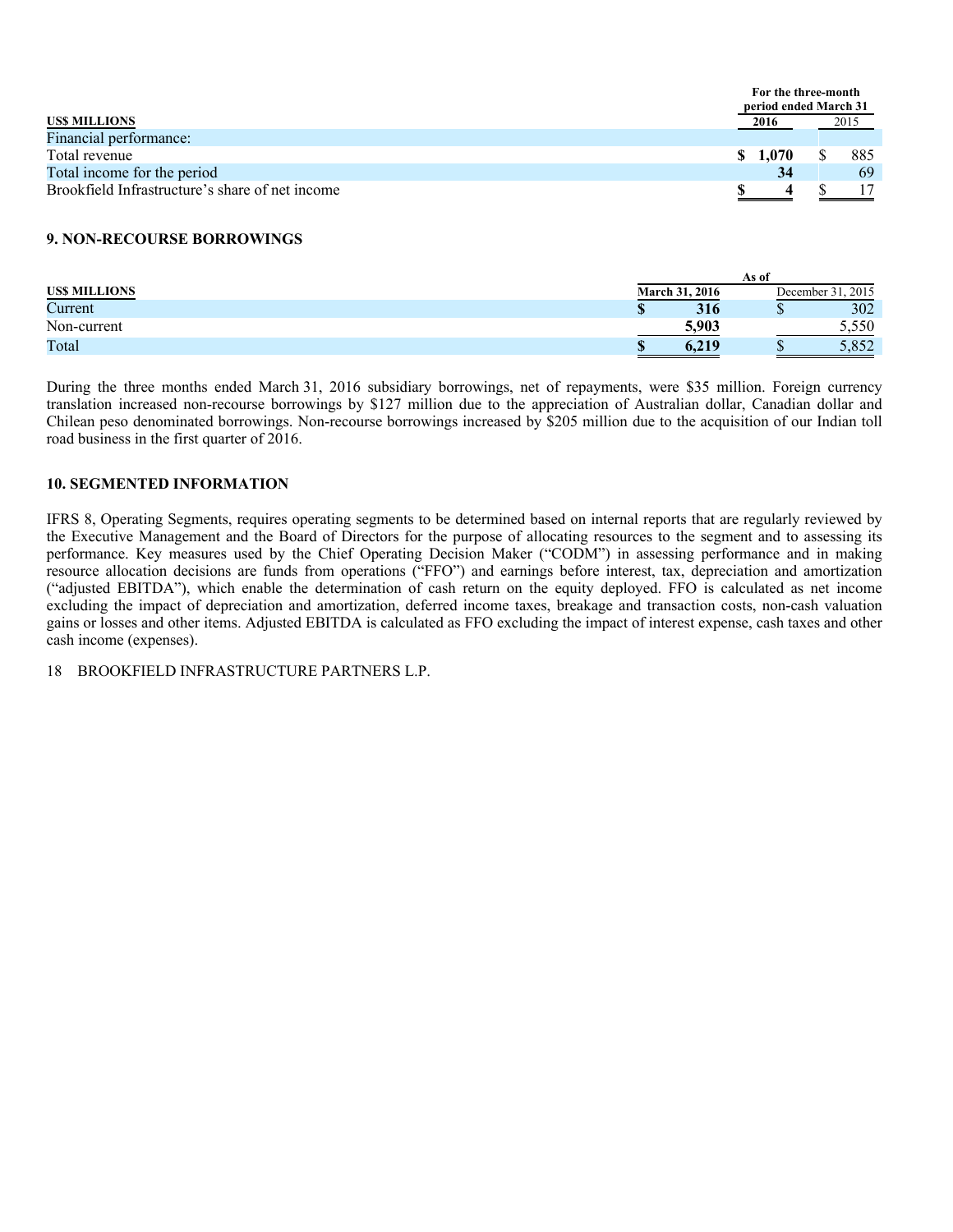|                                                 |    | For the three-month<br>period ended March 31 |      |
|-------------------------------------------------|----|----------------------------------------------|------|
| US\$ MILLIONS                                   |    | 2016                                         | 2015 |
| Financial performance:                          |    |                                              |      |
| Total revenue                                   | S. | 1,070                                        | 885  |
| Total income for the period                     |    | 34                                           | 69   |
| Brookfield Infrastructure's share of net income |    |                                              |      |

### **9. NON-RECOURSE BORROWINGS**

|                     |                | As of |                   |
|---------------------|----------------|-------|-------------------|
| <b>USS MILLIONS</b> | March 31, 2016 |       | December 31, 2015 |
| Current             | 316            | D     | 302               |
| Non-current         | 5.903          |       | 5.550             |
| Total               | 0,219          |       | 052<br>J.OJZ      |

During the three months ended March 31, 2016 subsidiary borrowings, net of repayments, were \$35 million. Foreign currency translation increased non-recourse borrowings by \$127 million due to the appreciation of Australian dollar, Canadian dollar and Chilean peso denominated borrowings. Non-recourse borrowings increased by \$205 million due to the acquisition of our Indian toll road business in the first quarter of 2016.

### **10. SEGMENTED INFORMATION**

IFRS 8, Operating Segments, requires operating segments to be determined based on internal reports that are regularly reviewed by the Executive Management and the Board of Directors for the purpose of allocating resources to the segment and to assessing its performance. Key measures used by the Chief Operating Decision Maker ("CODM") in assessing performance and in making resource allocation decisions are funds from operations ("FFO") and earnings before interest, tax, depreciation and amortization ("adjusted EBITDA"), which enable the determination of cash return on the equity deployed. FFO is calculated as net income excluding the impact of depreciation and amortization, deferred income taxes, breakage and transaction costs, non-cash valuation gains or losses and other items. Adjusted EBITDA is calculated as FFO excluding the impact of interest expense, cash taxes and other cash income (expenses).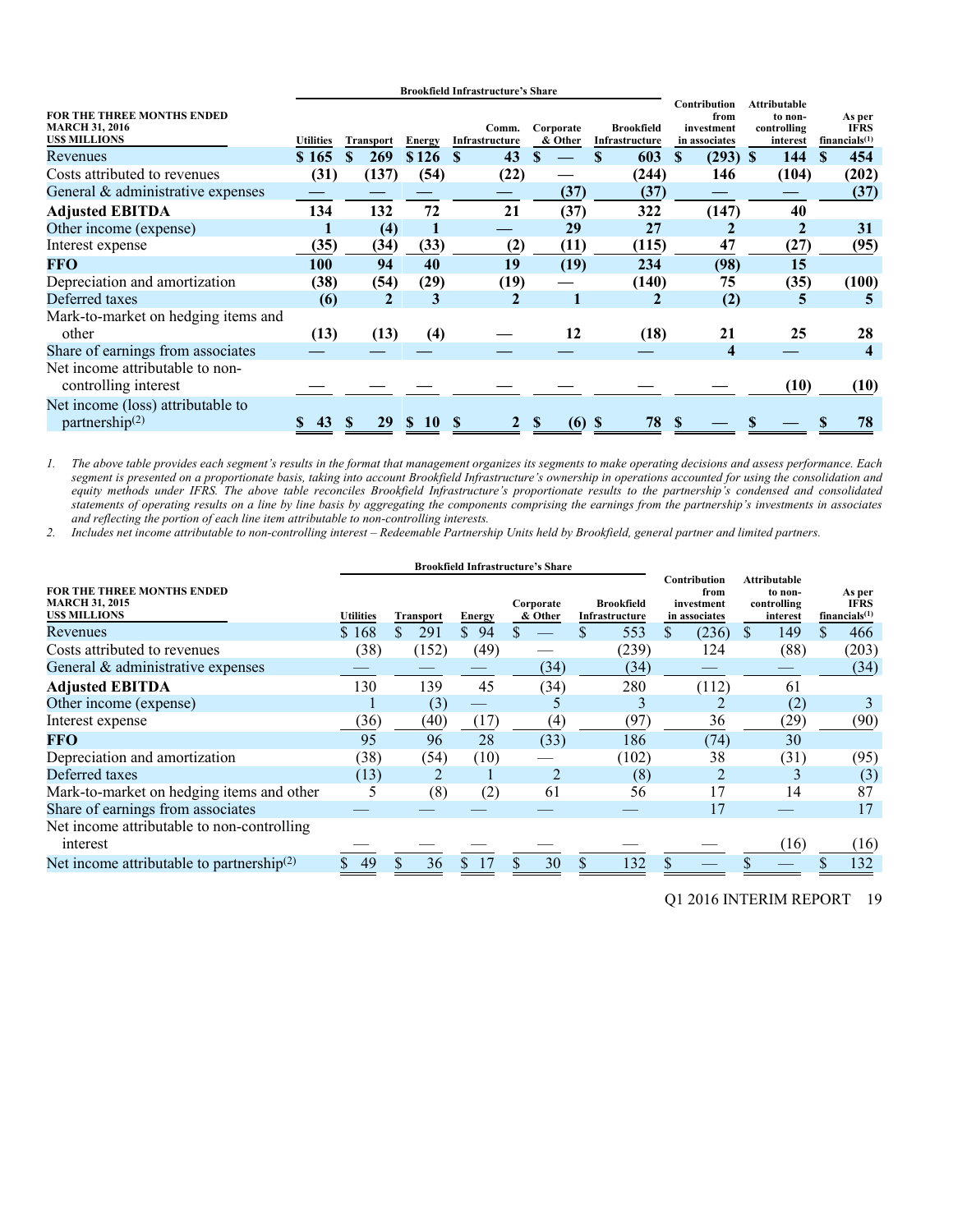|                                                                                   |                  |                  | <b>Brookfield Infrastructure's Share</b> |                         |                      |                                     |                                                     |                                                           |                                           |
|-----------------------------------------------------------------------------------|------------------|------------------|------------------------------------------|-------------------------|----------------------|-------------------------------------|-----------------------------------------------------|-----------------------------------------------------------|-------------------------------------------|
| <b>FOR THE THREE MONTHS ENDED</b><br><b>MARCH 31, 2016</b><br><b>USS MILLIONS</b> | <b>Utilities</b> | <b>Transport</b> | <b>Energy</b>                            | Comm.<br>Infrastructure | Corporate<br>& Other | <b>Brookfield</b><br>Infrastructure | Contribution<br>from<br>investment<br>in associates | <b>Attributable</b><br>to non-<br>controlling<br>interest | As per<br><b>IFRS</b><br>financials $(1)$ |
| Revenues                                                                          | \$165            | 269              | \$126                                    | 43<br><b>S</b>          |                      | 603                                 | $(293)$ \$<br><b>S</b>                              | 144                                                       | 454<br><b>S</b>                           |
| Costs attributed to revenues                                                      | (31)             | (137)            | (54)                                     | (22)                    |                      | (244)                               | 146                                                 | (104)                                                     | (202)                                     |
| General & administrative expenses                                                 |                  |                  |                                          |                         | (37)                 | (37)                                |                                                     |                                                           | (37)                                      |
| <b>Adjusted EBITDA</b>                                                            | 134              | 132              | 72                                       | 21                      | (37)                 | 322                                 | (147)                                               | 40                                                        |                                           |
| Other income (expense)                                                            |                  | (4)              |                                          |                         | 29                   | 27                                  |                                                     |                                                           | 31                                        |
| Interest expense                                                                  | (35)             | (34)             | (33)                                     | (2)                     | (11)                 | (115)                               | 47                                                  | (27)                                                      | (95)                                      |
| <b>FFO</b>                                                                        | 100              | 94               | 40                                       | 19                      | (19)                 | 234                                 | (98)                                                | 15                                                        |                                           |
| Depreciation and amortization                                                     | (38)             | (54)             | (29)                                     | (19)                    |                      | (140)                               | 75                                                  | (35)                                                      | (100)                                     |
| Deferred taxes                                                                    | (6)              | $\mathbf{2}$     | 3                                        | $\mathbf{2}$            |                      | 2                                   | (2)                                                 | 5                                                         |                                           |
| Mark-to-market on hedging items and                                               |                  |                  |                                          |                         |                      |                                     |                                                     |                                                           |                                           |
| other                                                                             | (13)             | (13)             | (4)                                      |                         | 12                   | (18)                                | 21                                                  | 25                                                        | 28                                        |
| Share of earnings from associates                                                 |                  |                  |                                          |                         |                      |                                     | 4                                                   |                                                           | $\overline{\bf 4}$                        |
| Net income attributable to non-<br>controlling interest                           |                  |                  |                                          |                         |                      |                                     |                                                     | (10)                                                      | (10)                                      |
| Net income (loss) attributable to<br>partnership $(2)$                            | 43               | 29<br>S          | 10<br>S.                                 | $\mathbf{2}$            | \$<br>$(6)$ \$       | 78                                  |                                                     |                                                           | 78                                        |

*1. The above table provides each segment's results in the format that management organizes its segments to make operating decisions and assess performance. Each segment is presented on a proportionate basis, taking into account Brookfield Infrastructure's ownership in operations accounted for using the consolidation and equity methods under IFRS. The above table reconciles Brookfield Infrastructure's proportionate results to the partnership's condensed and consolidated statements of operating results on a line by line basis by aggregating the components comprising the earnings from the partnership's investments in associates and reflecting the portion of each line item attributable to non-controlling interests.* 

*2. Includes net income attributable to non-controlling interest – Redeemable Partnership Units held by Brookfield, general partner and limited partners.* 

|                                                                                   |                  |                  | <b>Brookfield Infrastructure's Share</b> |                      |                                     |                                                     |                                                           |                                                    |
|-----------------------------------------------------------------------------------|------------------|------------------|------------------------------------------|----------------------|-------------------------------------|-----------------------------------------------------|-----------------------------------------------------------|----------------------------------------------------|
| <b>FOR THE THREE MONTHS ENDED</b><br><b>MARCH 31, 2015</b><br><b>USS MILLIONS</b> | <b>Utilities</b> | <b>Transport</b> | Energy                                   | Corporate<br>& Other | <b>Brookfield</b><br>Infrastructure | Contribution<br>from<br>investment<br>in associates | <b>Attributable</b><br>to non-<br>controlling<br>interest | As per<br><b>IFRS</b><br>financials <sup>(1)</sup> |
| Revenues                                                                          | \$168            | \$<br>291        | \$<br>94                                 |                      | 553                                 | (236)<br>\$                                         | 149<br>S                                                  | \$<br>466                                          |
| Costs attributed to revenues                                                      | (38)             | (152)            | (49)                                     |                      | (239)                               | 124                                                 | (88)                                                      | (203)                                              |
| General & administrative expenses                                                 |                  |                  |                                          | (34)                 | (34)                                |                                                     |                                                           | (34)                                               |
| <b>Adjusted EBITDA</b>                                                            | 130              | 139              | 45                                       | (34)                 | 280                                 | (112)                                               | 61                                                        |                                                    |
| Other income (expense)                                                            |                  | (3)              |                                          |                      | 3                                   |                                                     | (2)                                                       |                                                    |
| Interest expense                                                                  | (36)             | (40)             | (17)                                     | (4)                  | (97)                                | 36                                                  | (29)                                                      | (90)                                               |
| <b>FFO</b>                                                                        | 95               | 96               | 28                                       | (33)                 | 186                                 | (74)                                                | 30                                                        |                                                    |
| Depreciation and amortization                                                     | (38)             | (54)             | (10)                                     |                      | (102)                               | 38                                                  | (31)                                                      | (95)                                               |
| Deferred taxes                                                                    | (13)             |                  |                                          |                      | (8)                                 |                                                     |                                                           | (3)                                                |
| Mark-to-market on hedging items and other                                         |                  | (8)              | (2)                                      | 61                   | 56                                  | 17                                                  | 14                                                        | 87                                                 |
| Share of earnings from associates                                                 |                  |                  |                                          |                      |                                     | 17                                                  |                                                           | 17                                                 |
| Net income attributable to non-controlling<br>interest                            |                  |                  |                                          |                      |                                     |                                                     | (16)                                                      | (16)                                               |
| Net income attributable to partnership $(2)$                                      | 49               | 36               | \$17                                     | 30                   | 132<br>\$                           |                                                     |                                                           | 132                                                |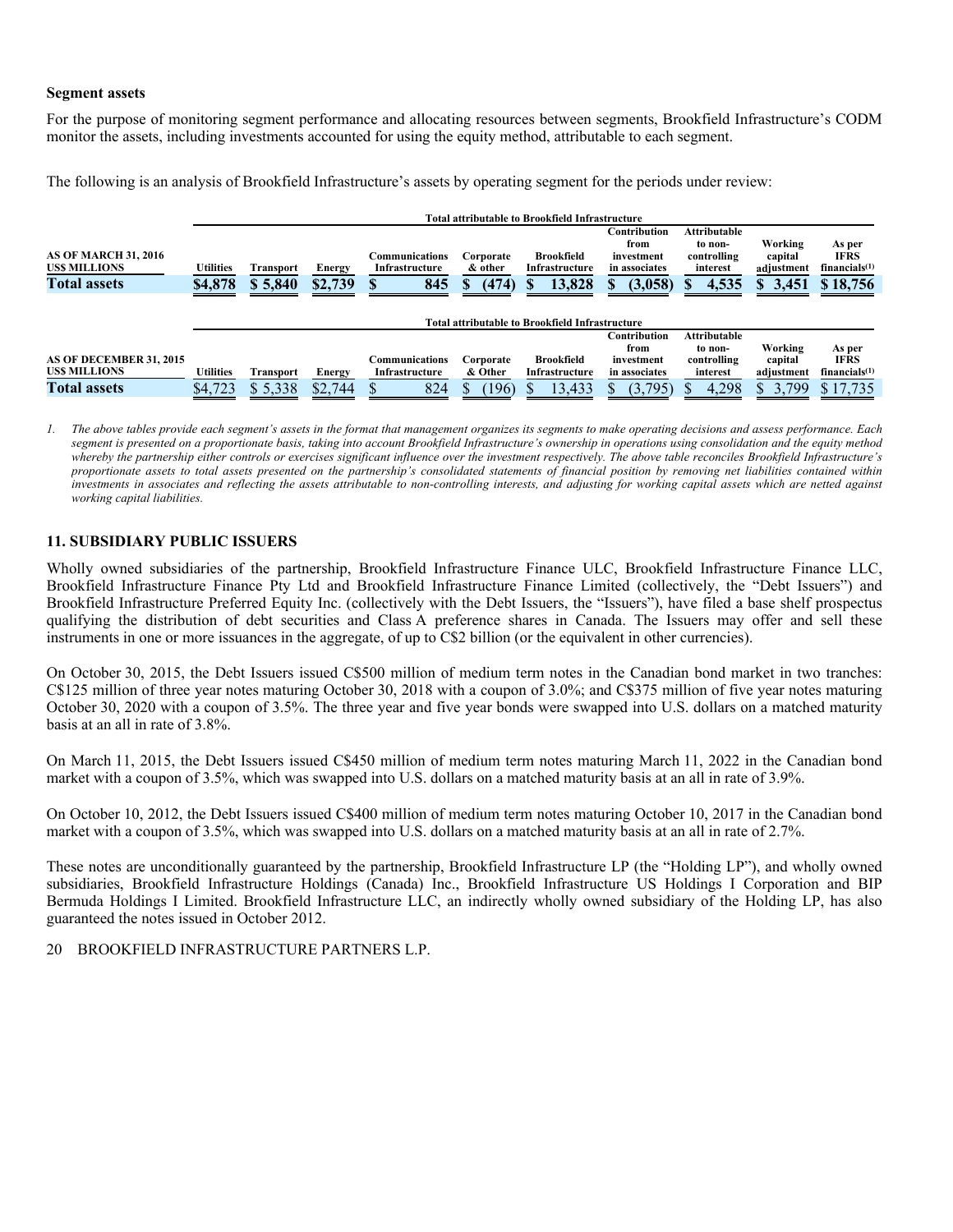### **Segment assets**

For the purpose of monitoring segment performance and allocating resources between segments, Brookfield Infrastructure's CODM monitor the assets, including investments accounted for using the equity method, attributable to each segment.

The following is an analysis of Brookfield Infrastructure's assets by operating segment for the periods under review:

|                                                                           |                      |                             |                          |                                         |                                     | <b>Total attributable to Brookfield Infrastructure</b> |                                                                       |                                                                    |                                                 |                                                                |
|---------------------------------------------------------------------------|----------------------|-----------------------------|--------------------------|-----------------------------------------|-------------------------------------|--------------------------------------------------------|-----------------------------------------------------------------------|--------------------------------------------------------------------|-------------------------------------------------|----------------------------------------------------------------|
| <b>AS OF MARCH 31, 2016</b><br><b>USS MILLIONS</b><br><b>Total assets</b> | Utilities<br>\$4,878 | <b>Transport</b><br>\$5,840 | Energy<br>\$2,739        | Communications<br>Infrastructure<br>845 | Corporate<br>& other<br>(474)<br>пĐ | <b>Brookfield</b><br>Infrastructure<br>13,828<br>ъ     | Contribution<br>from<br>investment<br>in associates<br>(3,058)        | <b>Attributable</b><br>to non-<br>controlling<br>interest<br>4,535 | Working<br>capital<br>adjustment<br>3,451<br>S. | As per<br>IFRS<br>financials $(1)$<br>\$18,756                 |
|                                                                           |                      |                             |                          |                                         |                                     | <b>Total attributable to Brookfield Infrastructure</b> |                                                                       |                                                                    |                                                 |                                                                |
| AS OF DECEMBER 31, 2015<br><b>USS MILLIONS</b><br><b>Total assets</b>     | Utilities<br>\$4,723 | <b>Transport</b><br>\$5,338 | <b>Energy</b><br>\$2,744 | Communications<br>Infrastructure<br>824 | Corporate<br>& Other<br>(196)       | <b>Brookfield</b><br>Infrastructure<br>13,433          | <b>Contribution</b><br>from<br>investment<br>in associates<br>(3,795) | <b>Attributable</b><br>to non-<br>controlling<br>interest<br>4,298 | Working<br>capital<br>adjustment<br>3,799       | As per<br><b>IFRS</b><br>financials <sup>(1)</sup><br>\$17,735 |

*1. The above tables provide each segment's assets in the format that management organizes its segments to make operating decisions and assess performance. Each segment is presented on a proportionate basis, taking into account Brookfield Infrastructure's ownership in operations using consolidation and the equity method whereby the partnership either controls or exercises significant influence over the investment respectively. The above table reconciles Brookfield Infrastructure's proportionate assets to total assets presented on the partnership's consolidated statements of financial position by removing net liabilities contained within investments in associates and reflecting the assets attributable to non-controlling interests, and adjusting for working capital assets which are netted against working capital liabilities.* 

### **11. SUBSIDIARY PUBLIC ISSUERS**

Wholly owned subsidiaries of the partnership, Brookfield Infrastructure Finance ULC, Brookfield Infrastructure Finance LLC, Brookfield Infrastructure Finance Pty Ltd and Brookfield Infrastructure Finance Limited (collectively, the "Debt Issuers") and Brookfield Infrastructure Preferred Equity Inc. (collectively with the Debt Issuers, the "Issuers"), have filed a base shelf prospectus qualifying the distribution of debt securities and Class A preference shares in Canada. The Issuers may offer and sell these instruments in one or more issuances in the aggregate, of up to C\$2 billion (or the equivalent in other currencies).

On October 30, 2015, the Debt Issuers issued C\$500 million of medium term notes in the Canadian bond market in two tranches: C\$125 million of three year notes maturing October 30, 2018 with a coupon of 3.0%; and C\$375 million of five year notes maturing October 30, 2020 with a coupon of 3.5%. The three year and five year bonds were swapped into U.S. dollars on a matched maturity basis at an all in rate of 3.8%.

On March 11, 2015, the Debt Issuers issued C\$450 million of medium term notes maturing March 11, 2022 in the Canadian bond market with a coupon of 3.5%, which was swapped into U.S. dollars on a matched maturity basis at an all in rate of 3.9%.

On October 10, 2012, the Debt Issuers issued C\$400 million of medium term notes maturing October 10, 2017 in the Canadian bond market with a coupon of 3.5%, which was swapped into U.S. dollars on a matched maturity basis at an all in rate of 2.7%.

These notes are unconditionally guaranteed by the partnership, Brookfield Infrastructure LP (the "Holding LP"), and wholly owned subsidiaries, Brookfield Infrastructure Holdings (Canada) Inc., Brookfield Infrastructure US Holdings I Corporation and BIP Bermuda Holdings I Limited. Brookfield Infrastructure LLC, an indirectly wholly owned subsidiary of the Holding LP, has also guaranteed the notes issued in October 2012.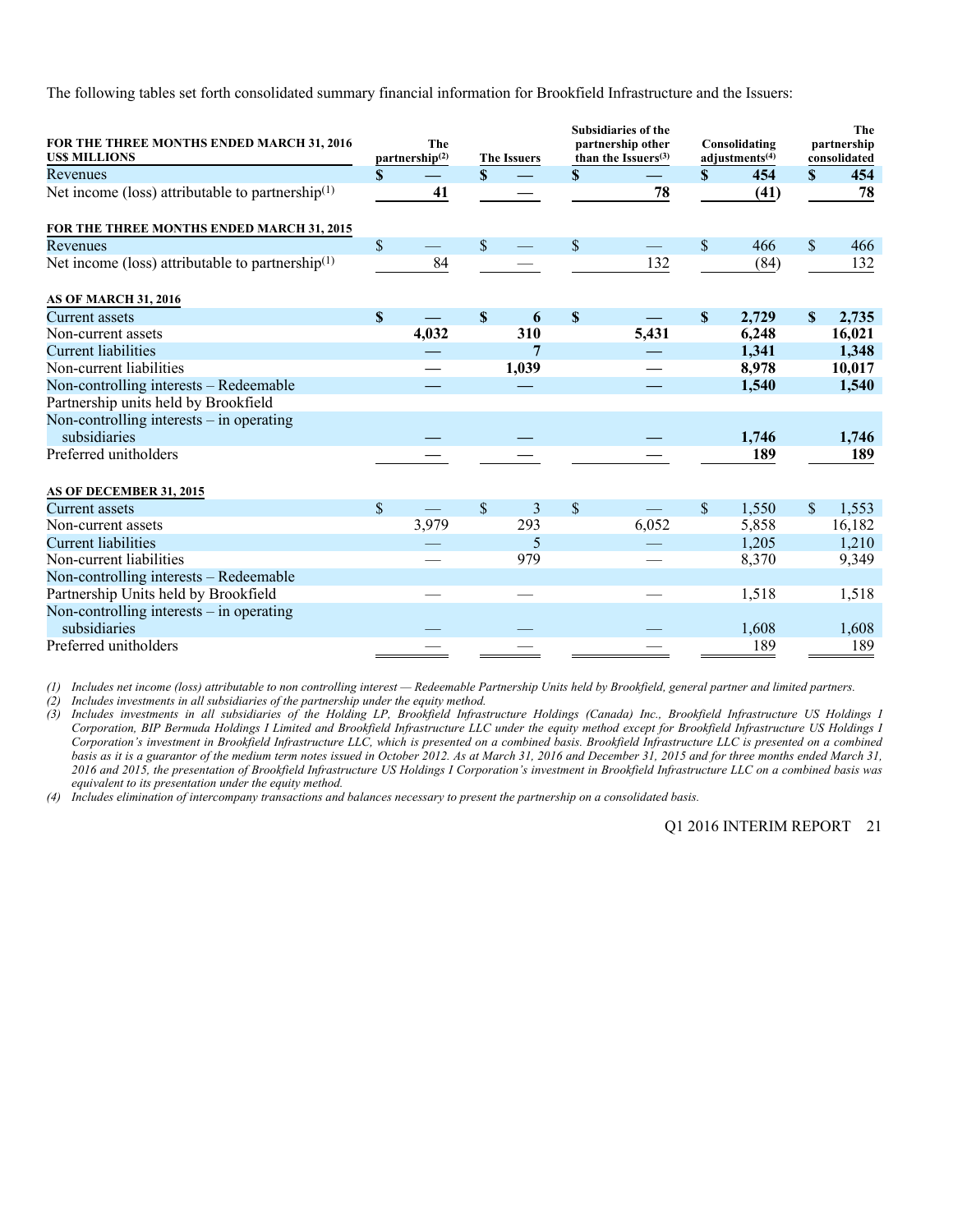The following tables set forth consolidated summary financial information for Brookfield Infrastructure and the Issuers:

| FOR THE THREE MONTHS ENDED MARCH 31, 2016                    | The                              |                                    |       |                           | <b>Subsidiaries of the</b><br>partnership other |              | Consolidating     |                                     | The<br>partnership |
|--------------------------------------------------------------|----------------------------------|------------------------------------|-------|---------------------------|-------------------------------------------------|--------------|-------------------|-------------------------------------|--------------------|
| <b>USS MILLIONS</b><br>Revenues                              | \$<br>partnership <sup>(2)</sup> | <b>The Issuers</b><br>$\mathbf{s}$ |       | \$                        | than the Issuers $(3)$                          | $\mathbf{s}$ | adjustments $(4)$ | consolidated<br>454<br>$\mathbf{s}$ |                    |
| Net income (loss) attributable to partnership $(1)$          | 41                               |                                    |       |                           | 78                                              |              | (41)              |                                     | 454<br>78          |
| FOR THE THREE MONTHS ENDED MARCH 31, 2015                    |                                  |                                    |       |                           |                                                 |              |                   |                                     |                    |
| Revenues                                                     | \$                               | $\mathsf{\$}$                      |       | $\mathbb{S}$              |                                                 | $\mathbf S$  | 466               | $\mathbf{\hat{S}}$                  | 466                |
| Net income (loss) attributable to partnership <sup>(1)</sup> | 84                               |                                    |       |                           | 132                                             |              | (84)              |                                     | 132                |
| <b>AS OF MARCH 31, 2016</b>                                  |                                  |                                    |       |                           |                                                 |              |                   |                                     |                    |
| Current assets                                               | \$                               | $\mathbf S$                        | 6     | $\boldsymbol{\mathsf{S}}$ |                                                 | $\mathbf S$  | 2,729             | $\mathbf S$                         | 2,735              |
| Non-current assets                                           | 4,032                            |                                    | 310   |                           | 5,431                                           |              | 6,248             |                                     | 16,021             |
| <b>Current liabilities</b>                                   |                                  |                                    | 7     |                           |                                                 |              | 1,341             |                                     | 1,348              |
| Non-current liabilities                                      |                                  |                                    | 1,039 |                           |                                                 |              | 8,978             |                                     | 10,017             |
| Non-controlling interests - Redeemable                       |                                  |                                    |       |                           |                                                 |              | 1,540             |                                     | 1,540              |
| Partnership units held by Brookfield                         |                                  |                                    |       |                           |                                                 |              |                   |                                     |                    |
| Non-controlling interests - in operating                     |                                  |                                    |       |                           |                                                 |              |                   |                                     |                    |
| subsidiaries                                                 |                                  |                                    |       |                           |                                                 |              | 1,746             |                                     | 1,746              |
| Preferred unitholders                                        |                                  |                                    |       |                           |                                                 |              | 189               |                                     | 189                |
|                                                              |                                  |                                    |       |                           |                                                 |              |                   |                                     |                    |
| AS OF DECEMBER 31, 2015                                      |                                  |                                    |       |                           |                                                 |              |                   |                                     |                    |
| <b>Current assets</b>                                        | \$                               | \$.                                | 3     | \$                        |                                                 | \$.          | 1,550             | \$.                                 | 1,553              |
| Non-current assets                                           | 3,979                            |                                    | 293   |                           | 6,052                                           |              | 5,858             |                                     | 16,182             |
| <b>Current liabilities</b>                                   |                                  |                                    | 5     |                           |                                                 |              | 1,205             |                                     | 1,210              |
| Non-current liabilities                                      |                                  |                                    | 979   |                           |                                                 |              | 8,370             |                                     | 9,349              |
| Non-controlling interests - Redeemable                       |                                  |                                    |       |                           |                                                 |              |                   |                                     |                    |
| Partnership Units held by Brookfield                         |                                  |                                    |       |                           |                                                 |              | 1,518             |                                     | 1,518              |
| Non-controlling interests $-$ in operating                   |                                  |                                    |       |                           |                                                 |              |                   |                                     |                    |
| subsidiaries                                                 |                                  |                                    |       |                           |                                                 |              | 1,608             |                                     | 1,608              |
| Preferred unitholders                                        |                                  |                                    |       |                           |                                                 |              | 189               |                                     | 189                |

*(1) Includes net income (loss) attributable to non controlling interest — Redeemable Partnership Units held by Brookfield, general partner and limited partners.* 

*(2) Includes investments in all subsidiaries of the partnership under the equity method.* 

*(3) Includes investments in all subsidiaries of the Holding LP, Brookfield Infrastructure Holdings (Canada) Inc., Brookfield Infrastructure US Holdings I Corporation, BIP Bermuda Holdings I Limited and Brookfield Infrastructure LLC under the equity method except for Brookfield Infrastructure US Holdings I Corporation's investment in Brookfield Infrastructure LLC, which is presented on a combined basis. Brookfield Infrastructure LLC is presented on a combined basis as it is a guarantor of the medium term notes issued in October 2012. As at March 31, 2016 and December 31, 2015 and for three months ended March 31, 2016 and 2015, the presentation of Brookfield Infrastructure US Holdings I Corporation's investment in Brookfield Infrastructure LLC on a combined basis was equivalent to its presentation under the equity method.* 

*(4) Includes elimination of intercompany transactions and balances necessary to present the partnership on a consolidated basis.*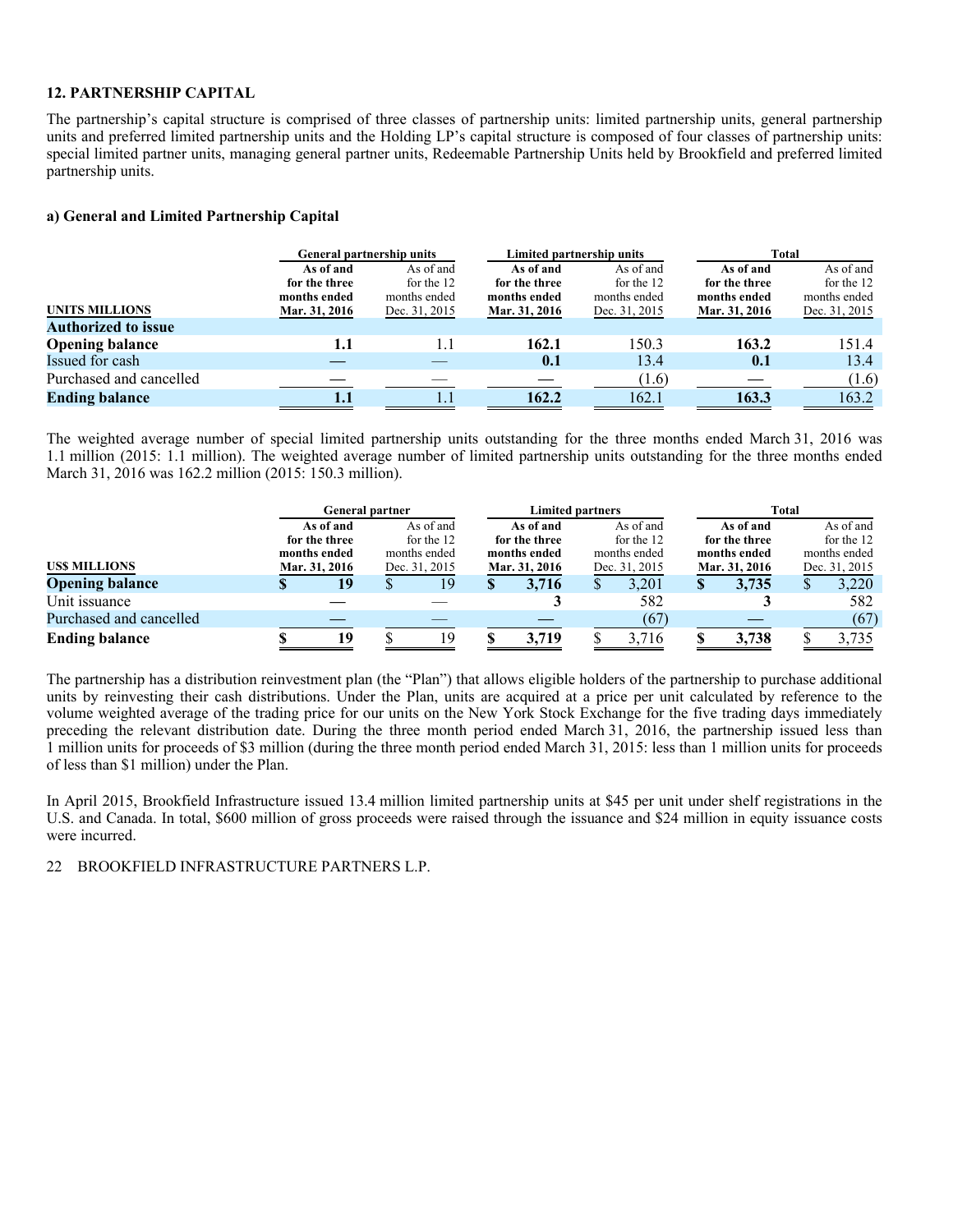### **12. PARTNERSHIP CAPITAL**

The partnership's capital structure is comprised of three classes of partnership units: limited partnership units, general partnership units and preferred limited partnership units and the Holding LP's capital structure is composed of four classes of partnership units: special limited partner units, managing general partner units, Redeemable Partnership Units held by Brookfield and preferred limited partnership units.

### **a) General and Limited Partnership Capital**

|                            | <b>General partnership units</b> |               | Limited partnership units |               | Total         |               |  |  |
|----------------------------|----------------------------------|---------------|---------------------------|---------------|---------------|---------------|--|--|
|                            | As of and                        | As of and     | As of and                 | As of and     | As of and     | As of and     |  |  |
|                            | for the three                    | for the 12    | for the three             | for the 12    | for the three | for the 12    |  |  |
|                            | months ended                     | months ended  | months ended              | months ended  | months ended  | months ended  |  |  |
| <b>UNITS MILLIONS</b>      | Mar. 31, 2016                    | Dec. 31, 2015 | Mar. 31, 2016             | Dec. 31, 2015 | Mar. 31, 2016 | Dec. 31, 2015 |  |  |
| <b>Authorized to issue</b> |                                  |               |                           |               |               |               |  |  |
| <b>Opening balance</b>     | 1.1                              | 1.1           | 162.1                     | 150.3         | 163.2         | 151.4         |  |  |
| Issued for cash            |                                  |               | 0.1                       | 13.4          | 0.1           | 13.4          |  |  |
| Purchased and cancelled    |                                  |               |                           | (1.6)         |               | (1.6)         |  |  |
| <b>Ending balance</b>      | 1.1                              |               | 162.2                     | 162.1         | 163.3         | 163.2         |  |  |

The weighted average number of special limited partnership units outstanding for the three months ended March 31, 2016 was 1.1 million (2015: 1.1 million). The weighted average number of limited partnership units outstanding for the three months ended March 31, 2016 was 162.2 million (2015: 150.3 million).

|                         |  | <b>General partner</b> |                         |               |  | <b>Limited partners</b> |              |               | Total        |               |                               |            |
|-------------------------|--|------------------------|-------------------------|---------------|--|-------------------------|--------------|---------------|--------------|---------------|-------------------------------|------------|
|                         |  | As of and              | As of and<br>for the 12 |               |  | As of and               |              | As of and     | As of and    |               |                               | As of and  |
|                         |  | for the three          |                         |               |  | for the three           |              | for the 12    |              | for the three |                               | for the 12 |
|                         |  | months ended           | months ended            |               |  | months ended            | months ended |               | months ended |               | months ended<br>Dec. 31, 2015 |            |
| <b>USS MILLIONS</b>     |  | Mar. 31, 2016          |                         | Dec. 31, 2015 |  | Mar. 31, 2016           |              | Dec. 31, 2015 |              | Mar. 31, 2016 |                               |            |
| <b>Opening balance</b>  |  | 19                     |                         | 19            |  | 3.716                   |              | 3.201         |              | 3,735         |                               | 3,220      |
| Unit issuance           |  |                        |                         |               |  |                         |              | 582           |              |               |                               | 582        |
| Purchased and cancelled |  |                        |                         |               |  |                         |              | (67)          |              |               |                               | (67)       |
| <b>Ending balance</b>   |  | 19                     |                         | 19            |  | 3.719                   |              | 3,716         |              | 3,738         |                               | 3,735      |

The partnership has a distribution reinvestment plan (the "Plan") that allows eligible holders of the partnership to purchase additional units by reinvesting their cash distributions. Under the Plan, units are acquired at a price per unit calculated by reference to the volume weighted average of the trading price for our units on the New York Stock Exchange for the five trading days immediately preceding the relevant distribution date. During the three month period ended March 31, 2016, the partnership issued less than 1 million units for proceeds of \$3 million (during the three month period ended March 31, 2015: less than 1 million units for proceeds of less than \$1 million) under the Plan.

In April 2015, Brookfield Infrastructure issued 13.4 million limited partnership units at \$45 per unit under shelf registrations in the U.S. and Canada. In total, \$600 million of gross proceeds were raised through the issuance and \$24 million in equity issuance costs were incurred.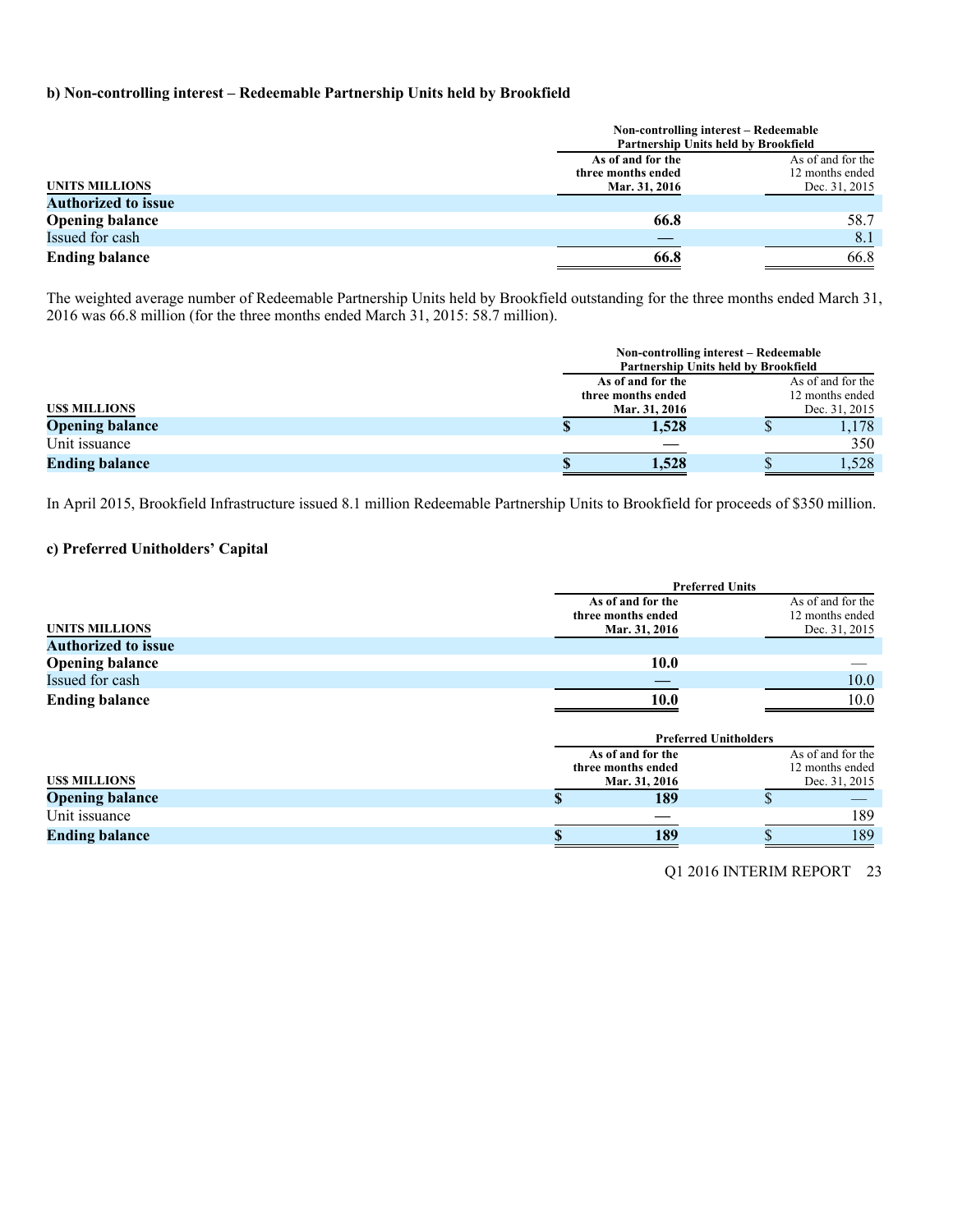### **b) Non-controlling interest – Redeemable Partnership Units held by Brookfield**

|                            |                    | Non-controlling interest – Redeemable<br>Partnership Units held by Brookfield |
|----------------------------|--------------------|-------------------------------------------------------------------------------|
|                            | As of and for the  | As of and for the                                                             |
|                            | three months ended | 12 months ended                                                               |
| <b>UNITS MILLIONS</b>      | Mar. 31, 2016      | Dec. 31, 2015                                                                 |
| <b>Authorized to issue</b> |                    |                                                                               |
| <b>Opening balance</b>     | 66.8               | 58.7                                                                          |
| Issued for cash            |                    | 8.1                                                                           |
| <b>Ending balance</b>      | 66.8               | 66.8                                                                          |

The weighted average number of Redeemable Partnership Units held by Brookfield outstanding for the three months ended March 31, 2016 was 66.8 million (for the three months ended March 31, 2015: 58.7 million).

|                        |                    | Non-controlling interest – Redeemable<br>Partnership Units held by Brookfield |                   |
|------------------------|--------------------|-------------------------------------------------------------------------------|-------------------|
|                        |                    | As of and for the                                                             | As of and for the |
|                        | three months ended | 12 months ended                                                               |                   |
| <b>USS MILLIONS</b>    |                    | Mar. 31, 2016                                                                 | Dec. 31, 2015     |
| <b>Opening balance</b> |                    | 1,528                                                                         | 1.178             |
| Unit issuance          |                    |                                                                               | 350               |
| <b>Ending balance</b>  |                    | 1,528                                                                         | .528              |

In April 2015, Brookfield Infrastructure issued 8.1 million Redeemable Partnership Units to Brookfield for proceeds of \$350 million.

### **c) Preferred Unitholders' Capital**

|                            | <b>Preferred Units</b>                                   |                                                       |
|----------------------------|----------------------------------------------------------|-------------------------------------------------------|
| <b>UNITS MILLIONS</b>      | As of and for the<br>three months ended<br>Mar. 31, 2016 | As of and for the<br>12 months ended<br>Dec. 31, 2015 |
| <b>Authorized to issue</b> |                                                          |                                                       |
| <b>Opening balance</b>     | 10.0                                                     |                                                       |
| Issued for cash            |                                                          | 10.0                                                  |
| <b>Ending balance</b>      | 10.0                                                     | 10.0                                                  |
|                            | <b>Preferred Unitholders</b>                             |                                                       |
|                            | As of and for the                                        | As of and for the                                     |
|                            | three months ended                                       | 12 months ended                                       |
| <b>USS MILLIONS</b>        | Mar. 31, 2016                                            | Dec. 31, 2015                                         |
| <b>Opening balance</b>     | 189                                                      |                                                       |

Unit issuance and the set of the set of the set of the set of the set of the set of the set of the set of the set of the set of the set of the set of the set of the set of the set of the set of the set of the set of the se **Ending balance 8 189 \$** 189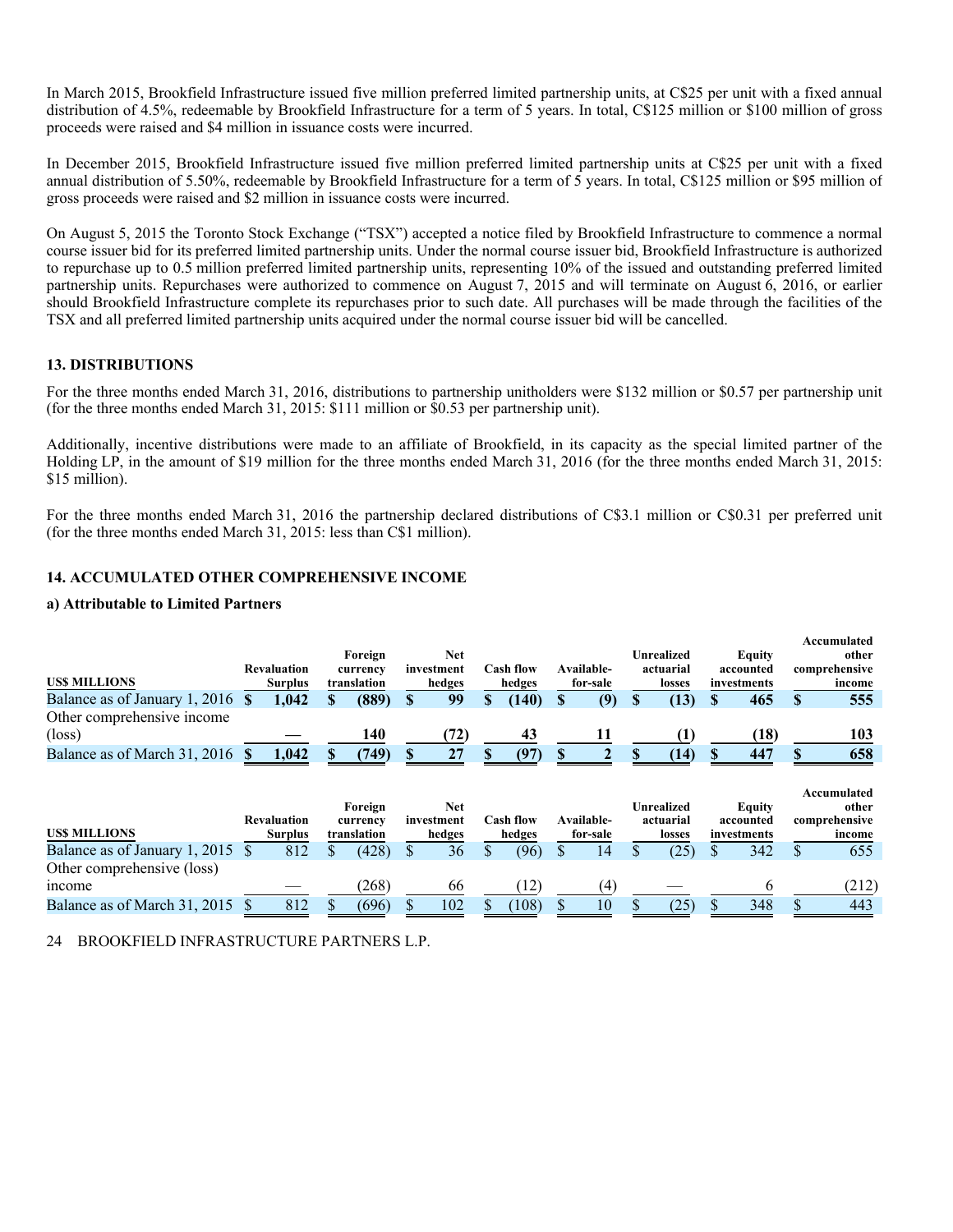In March 2015, Brookfield Infrastructure issued five million preferred limited partnership units, at C\$25 per unit with a fixed annual distribution of 4.5%, redeemable by Brookfield Infrastructure for a term of 5 years. In total, C\$125 million or \$100 million of gross proceeds were raised and \$4 million in issuance costs were incurred.

In December 2015, Brookfield Infrastructure issued five million preferred limited partnership units at C\$25 per unit with a fixed annual distribution of 5.50%, redeemable by Brookfield Infrastructure for a term of  $\overline{5}$  years. In total, C\$125 million or \$95 million of gross proceeds were raised and \$2 million in issuance costs were incurred.

On August 5, 2015 the Toronto Stock Exchange ("TSX") accepted a notice filed by Brookfield Infrastructure to commence a normal course issuer bid for its preferred limited partnership units. Under the normal course issuer bid, Brookfield Infrastructure is authorized to repurchase up to 0.5 million preferred limited partnership units, representing 10% of the issued and outstanding preferred limited partnership units. Repurchases were authorized to commence on August 7, 2015 and will terminate on August 6, 2016, or earlier should Brookfield Infrastructure complete its repurchases prior to such date. All purchases will be made through the facilities of the TSX and all preferred limited partnership units acquired under the normal course issuer bid will be cancelled.

### **13. DISTRIBUTIONS**

For the three months ended March 31, 2016, distributions to partnership unitholders were \$132 million or \$0.57 per partnership unit (for the three months ended March 31, 2015: \$111 million or \$0.53 per partnership unit).

Additionally, incentive distributions were made to an affiliate of Brookfield, in its capacity as the special limited partner of the Holding LP, in the amount of \$19 million for the three months ended March 31, 2016 (for the three months ended March 31, 2015: \$15 million).

For the three months ended March 31, 2016 the partnership declared distributions of C\$3.1 million or C\$0.31 per preferred unit (for the three months ended March 31, 2015: less than C\$1 million).

### **14. ACCUMULATED OTHER COMPREHENSIVE INCOME**

### **a) Attributable to Limited Partners**

| <b>USS MILLIONS</b>                 | <b>Revaluation</b><br><b>Surplus</b> | Foreign<br>currency<br>translation | <b>Net</b><br>investment<br>hedges |    | Cash flow<br>hedges | Available-<br>for-sale | Unrealized<br>actuarial<br>losses |    | <b>Equity</b><br>accounted<br>investments | Accumulated<br>other<br>comprehensive<br>income |
|-------------------------------------|--------------------------------------|------------------------------------|------------------------------------|----|---------------------|------------------------|-----------------------------------|----|-------------------------------------------|-------------------------------------------------|
| Balance as of January 1, 2016       | 1,042                                | (889)                              | 99                                 | \$ | (140)               | (9)                    | (13)                              | S  | 465                                       | 555                                             |
| Other comprehensive income          |                                      |                                    |                                    |    |                     |                        |                                   |    |                                           |                                                 |
| $(\text{loss})$                     |                                      | 140                                | (72)                               |    | 43                  | 11                     | (1)                               |    | (18)                                      | 103                                             |
| Balance as of March 31, 2016        | 1,042                                | (749)                              | 27                                 |    | (97)                |                        | (14)                              |    | 447                                       | 658                                             |
|                                     |                                      |                                    |                                    |    |                     |                        |                                   |    |                                           |                                                 |
|                                     | <b>Revaluation</b>                   | Foreign<br>currency                | <b>Net</b><br>investment           |    | <b>Cash flow</b>    | Available-             | Unrealized<br>actuarial           |    | <b>Equity</b><br>accounted                | Accumulated<br>other<br>comprehensive           |
| <b>USS MILLIONS</b>                 | <b>Surplus</b>                       | translation                        | hedges                             |    | hedges              | for-sale               | losses                            |    | investments                               | income                                          |
| Balance as of January 1, 2015       | 812                                  | (428)                              | 36                                 | ¢  | (96)                | 14                     | (25)                              | \$ | 342                                       | 655                                             |
| Other comprehensive (loss)<br>mcome |                                      | (268)                              | 66                                 |    | (12)                | (4)                    |                                   |    | 6                                         | (212)                                           |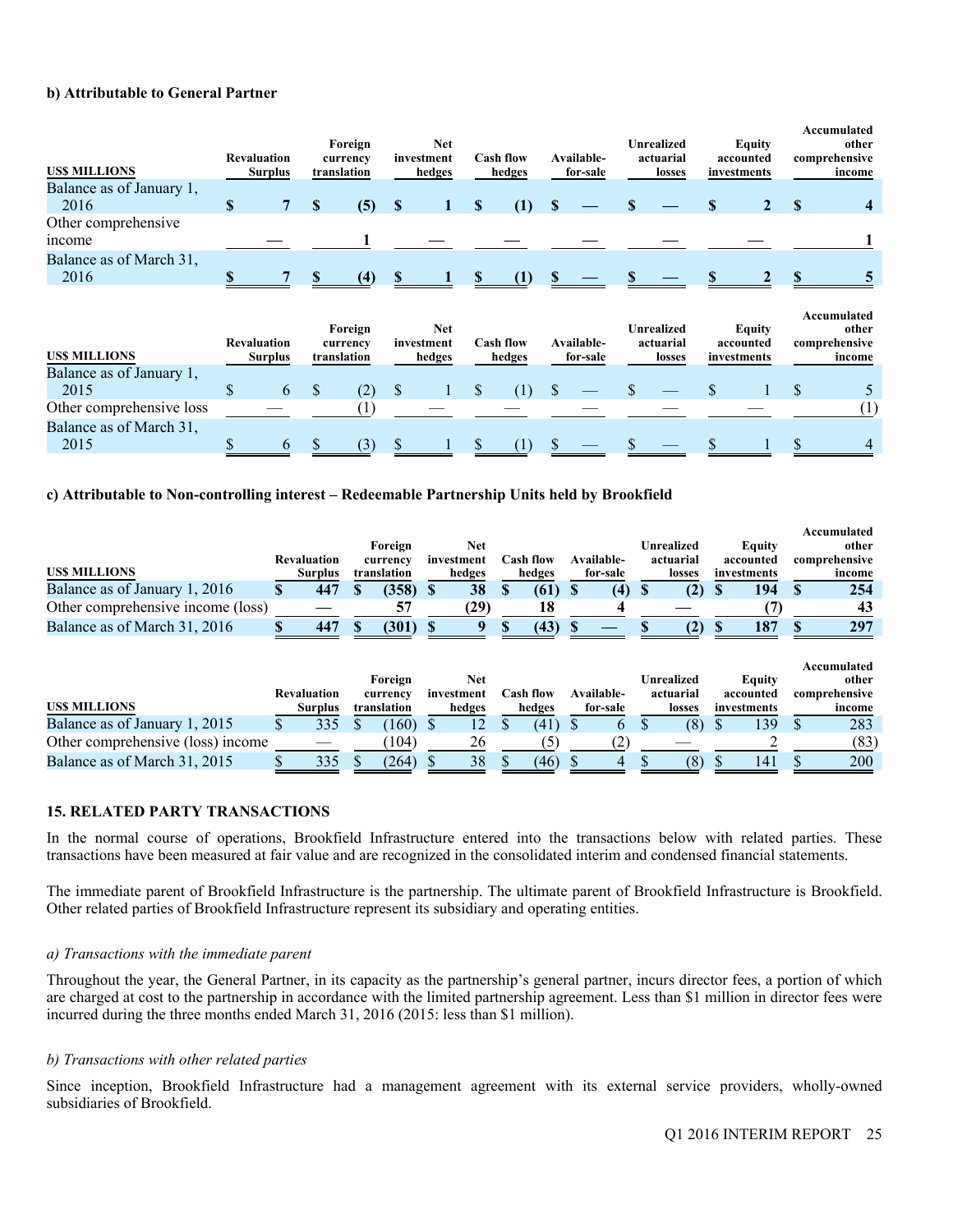### **b) Attributable to General Partner**

| <b>USS MILLIONS</b>              | <b>Revaluation</b><br><b>Surplus</b> | Foreign<br>currency<br>translation |     |                                    | <b>Net</b><br>investment<br>hedges |                            | <b>Cash flow</b><br>hedges |                        | Available-<br>for-sale |                                          | <b>Unrealized</b><br>actuarial<br>losses |          | <b>Equity</b><br>accounted<br>investments |    | Accumulated<br>other<br>comprehensive<br>income |
|----------------------------------|--------------------------------------|------------------------------------|-----|------------------------------------|------------------------------------|----------------------------|----------------------------|------------------------|------------------------|------------------------------------------|------------------------------------------|----------|-------------------------------------------|----|-------------------------------------------------|
| Balance as of January 1,<br>2016 | \$<br>$\overline{7}$                 | S                                  |     |                                    |                                    | S                          |                            | <sup>S</sup>           |                        |                                          |                                          | <b>S</b> | $\mathbf{2}$                              |    |                                                 |
| Other comprehensive              |                                      |                                    | (5) | <sup>S</sup>                       | 1                                  |                            | (1)                        |                        |                        |                                          |                                          |          |                                           | S  |                                                 |
| income                           |                                      |                                    |     |                                    |                                    |                            |                            |                        |                        |                                          |                                          |          |                                           |    |                                                 |
| Balance as of March 31,<br>2016  |                                      | <b>S</b>                           | (4) | SS.                                |                                    | S.                         | (1)                        | $\mathbf{s}$           |                        |                                          |                                          |          |                                           |    |                                                 |
| <b>USS MILLIONS</b>              | <b>Revaluation</b><br><b>Surplus</b> | Foreign<br>currency<br>translation |     | <b>Net</b><br>investment<br>hedges |                                    | <b>Cash flow</b><br>hedges |                            | Available-<br>for-sale |                        | <b>Unrealized</b><br>actuarial<br>losses |                                          |          | <b>Equity</b><br>accounted<br>investments |    | Accumulated<br>other<br>comprehensive<br>income |
| Balance as of January 1,         |                                      |                                    |     |                                    |                                    |                            |                            |                        |                        |                                          |                                          |          |                                           |    |                                                 |
| 2015                             | \$<br>6                              | \$                                 | (2) | $\mathcal{S}$                      |                                    | <sup>\$</sup>              | (1)                        | <sup>\$</sup>          |                        | \$.                                      |                                          | \$.      |                                           | \$ |                                                 |
| Other comprehensive loss         |                                      |                                    | (1) |                                    |                                    |                            |                            |                        |                        |                                          |                                          |          |                                           |    | (1)                                             |
| Balance as of March 31,<br>2015  | 6                                    |                                    | (3) |                                    |                                    |                            | (1)                        |                        |                        |                                          |                                          |          |                                           |    |                                                 |

### **c) Attributable to Non-controlling interest – Redeemable Partnership Units held by Brookfield**

|                                   |     | <b>Revaluation</b> | Foreign<br>currency |               | <b>Net</b><br>investment |   | Cash flow        |   | Available-   | <b>Unrealized</b><br>actuarial |   | Equity<br>accounted | Accumulated<br>other<br>comprehensive |
|-----------------------------------|-----|--------------------|---------------------|---------------|--------------------------|---|------------------|---|--------------|--------------------------------|---|---------------------|---------------------------------------|
| <b>USS MILLIONS</b>               |     | <b>Surplus</b>     | translation         |               | hedges                   |   | hedges           |   | for-sale     | losses                         |   | investments         | income                                |
| Balance as of January 1, 2016     | \$. | 447                | (358)               | -S            | 38                       | S | (61)             | S | (4)          | (2)                            | S | 194                 | 254                                   |
| Other comprehensive income (loss) |     |                    | 57                  |               | (29)                     |   | 18               |   |              |                                |   |                     | 43                                    |
| Balance as of March 31, 2016      |     | 447                | (301)               |               | 9                        |   | (43)             |   |              | (2)                            |   | 187                 | 297                                   |
|                                   |     | <b>Revaluation</b> | Foreign<br>currency |               | <b>Net</b><br>investment |   | <b>Cash flow</b> |   | Available-   | Unrealized<br>actuarial        |   | Equity<br>accounted | Accumulated<br>other<br>comprehensive |
| <b>USS MILLIONS</b>               |     | <b>Surplus</b>     | translation         |               | hedges                   |   | hedges           |   | for-sale     | losses                         |   | investments         | income                                |
| Balance as of January 1, 2015     | N.  | 335                | (160)               | <sup>\$</sup> | 12                       | S | (41)             |   | <sub>b</sub> | (8)                            | S | 139                 | 283                                   |
| Other comprehensive (loss) income |     |                    | (104)               |               | 26                       |   | (5)              |   | (2)          |                                |   |                     | (83)                                  |
|                                   |     |                    |                     |               |                          |   |                  |   |              |                                |   |                     |                                       |

### **15. RELATED PARTY TRANSACTIONS**

In the normal course of operations, Brookfield Infrastructure entered into the transactions below with related parties. These transactions have been measured at fair value and are recognized in the consolidated interim and condensed financial statements.

The immediate parent of Brookfield Infrastructure is the partnership. The ultimate parent of Brookfield Infrastructure is Brookfield. Other related parties of Brookfield Infrastructure represent its subsidiary and operating entities.

### *a) Transactions with the immediate parent*

Throughout the year, the General Partner, in its capacity as the partnership's general partner, incurs director fees, a portion of which are charged at cost to the partnership in accordance with the limited partnership agreement. Less than \$1 million in director fees were incurred during the three months ended March 31, 2016 (2015: less than \$1 million).

### *b) Transactions with other related parties*

Since inception, Brookfield Infrastructure had a management agreement with its external service providers, wholly-owned subsidiaries of Brookfield.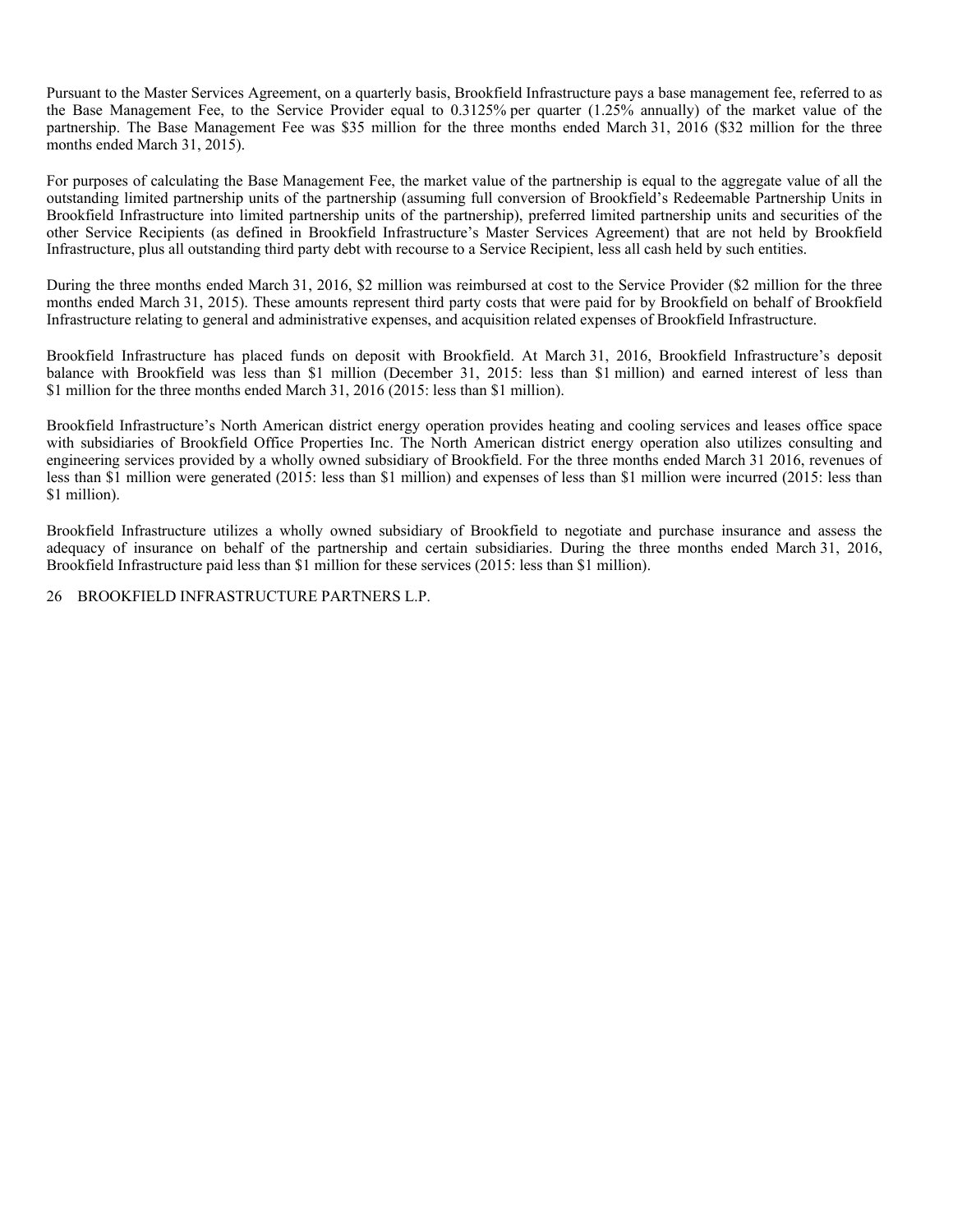Pursuant to the Master Services Agreement, on a quarterly basis, Brookfield Infrastructure pays a base management fee, referred to as the Base Management Fee, to the Service Provider equal to 0.3125% per quarter (1.25% annually) of the market value of the partnership. The Base Management Fee was \$35 million for the three months ended March 31, 2016 (\$32 million for the three months ended March 31, 2015).

For purposes of calculating the Base Management Fee, the market value of the partnership is equal to the aggregate value of all the outstanding limited partnership units of the partnership (assuming full conversion of Brookfield's Redeemable Partnership Units in Brookfield Infrastructure into limited partnership units of the partnership), preferred limited partnership units and securities of the other Service Recipients (as defined in Brookfield Infrastructure's Master Services Agreement) that are not held by Brookfield Infrastructure, plus all outstanding third party debt with recourse to a Service Recipient, less all cash held by such entities.

During the three months ended March 31, 2016, \$2 million was reimbursed at cost to the Service Provider (\$2 million for the three months ended March 31, 2015). These amounts represent third party costs that were paid for by Brookfield on behalf of Brookfield Infrastructure relating to general and administrative expenses, and acquisition related expenses of Brookfield Infrastructure.

Brookfield Infrastructure has placed funds on deposit with Brookfield. At March 31, 2016, Brookfield Infrastructure's deposit balance with Brookfield was less than \$1 million (December 31, 2015: less than \$1 million) and earned interest of less than \$1 million for the three months ended March 31, 2016 (2015: less than \$1 million).

Brookfield Infrastructure's North American district energy operation provides heating and cooling services and leases office space with subsidiaries of Brookfield Office Properties Inc. The North American district energy operation also utilizes consulting and engineering services provided by a wholly owned subsidiary of Brookfield. For the three months ended March 31 2016, revenues of less than \$1 million were generated (2015: less than \$1 million) and expenses of less than \$1 million were incurred (2015: less than \$1 million).

Brookfield Infrastructure utilizes a wholly owned subsidiary of Brookfield to negotiate and purchase insurance and assess the adequacy of insurance on behalf of the partnership and certain subsidiaries. During the three months ended March 31, 2016, Brookfield Infrastructure paid less than \$1 million for these services (2015: less than \$1 million).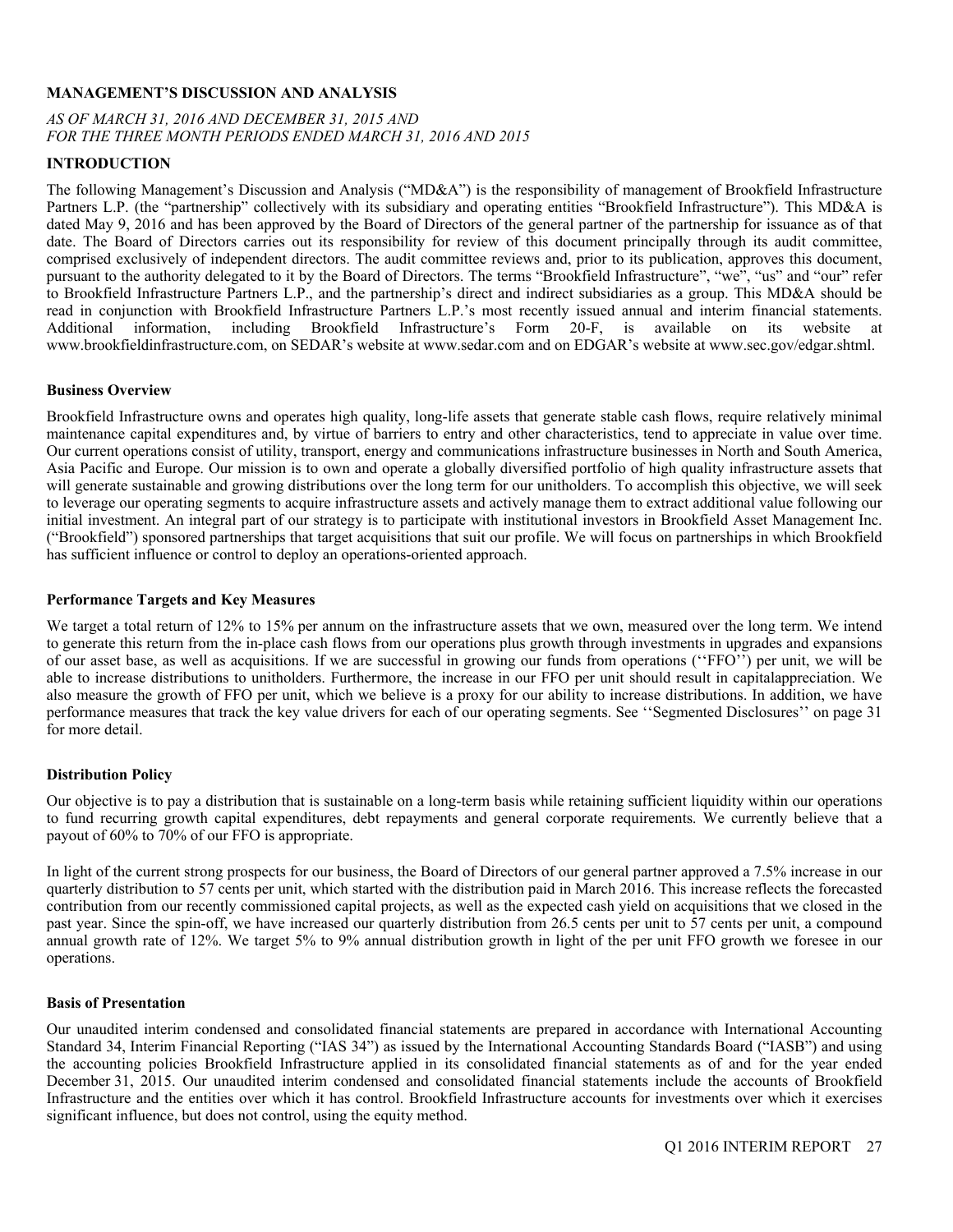### **MANAGEMENT'S DISCUSSION AND ANALYSIS**

### *AS OF MARCH 31, 2016 AND DECEMBER 31, 2015 AND FOR THE THREE MONTH PERIODS ENDED MARCH 31, 2016 AND 2015*

### **INTRODUCTION**

The following Management's Discussion and Analysis ("MD&A") is the responsibility of management of Brookfield Infrastructure Partners L.P. (the "partnership" collectively with its subsidiary and operating entities "Brookfield Infrastructure"). This MD&A is dated May 9, 2016 and has been approved by the Board of Directors of the general partner of the partnership for issuance as of that date. The Board of Directors carries out its responsibility for review of this document principally through its audit committee, comprised exclusively of independent directors. The audit committee reviews and, prior to its publication, approves this document, pursuant to the authority delegated to it by the Board of Directors. The terms "Brookfield Infrastructure", "we", "us" and "our" refer to Brookfield Infrastructure Partners L.P., and the partnership's direct and indirect subsidiaries as a group. This MD&A should be read in conjunction with Brookfield Infrastructure Partners L.P.'s most recently issued annual and interim financial statements. Additional information, including Brookfield Infrastructure's Form 20-F, is available on its website at www.brookfieldinfrastructure.com, on SEDAR's website at www.sedar.com and on EDGAR's website at www.sec.gov/edgar.shtml.

### **Business Overview**

Brookfield Infrastructure owns and operates high quality, long-life assets that generate stable cash flows, require relatively minimal maintenance capital expenditures and, by virtue of barriers to entry and other characteristics, tend to appreciate in value over time. Our current operations consist of utility, transport, energy and communications infrastructure businesses in North and South America, Asia Pacific and Europe. Our mission is to own and operate a globally diversified portfolio of high quality infrastructure assets that will generate sustainable and growing distributions over the long term for our unitholders. To accomplish this objective, we will seek to leverage our operating segments to acquire infrastructure assets and actively manage them to extract additional value following our initial investment. An integral part of our strategy is to participate with institutional investors in Brookfield Asset Management Inc. ("Brookfield") sponsored partnerships that target acquisitions that suit our profile. We will focus on partnerships in which Brookfield has sufficient influence or control to deploy an operations-oriented approach.

### **Performance Targets and Key Measures**

We target a total return of 12% to 15% per annum on the infrastructure assets that we own, measured over the long term. We intend to generate this return from the in-place cash flows from our operations plus growth through investments in upgrades and expansions of our asset base, as well as acquisitions. If we are successful in growing our funds from operations (''FFO'') per unit, we will be able to increase distributions to unitholders. Furthermore, the increase in our FFO per unit should result in capitalappreciation. We also measure the growth of FFO per unit, which we believe is a proxy for our ability to increase distributions. In addition, we have performance measures that track the key value drivers for each of our operating segments. See ''Segmented Disclosures'' on page 31 for more detail.

### **Distribution Policy**

Our objective is to pay a distribution that is sustainable on a long-term basis while retaining sufficient liquidity within our operations to fund recurring growth capital expenditures, debt repayments and general corporate requirements. We currently believe that a payout of 60% to 70% of our FFO is appropriate.

In light of the current strong prospects for our business, the Board of Directors of our general partner approved a 7.5% increase in our quarterly distribution to 57 cents per unit, which started with the distribution paid in March 2016. This increase reflects the forecasted contribution from our recently commissioned capital projects, as well as the expected cash yield on acquisitions that we closed in the past year. Since the spin-off, we have increased our quarterly distribution from 26.5 cents per unit to 57 cents per unit, a compound annual growth rate of 12%. We target 5% to 9% annual distribution growth in light of the per unit FFO growth we foresee in our operations.

### **Basis of Presentation**

Our unaudited interim condensed and consolidated financial statements are prepared in accordance with International Accounting Standard 34, Interim Financial Reporting ("IAS 34") as issued by the International Accounting Standards Board ("IASB") and using the accounting policies Brookfield Infrastructure applied in its consolidated financial statements as of and for the year ended December 31, 2015. Our unaudited interim condensed and consolidated financial statements include the accounts of Brookfield Infrastructure and the entities over which it has control. Brookfield Infrastructure accounts for investments over which it exercises significant influence, but does not control, using the equity method.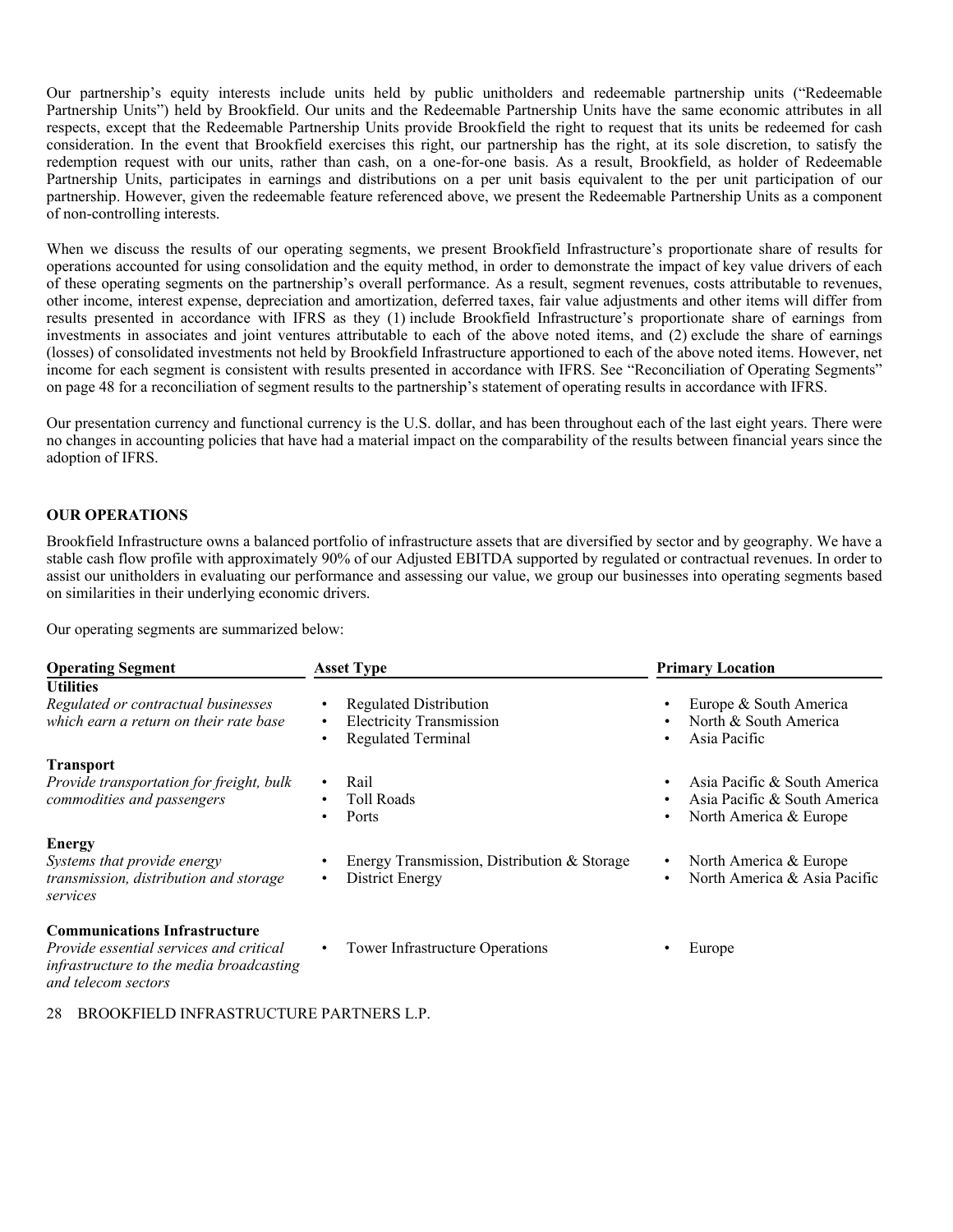Our partnership's equity interests include units held by public unitholders and redeemable partnership units ("Redeemable Partnership Units") held by Brookfield. Our units and the Redeemable Partnership Units have the same economic attributes in all respects, except that the Redeemable Partnership Units provide Brookfield the right to request that its units be redeemed for cash consideration. In the event that Brookfield exercises this right, our partnership has the right, at its sole discretion, to satisfy the redemption request with our units, rather than cash, on a one-for-one basis. As a result, Brookfield, as holder of Redeemable Partnership Units, participates in earnings and distributions on a per unit basis equivalent to the per unit participation of our partnership. However, given the redeemable feature referenced above, we present the Redeemable Partnership Units as a component of non-controlling interests.

When we discuss the results of our operating segments, we present Brookfield Infrastructure's proportionate share of results for operations accounted for using consolidation and the equity method, in order to demonstrate the impact of key value drivers of each of these operating segments on the partnership's overall performance. As a result, segment revenues, costs attributable to revenues, other income, interest expense, depreciation and amortization, deferred taxes, fair value adjustments and other items will differ from results presented in accordance with IFRS as they (1) include Brookfield Infrastructure's proportionate share of earnings from investments in associates and joint ventures attributable to each of the above noted items, and (2) exclude the share of earnings (losses) of consolidated investments not held by Brookfield Infrastructure apportioned to each of the above noted items. However, net income for each segment is consistent with results presented in accordance with IFRS. See "Reconciliation of Operating Segments" on page 48 for a reconciliation of segment results to the partnership's statement of operating results in accordance with IFRS.

Our presentation currency and functional currency is the U.S. dollar, and has been throughout each of the last eight years. There were no changes in accounting policies that have had a material impact on the comparability of the results between financial years since the adoption of IFRS.

### **OUR OPERATIONS**

Brookfield Infrastructure owns a balanced portfolio of infrastructure assets that are diversified by sector and by geography. We have a stable cash flow profile with approximately 90% of our Adjusted EBITDA supported by regulated or contractual revenues. In order to assist our unitholders in evaluating our performance and assessing our value, we group our businesses into operating segments based on similarities in their underlying economic drivers.

Our operating segments are summarized below:

| <b>Operating Segment</b>                                                                                                                           | <b>Asset Type</b>                                                                             | <b>Primary Location</b>                                                                   |  |  |  |
|----------------------------------------------------------------------------------------------------------------------------------------------------|-----------------------------------------------------------------------------------------------|-------------------------------------------------------------------------------------------|--|--|--|
| <b>Utilities</b><br>Regulated or contractual businesses<br>which earn a return on their rate base                                                  | <b>Regulated Distribution</b><br><b>Electricity Transmission</b><br><b>Regulated Terminal</b> | Europe & South America<br>North & South America<br>$\bullet$<br>Asia Pacific<br>$\bullet$ |  |  |  |
| <b>Transport</b><br>Provide transportation for freight, bulk<br>commodities and passengers                                                         | Rail<br>$\bullet$<br><b>Toll Roads</b><br>Ports                                               | Asia Pacific & South America<br>Asia Pacific & South America<br>North America & Europe    |  |  |  |
| <b>Energy</b><br>Systems that provide energy<br>transmission, distribution and storage<br>services                                                 | Energy Transmission, Distribution & Storage<br>District Energy                                | North America & Europe<br>North America & Asia Pacific<br>$\bullet$                       |  |  |  |
| <b>Communications Infrastructure</b><br>Provide essential services and critical<br>infrastructure to the media broadcasting<br>and telecom sectors | Tower Infrastructure Operations                                                               | Europe                                                                                    |  |  |  |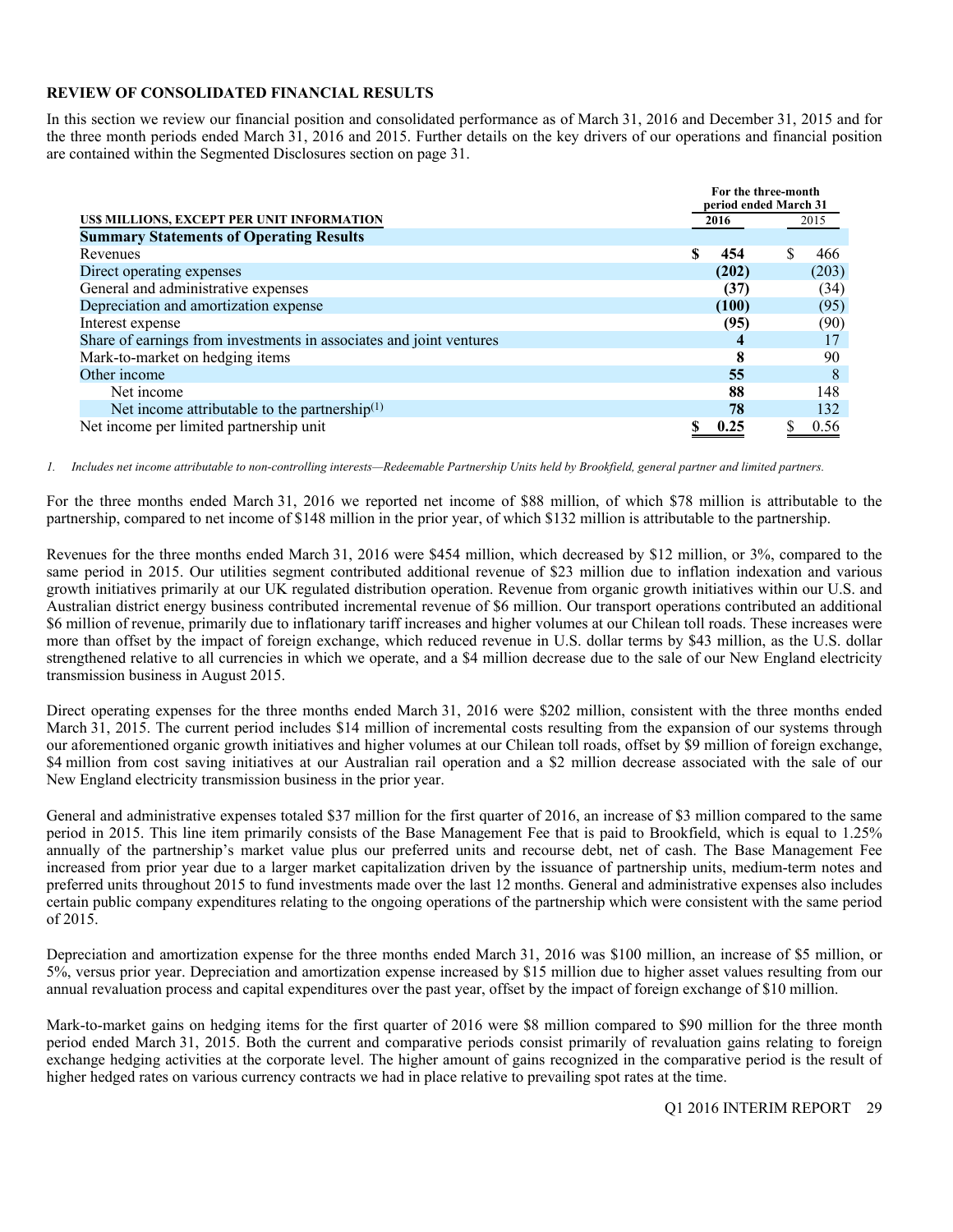### **REVIEW OF CONSOLIDATED FINANCIAL RESULTS**

In this section we review our financial position and consolidated performance as of March 31, 2016 and December 31, 2015 and for the three month periods ended March 31, 2016 and 2015. Further details on the key drivers of our operations and financial position are contained within the Segmented Disclosures section on page 31.

|                                                                     | For the three-month<br>period ended March 31 |       |  |       |  |  |
|---------------------------------------------------------------------|----------------------------------------------|-------|--|-------|--|--|
| US\$ MILLIONS, EXCEPT PER UNIT INFORMATION                          |                                              | 2016  |  | 2015  |  |  |
| <b>Summary Statements of Operating Results</b>                      |                                              |       |  |       |  |  |
| Revenues                                                            |                                              | 454   |  | 466   |  |  |
| Direct operating expenses                                           |                                              | (202) |  | (203) |  |  |
| General and administrative expenses                                 |                                              | (37)  |  | (34)  |  |  |
| Depreciation and amortization expense                               |                                              | (100) |  | (95)  |  |  |
| Interest expense                                                    |                                              | (95)  |  | (90)  |  |  |
| Share of earnings from investments in associates and joint ventures |                                              |       |  |       |  |  |
| Mark-to-market on hedging items                                     |                                              | 8     |  | 90    |  |  |
| Other income                                                        |                                              | 55    |  | 8     |  |  |
| Net income                                                          |                                              | 88    |  | 148   |  |  |
| Net income attributable to the partnership $(1)$                    |                                              | 78    |  | 132   |  |  |
| Net income per limited partnership unit                             |                                              | 0.25  |  | 0.56  |  |  |

*1. Includes net income attributable to non-controlling interests—Redeemable Partnership Units held by Brookfield, general partner and limited partners.* 

For the three months ended March 31, 2016 we reported net income of \$88 million, of which \$78 million is attributable to the partnership, compared to net income of \$148 million in the prior year, of which \$132 million is attributable to the partnership.

Revenues for the three months ended March 31, 2016 were \$454 million, which decreased by \$12 million, or 3%, compared to the same period in 2015. Our utilities segment contributed additional revenue of \$23 million due to inflation indexation and various growth initiatives primarily at our UK regulated distribution operation. Revenue from organic growth initiatives within our U.S. and Australian district energy business contributed incremental revenue of \$6 million. Our transport operations contributed an additional \$6 million of revenue, primarily due to inflationary tariff increases and higher volumes at our Chilean toll roads. These increases were more than offset by the impact of foreign exchange, which reduced revenue in U.S. dollar terms by \$43 million, as the U.S. dollar strengthened relative to all currencies in which we operate, and a \$4 million decrease due to the sale of our New England electricity transmission business in August 2015.

Direct operating expenses for the three months ended March 31, 2016 were \$202 million, consistent with the three months ended March 31, 2015. The current period includes \$14 million of incremental costs resulting from the expansion of our systems through our aforementioned organic growth initiatives and higher volumes at our Chilean toll roads, offset by \$9 million of foreign exchange, \$4 million from cost saving initiatives at our Australian rail operation and a \$2 million decrease associated with the sale of our New England electricity transmission business in the prior year.

General and administrative expenses totaled \$37 million for the first quarter of 2016, an increase of \$3 million compared to the same period in 2015. This line item primarily consists of the Base Management Fee that is paid to Brookfield, which is equal to 1.25% annually of the partnership's market value plus our preferred units and recourse debt, net of cash. The Base Management Fee increased from prior year due to a larger market capitalization driven by the issuance of partnership units, medium-term notes and preferred units throughout 2015 to fund investments made over the last 12 months. General and administrative expenses also includes certain public company expenditures relating to the ongoing operations of the partnership which were consistent with the same period of 2015.

Depreciation and amortization expense for the three months ended March 31, 2016 was \$100 million, an increase of \$5 million, or 5%, versus prior year. Depreciation and amortization expense increased by \$15 million due to higher asset values resulting from our annual revaluation process and capital expenditures over the past year, offset by the impact of foreign exchange of \$10 million.

Mark-to-market gains on hedging items for the first quarter of 2016 were \$8 million compared to \$90 million for the three month period ended March 31, 2015. Both the current and comparative periods consist primarily of revaluation gains relating to foreign exchange hedging activities at the corporate level. The higher amount of gains recognized in the comparative period is the result of higher hedged rates on various currency contracts we had in place relative to prevailing spot rates at the time.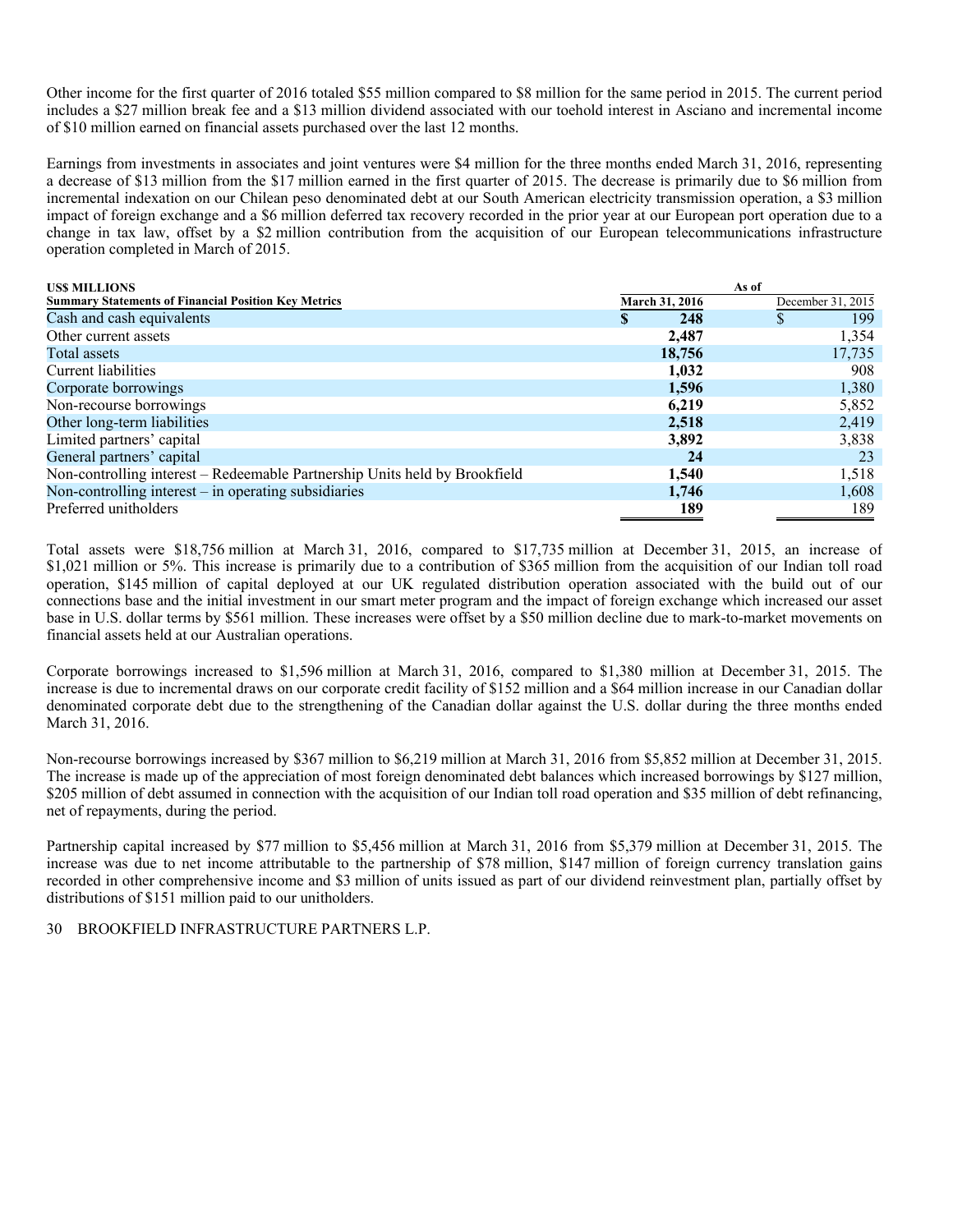Other income for the first quarter of 2016 totaled \$55 million compared to \$8 million for the same period in 2015. The current period includes a \$27 million break fee and a \$13 million dividend associated with our toehold interest in Asciano and incremental income of \$10 million earned on financial assets purchased over the last 12 months.

Earnings from investments in associates and joint ventures were \$4 million for the three months ended March 31, 2016, representing a decrease of \$13 million from the \$17 million earned in the first quarter of 2015. The decrease is primarily due to \$6 million from incremental indexation on our Chilean peso denominated debt at our South American electricity transmission operation, a \$3 million impact of foreign exchange and a \$6 million deferred tax recovery recorded in the prior year at our European port operation due to a change in tax law, offset by a \$2 million contribution from the acquisition of our European telecommunications infrastructure operation completed in March of 2015.

| <b>USS MILLIONS</b>                                                        |                       | As of             |
|----------------------------------------------------------------------------|-----------------------|-------------------|
| <b>Summary Statements of Financial Position Key Metrics</b>                | <b>March 31, 2016</b> | December 31, 2015 |
| Cash and cash equivalents                                                  | 248<br>S              | 199               |
| Other current assets                                                       | 2,487                 | 1,354             |
| Total assets                                                               | 18,756                | 17,735            |
| Current liabilities                                                        | 1,032                 | 908               |
| Corporate borrowings                                                       | 1,596                 | 1,380             |
| Non-recourse borrowings                                                    | 6,219                 | 5,852             |
| Other long-term liabilities                                                | 2,518                 | 2,419             |
| Limited partners' capital                                                  | 3,892                 | 3,838             |
| General partners' capital                                                  | 24                    | 23                |
| Non-controlling interest – Redeemable Partnership Units held by Brookfield | 1,540                 | 1,518             |
| Non-controlling interest $-$ in operating subsidiaries                     | 1,746                 | 1,608             |
| Preferred unitholders                                                      | 189                   | 189               |

Total assets were \$18,756 million at March 31, 2016, compared to \$17,735 million at December 31, 2015, an increase of \$1,021 million or 5%. This increase is primarily due to a contribution of \$365 million from the acquisition of our Indian toll road operation, \$145 million of capital deployed at our UK regulated distribution operation associated with the build out of our connections base and the initial investment in our smart meter program and the impact of foreign exchange which increased our asset base in U.S. dollar terms by \$561 million. These increases were offset by a \$50 million decline due to mark-to-market movements on financial assets held at our Australian operations.

Corporate borrowings increased to \$1,596 million at March 31, 2016, compared to \$1,380 million at December 31, 2015. The increase is due to incremental draws on our corporate credit facility of \$152 million and a \$64 million increase in our Canadian dollar denominated corporate debt due to the strengthening of the Canadian dollar against the U.S. dollar during the three months ended March 31, 2016.

Non-recourse borrowings increased by \$367 million to \$6,219 million at March 31, 2016 from \$5,852 million at December 31, 2015. The increase is made up of the appreciation of most foreign denominated debt balances which increased borrowings by \$127 million, \$205 million of debt assumed in connection with the acquisition of our Indian toll road operation and \$35 million of debt refinancing, net of repayments, during the period.

Partnership capital increased by \$77 million to \$5,456 million at March 31, 2016 from \$5,379 million at December 31, 2015. The increase was due to net income attributable to the partnership of \$78 million, \$147 million of foreign currency translation gains recorded in other comprehensive income and \$3 million of units issued as part of our dividend reinvestment plan, partially offset by distributions of \$151 million paid to our unitholders.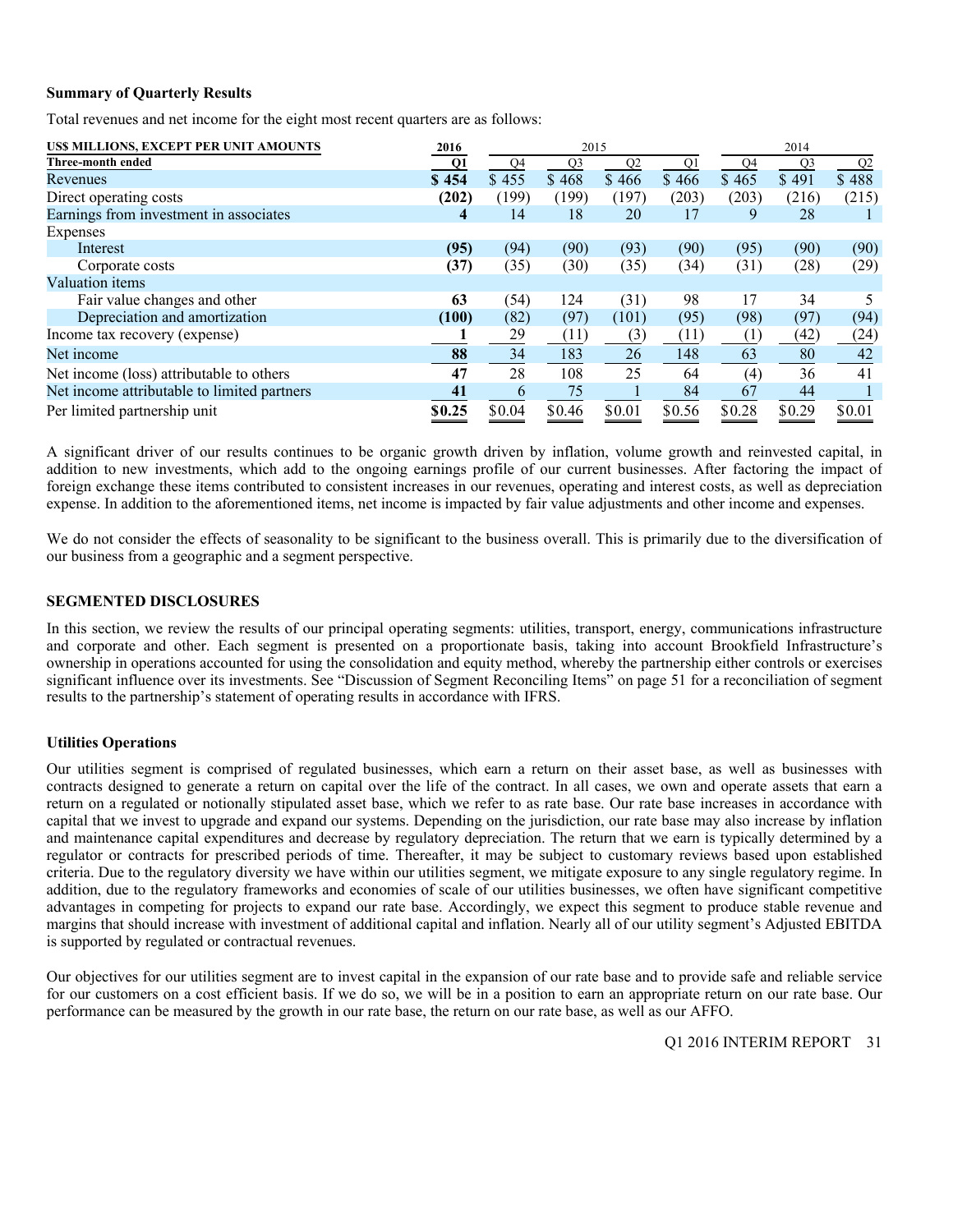### **Summary of Quarterly Results**

Total revenues and net income for the eight most recent quarters are as follows:

| US\$ MILLIONS, EXCEPT PER UNIT AMOUNTS      | 2016   | 2015   |        |                |        |        |        |                |
|---------------------------------------------|--------|--------|--------|----------------|--------|--------|--------|----------------|
| Three-month ended                           | Q1     | Q4     | Q3     | Q <sub>2</sub> | Q1     | Q4     | Q3     | Q <sub>2</sub> |
| Revenues                                    | \$454  | \$455  | \$468  | \$466          | \$466  | \$465  | \$491  | \$488          |
| Direct operating costs                      | (202)  | (199)  | (199)  | (197)          | (203)  | (203)  | (216)  | (215)          |
| Earnings from investment in associates      | 4      | 14     | 18     | 20             | 17     | 9      | 28     |                |
| Expenses                                    |        |        |        |                |        |        |        |                |
| Interest                                    | (95)   | (94)   | (90)   | (93)           | (90)   | (95)   | (90)   | (90)           |
| Corporate costs                             | (37)   | (35)   | (30)   | (35)           | (34)   | (31)   | (28)   | (29)           |
| Valuation items                             |        |        |        |                |        |        |        |                |
| Fair value changes and other                | 63     | (54)   | 124    | (31)           | 98     | 17     | 34     |                |
| Depreciation and amortization               | (100)  | (82)   | (97)   | (101)          | (95)   | (98)   | (97)   | (94)           |
| Income tax recovery (expense)               |        | 29     | (11)   | (3)            | (11)   | (1)    | (42)   | (24)           |
| Net income                                  | 88     | 34     | 183    | 26             | 148    | 63     | 80     | 42             |
| Net income (loss) attributable to others    | 47     | 28     | 108    | 25             | 64     | (4)    | 36     | 41             |
| Net income attributable to limited partners | 41     | 6      | 75     |                | 84     | 67     | 44     |                |
| Per limited partnership unit                | \$0.25 | \$0.04 | \$0.46 | \$0.01         | \$0.56 | \$0.28 | \$0.29 | \$0.01         |

A significant driver of our results continues to be organic growth driven by inflation, volume growth and reinvested capital, in addition to new investments, which add to the ongoing earnings profile of our current businesses. After factoring the impact of foreign exchange these items contributed to consistent increases in our revenues, operating and interest costs, as well as depreciation expense. In addition to the aforementioned items, net income is impacted by fair value adjustments and other income and expenses.

We do not consider the effects of seasonality to be significant to the business overall. This is primarily due to the diversification of our business from a geographic and a segment perspective.

### **SEGMENTED DISCLOSURES**

In this section, we review the results of our principal operating segments: utilities, transport, energy, communications infrastructure and corporate and other. Each segment is presented on a proportionate basis, taking into account Brookfield Infrastructure's ownership in operations accounted for using the consolidation and equity method, whereby the partnership either controls or exercises significant influence over its investments. See "Discussion of Segment Reconciling Items" on page 51 for a reconciliation of segment results to the partnership's statement of operating results in accordance with IFRS.

### **Utilities Operations**

Our utilities segment is comprised of regulated businesses, which earn a return on their asset base, as well as businesses with contracts designed to generate a return on capital over the life of the contract. In all cases, we own and operate assets that earn a return on a regulated or notionally stipulated asset base, which we refer to as rate base. Our rate base increases in accordance with capital that we invest to upgrade and expand our systems. Depending on the jurisdiction, our rate base may also increase by inflation and maintenance capital expenditures and decrease by regulatory depreciation. The return that we earn is typically determined by a regulator or contracts for prescribed periods of time. Thereafter, it may be subject to customary reviews based upon established criteria. Due to the regulatory diversity we have within our utilities segment, we mitigate exposure to any single regulatory regime. In addition, due to the regulatory frameworks and economies of scale of our utilities businesses, we often have significant competitive advantages in competing for projects to expand our rate base. Accordingly, we expect this segment to produce stable revenue and margins that should increase with investment of additional capital and inflation. Nearly all of our utility segment's Adjusted EBITDA is supported by regulated or contractual revenues.

Our objectives for our utilities segment are to invest capital in the expansion of our rate base and to provide safe and reliable service for our customers on a cost efficient basis. If we do so, we will be in a position to earn an appropriate return on our rate base. Our performance can be measured by the growth in our rate base, the return on our rate base, as well as our AFFO.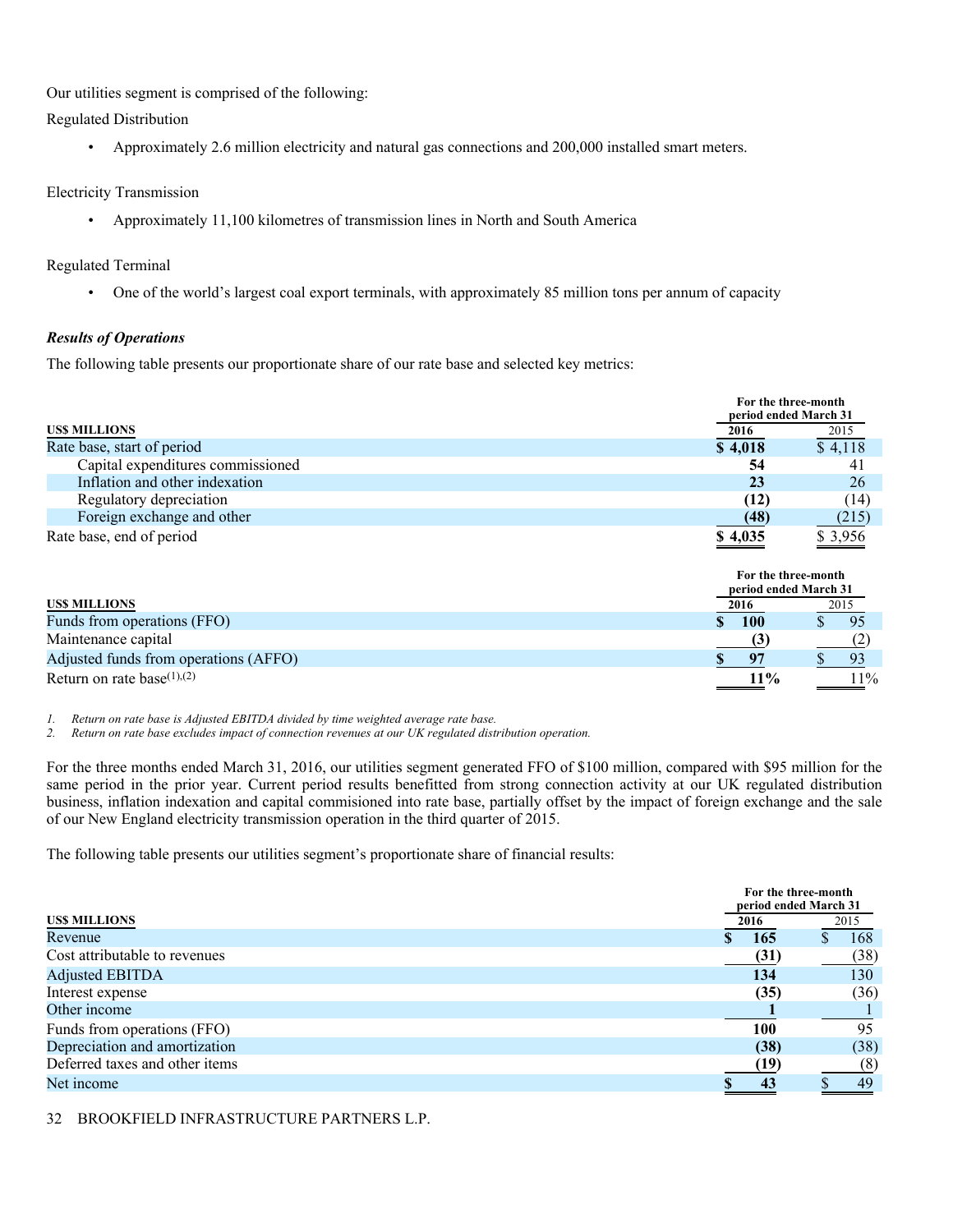Our utilities segment is comprised of the following:

Regulated Distribution

• Approximately 2.6 million electricity and natural gas connections and 200,000 installed smart meters.

### Electricity Transmission

• Approximately 11,100 kilometres of transmission lines in North and South America

### Regulated Terminal

• One of the world's largest coal export terminals, with approximately 85 million tons per annum of capacity

### *Results of Operations*

The following table presents our proportionate share of our rate base and selected key metrics:

|                                       | For the three-month<br>period ended March 31         |         |
|---------------------------------------|------------------------------------------------------|---------|
| <b>USS MILLIONS</b>                   | 2016                                                 | 2015    |
| Rate base, start of period            | \$4,018                                              | \$4,118 |
| Capital expenditures commissioned     | 54                                                   | 41      |
| Inflation and other indexation        | 23                                                   | 26      |
| Regulatory depreciation               | (12)                                                 | (14)    |
| Foreign exchange and other            | (48)                                                 | (215)   |
| Rate base, end of period              | \$4,035                                              | \$3,956 |
| <b>USS MILLIONS</b>                   | For the three-month<br>period ended March 31<br>2016 | 2015    |
| Funds from operations (FFO)           | <b>100</b>                                           | 95      |
| Maintenance capital                   | (3)                                                  | (2)     |
| Adjusted funds from operations (AFFO) | 97<br>\$                                             | 93      |
| Return on rate base $(1)$ , $(2)$     | $11\%$                                               | 11%     |

*1. Return on rate base is Adjusted EBITDA divided by time weighted average rate base.* 

*2. Return on rate base excludes impact of connection revenues at our UK regulated distribution operation.* 

For the three months ended March 31, 2016, our utilities segment generated FFO of \$100 million, compared with \$95 million for the same period in the prior year. Current period results benefitted from strong connection activity at our UK regulated distribution business, inflation indexation and capital commisioned into rate base, partially offset by the impact of foreign exchange and the sale of our New England electricity transmission operation in the third quarter of 2015.

The following table presents our utilities segment's proportionate share of financial results:

|                                | For the three-month<br>period ended March 31 |      |
|--------------------------------|----------------------------------------------|------|
| <b>USS MILLIONS</b>            | 2016                                         | 2015 |
| Revenue                        | <b>165</b>                                   | 168  |
| Cost attributable to revenues  | (31)                                         | (38) |
| <b>Adjusted EBITDA</b>         | 134                                          | 130  |
| Interest expense               | (35)                                         | (36) |
| Other income                   |                                              |      |
| Funds from operations (FFO)    | 100                                          | 95   |
| Depreciation and amortization  | (38)                                         | (38) |
| Deferred taxes and other items | (19)                                         | (8)  |
| Net income                     | 43                                           | 49   |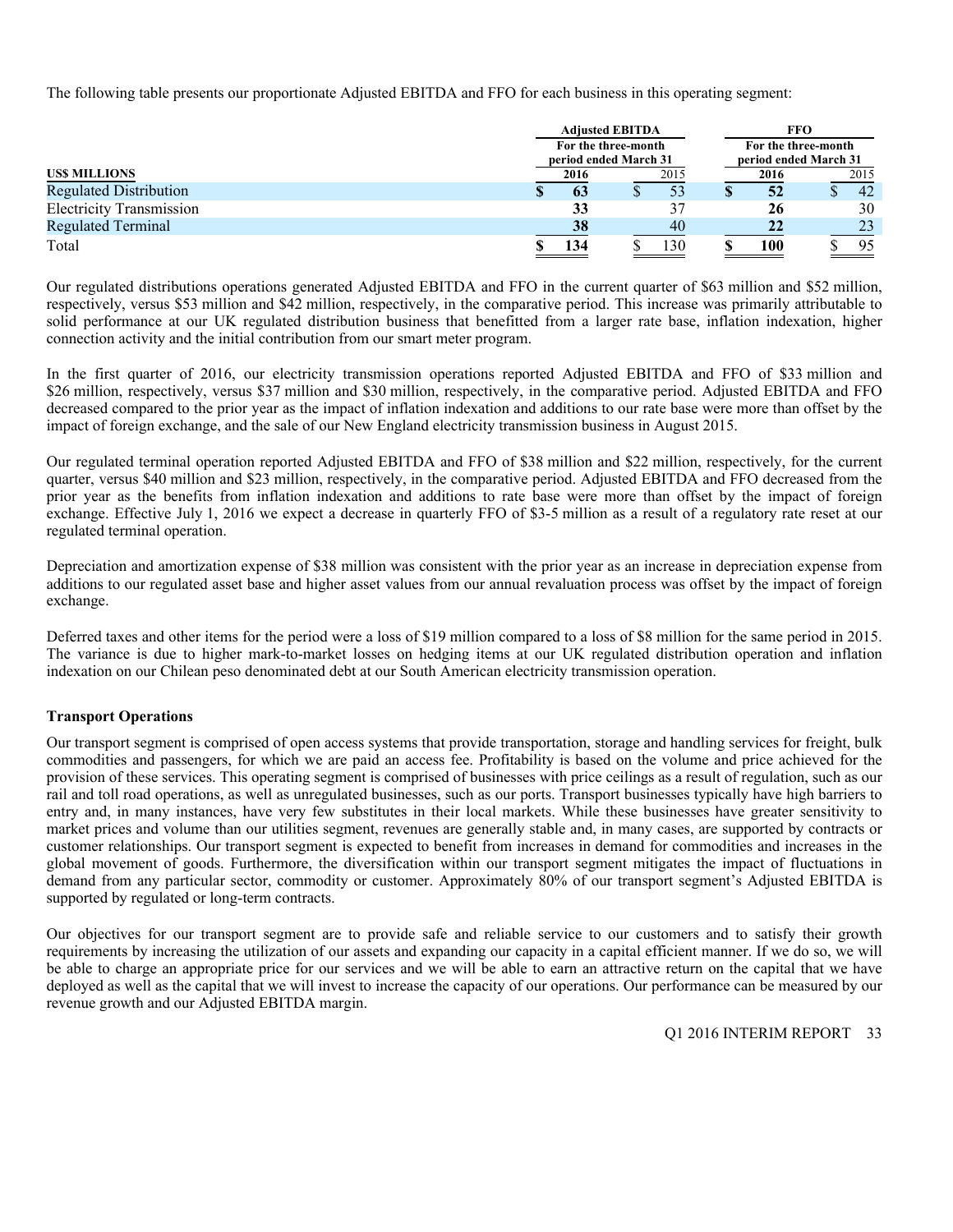The following table presents our proportionate Adjusted EBITDA and FFO for each business in this operating segment:

|                                 | <b>Adjusted EBITDA</b>                       |  |      | FFO                 |                       |  |  |
|---------------------------------|----------------------------------------------|--|------|---------------------|-----------------------|--|--|
|                                 | For the three-month<br>period ended March 31 |  |      | For the three-month | period ended March 31 |  |  |
| <b>USS MILLIONS</b>             | 2016                                         |  | 2015 | 2016                | 2015                  |  |  |
| <b>Regulated Distribution</b>   | 63                                           |  |      | 52                  | 42                    |  |  |
| <b>Electricity Transmission</b> | 33                                           |  |      | 26                  | 30                    |  |  |
| <b>Regulated Terminal</b>       | 38                                           |  | 40   | 22                  | 23                    |  |  |
| Total                           | 134                                          |  | 130  | 100                 | 95                    |  |  |

Our regulated distributions operations generated Adjusted EBITDA and FFO in the current quarter of \$63 million and \$52 million, respectively, versus \$53 million and \$42 million, respectively, in the comparative period. This increase was primarily attributable to solid performance at our UK regulated distribution business that benefitted from a larger rate base, inflation indexation, higher connection activity and the initial contribution from our smart meter program.

In the first quarter of 2016, our electricity transmission operations reported Adjusted EBITDA and FFO of \$33 million and \$26 million, respectively, versus \$37 million and \$30 million, respectively, in the comparative period. Adjusted EBITDA and FFO decreased compared to the prior year as the impact of inflation indexation and additions to our rate base were more than offset by the impact of foreign exchange, and the sale of our New England electricity transmission business in August 2015.

Our regulated terminal operation reported Adjusted EBITDA and FFO of \$38 million and \$22 million, respectively, for the current quarter, versus \$40 million and \$23 million, respectively, in the comparative period. Adjusted EBITDA and FFO decreased from the prior year as the benefits from inflation indexation and additions to rate base were more than offset by the impact of foreign exchange. Effective July 1, 2016 we expect a decrease in quarterly FFO of \$3-5 million as a result of a regulatory rate reset at our regulated terminal operation.

Depreciation and amortization expense of \$38 million was consistent with the prior year as an increase in depreciation expense from additions to our regulated asset base and higher asset values from our annual revaluation process was offset by the impact of foreign exchange.

Deferred taxes and other items for the period were a loss of \$19 million compared to a loss of \$8 million for the same period in 2015. The variance is due to higher mark-to-market losses on hedging items at our UK regulated distribution operation and inflation indexation on our Chilean peso denominated debt at our South American electricity transmission operation.

### **Transport Operations**

Our transport segment is comprised of open access systems that provide transportation, storage and handling services for freight, bulk commodities and passengers, for which we are paid an access fee. Profitability is based on the volume and price achieved for the provision of these services. This operating segment is comprised of businesses with price ceilings as a result of regulation, such as our rail and toll road operations, as well as unregulated businesses, such as our ports. Transport businesses typically have high barriers to entry and, in many instances, have very few substitutes in their local markets. While these businesses have greater sensitivity to market prices and volume than our utilities segment, revenues are generally stable and, in many cases, are supported by contracts or customer relationships. Our transport segment is expected to benefit from increases in demand for commodities and increases in the global movement of goods. Furthermore, the diversification within our transport segment mitigates the impact of fluctuations in demand from any particular sector, commodity or customer. Approximately 80% of our transport segment's Adjusted EBITDA is supported by regulated or long-term contracts.

Our objectives for our transport segment are to provide safe and reliable service to our customers and to satisfy their growth requirements by increasing the utilization of our assets and expanding our capacity in a capital efficient manner. If we do so, we will be able to charge an appropriate price for our services and we will be able to earn an attractive return on the capital that we have deployed as well as the capital that we will invest to increase the capacity of our operations. Our performance can be measured by our revenue growth and our Adjusted EBITDA margin.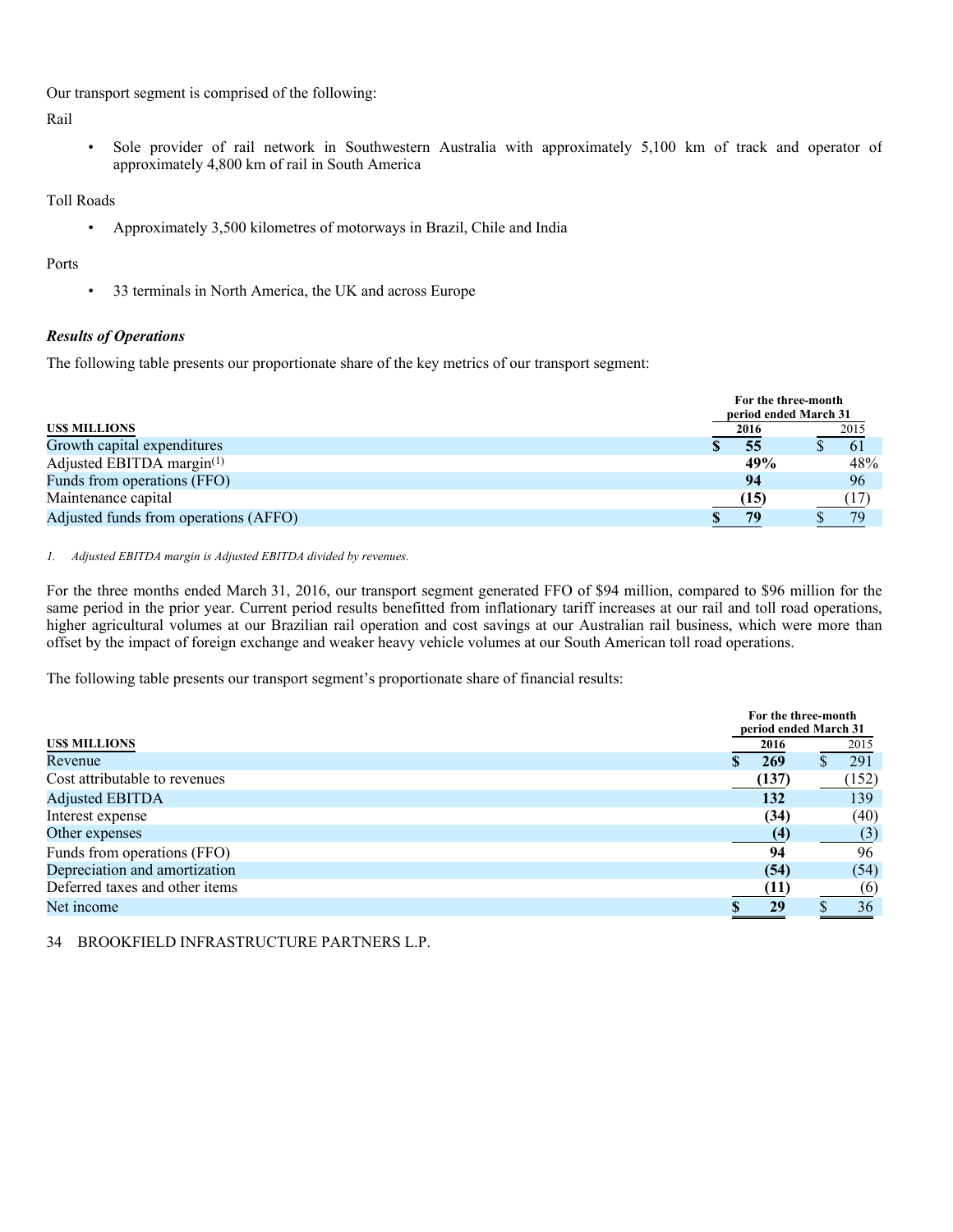Our transport segment is comprised of the following:

Rail

• Sole provider of rail network in Southwestern Australia with approximately 5,100 km of track and operator of approximately 4,800 km of rail in South America

Toll Roads

• Approximately 3,500 kilometres of motorways in Brazil, Chile and India

### Ports

• 33 terminals in North America, the UK and across Europe

### *Results of Operations*

The following table presents our proportionate share of the key metrics of our transport segment:

|                                       | For the three-month<br>period ended March 31 |      |
|---------------------------------------|----------------------------------------------|------|
| <b>USS MILLIONS</b>                   | 2016                                         | 2015 |
| Growth capital expenditures           | 55                                           | -61  |
| Adjusted EBITDA margin $(1)$          | 49%                                          | 48%  |
| Funds from operations (FFO)           | 94                                           | 96   |
| Maintenance capital                   | (15)                                         |      |
| Adjusted funds from operations (AFFO) | 79                                           | 79   |

### *1. Adjusted EBITDA margin is Adjusted EBITDA divided by revenues.*

For the three months ended March 31, 2016, our transport segment generated FFO of \$94 million, compared to \$96 million for the same period in the prior year. Current period results benefitted from inflationary tariff increases at our rail and toll road operations, higher agricultural volumes at our Brazilian rail operation and cost savings at our Australian rail business, which were more than offset by the impact of foreign exchange and weaker heavy vehicle volumes at our South American toll road operations.

The following table presents our transport segment's proportionate share of financial results:

|                                | For the three-month   |       |
|--------------------------------|-----------------------|-------|
|                                | period ended March 31 |       |
| <b>USS MILLIONS</b>            | 2016                  | 2015  |
| Revenue                        | 269                   | 291   |
| Cost attributable to revenues  | (137)                 | (152) |
| <b>Adjusted EBITDA</b>         | 132                   | 139   |
| Interest expense               | (34)                  | (40)  |
| Other expenses                 | (4                    | (3)   |
| Funds from operations (FFO)    | 94                    | 96    |
| Depreciation and amortization  | (54)                  | (54)  |
| Deferred taxes and other items | (11)                  | (6)   |
| Net income                     | 29                    | 36    |
|                                |                       |       |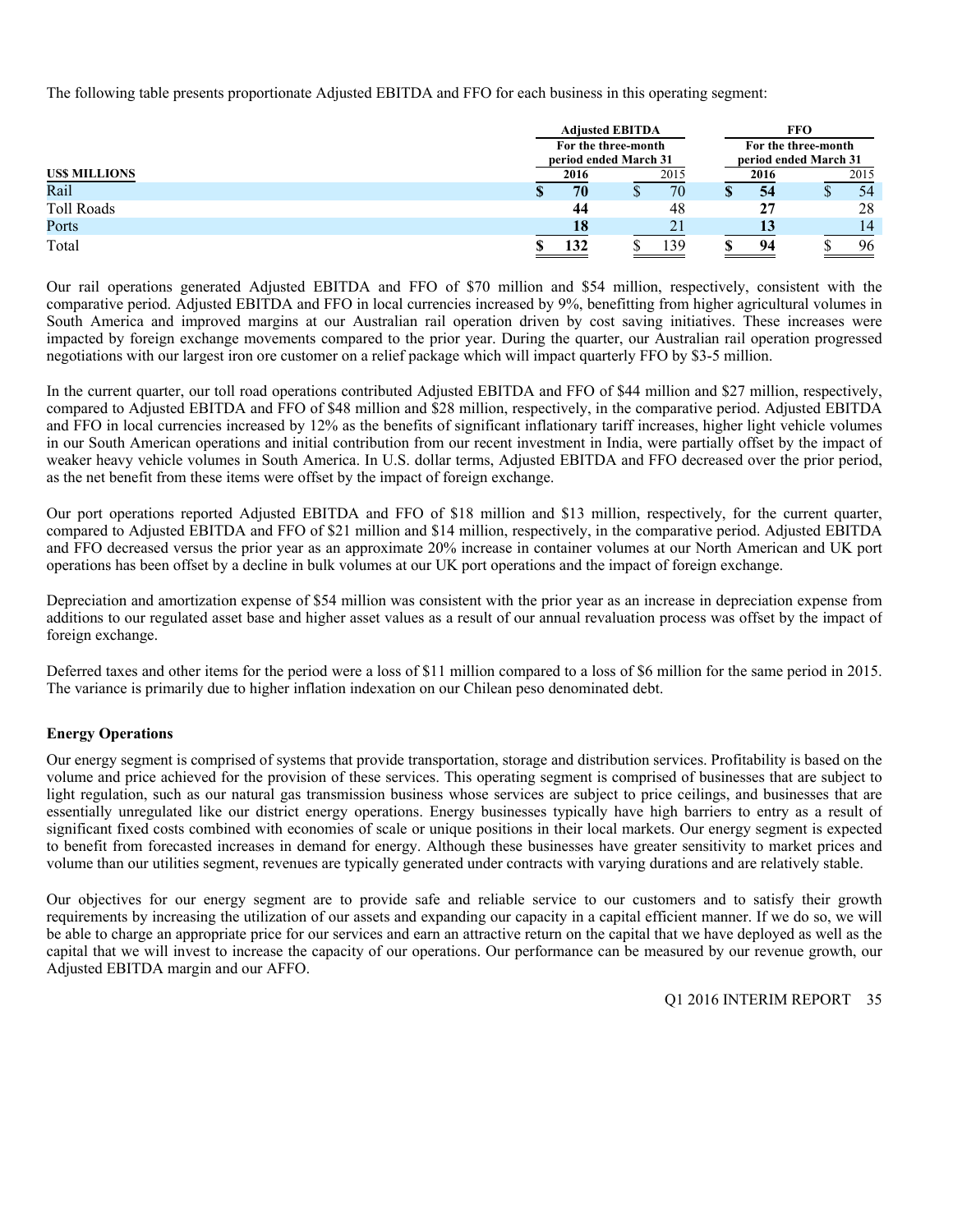The following table presents proportionate Adjusted EBITDA and FFO for each business in this operating segment:

|                     | <b>Adjusted EBITDA</b>                       |  |      |  | FFO  |                                              |      |  |  |
|---------------------|----------------------------------------------|--|------|--|------|----------------------------------------------|------|--|--|
|                     | For the three-month<br>period ended March 31 |  |      |  |      | For the three-month<br>period ended March 31 |      |  |  |
| <b>USS MILLIONS</b> | 2016                                         |  | 2015 |  | 2016 |                                              | 2015 |  |  |
| Rail                | 70                                           |  | 70   |  | 54   |                                              | 54   |  |  |
| Toll Roads          | 44                                           |  | 48   |  | 27   |                                              | 28   |  |  |
| Ports               | 18                                           |  | 21   |  |      |                                              | 14   |  |  |
| Total               | 132                                          |  | 139  |  | 94   |                                              | 96   |  |  |

Our rail operations generated Adjusted EBITDA and FFO of \$70 million and \$54 million, respectively, consistent with the comparative period. Adjusted EBITDA and FFO in local currencies increased by 9%, benefitting from higher agricultural volumes in South America and improved margins at our Australian rail operation driven by cost saving initiatives. These increases were impacted by foreign exchange movements compared to the prior year. During the quarter, our Australian rail operation progressed negotiations with our largest iron ore customer on a relief package which will impact quarterly FFO by \$3-5 million.

In the current quarter, our toll road operations contributed Adjusted EBITDA and FFO of \$44 million and \$27 million, respectively, compared to Adjusted EBITDA and FFO of \$48 million and \$28 million, respectively, in the comparative period. Adjusted EBITDA and FFO in local currencies increased by 12% as the benefits of significant inflationary tariff increases, higher light vehicle volumes in our South American operations and initial contribution from our recent investment in India, were partially offset by the impact of weaker heavy vehicle volumes in South America. In U.S. dollar terms, Adjusted EBITDA and FFO decreased over the prior period, as the net benefit from these items were offset by the impact of foreign exchange.

Our port operations reported Adjusted EBITDA and FFO of \$18 million and \$13 million, respectively, for the current quarter, compared to Adjusted EBITDA and FFO of \$21 million and \$14 million, respectively, in the comparative period. Adjusted EBITDA and FFO decreased versus the prior year as an approximate 20% increase in container volumes at our North American and UK port operations has been offset by a decline in bulk volumes at our UK port operations and the impact of foreign exchange.

Depreciation and amortization expense of \$54 million was consistent with the prior year as an increase in depreciation expense from additions to our regulated asset base and higher asset values as a result of our annual revaluation process was offset by the impact of foreign exchange.

Deferred taxes and other items for the period were a loss of \$11 million compared to a loss of \$6 million for the same period in 2015. The variance is primarily due to higher inflation indexation on our Chilean peso denominated debt.

### **Energy Operations**

Our energy segment is comprised of systems that provide transportation, storage and distribution services. Profitability is based on the volume and price achieved for the provision of these services. This operating segment is comprised of businesses that are subject to light regulation, such as our natural gas transmission business whose services are subject to price ceilings, and businesses that are essentially unregulated like our district energy operations. Energy businesses typically have high barriers to entry as a result of significant fixed costs combined with economies of scale or unique positions in their local markets. Our energy segment is expected to benefit from forecasted increases in demand for energy. Although these businesses have greater sensitivity to market prices and volume than our utilities segment, revenues are typically generated under contracts with varying durations and are relatively stable.

Our objectives for our energy segment are to provide safe and reliable service to our customers and to satisfy their growth requirements by increasing the utilization of our assets and expanding our capacity in a capital efficient manner. If we do so, we will be able to charge an appropriate price for our services and earn an attractive return on the capital that we have deployed as well as the capital that we will invest to increase the capacity of our operations. Our performance can be measured by our revenue growth, our Adjusted EBITDA margin and our AFFO.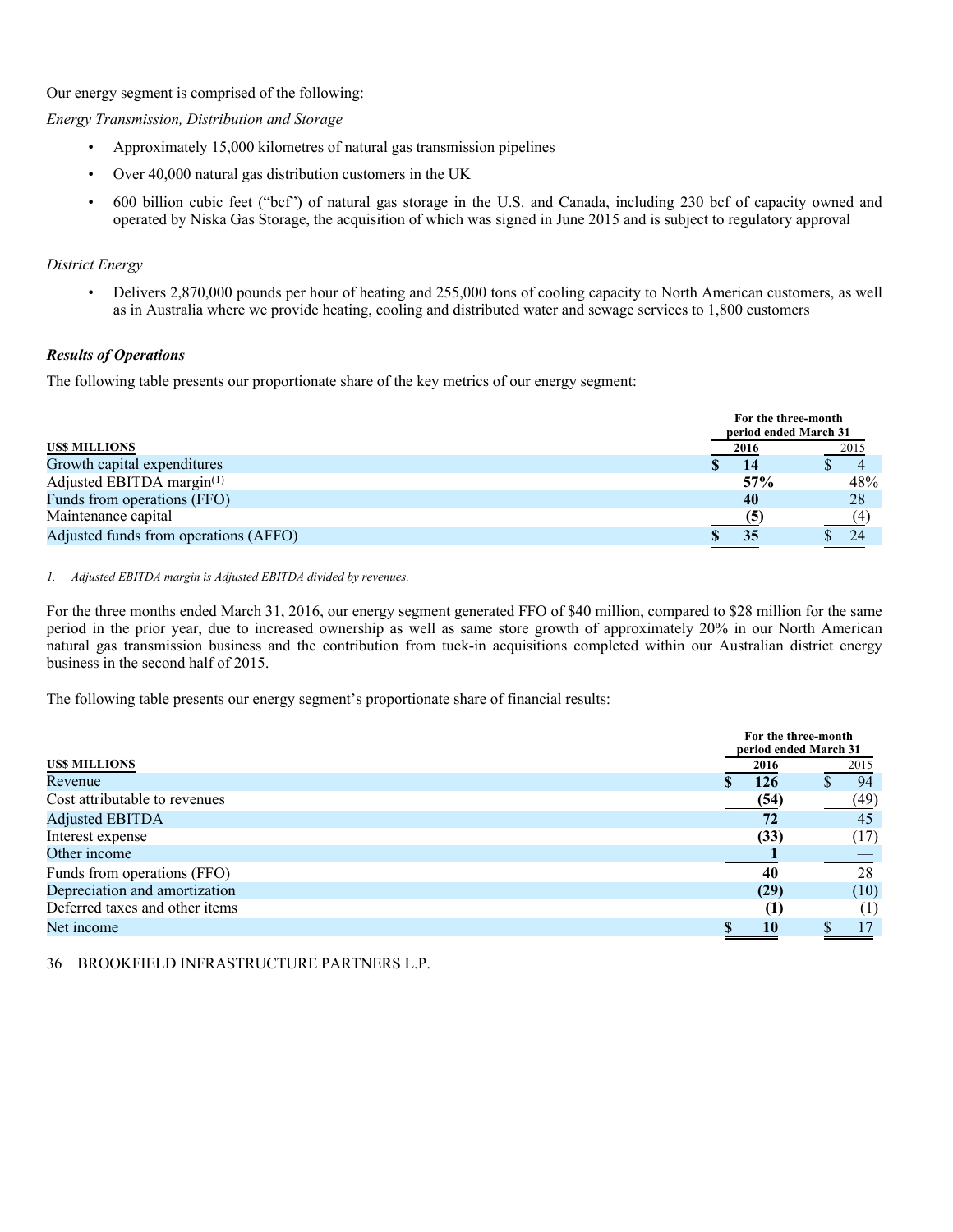Our energy segment is comprised of the following:

*Energy Transmission, Distribution and Storage* 

- Approximately 15,000 kilometres of natural gas transmission pipelines
- Over 40,000 natural gas distribution customers in the UK
- 600 billion cubic feet ("bcf") of natural gas storage in the U.S. and Canada, including 230 bcf of capacity owned and operated by Niska Gas Storage, the acquisition of which was signed in June 2015 and is subject to regulatory approval

### *District Energy*

• Delivers 2,870,000 pounds per hour of heating and 255,000 tons of cooling capacity to North American customers, as well as in Australia where we provide heating, cooling and distributed water and sewage services to 1,800 customers

### *Results of Operations*

The following table presents our proportionate share of the key metrics of our energy segment:

|                                       | For the three-month<br>period ended March 31 |  |      |  |  |
|---------------------------------------|----------------------------------------------|--|------|--|--|
| <b>USS MILLIONS</b>                   | 2016                                         |  | 2015 |  |  |
| Growth capital expenditures           |                                              |  |      |  |  |
| Adjusted EBITDA margin $(1)$          | 57%                                          |  | 48%  |  |  |
| Funds from operations (FFO)           | 40                                           |  | 28   |  |  |
| Maintenance capital                   |                                              |  | (4   |  |  |
| Adjusted funds from operations (AFFO) | 35                                           |  | 24   |  |  |

### *1. Adjusted EBITDA margin is Adjusted EBITDA divided by revenues.*

For the three months ended March 31, 2016, our energy segment generated FFO of \$40 million, compared to \$28 million for the same period in the prior year, due to increased ownership as well as same store growth of approximately 20% in our North American natural gas transmission business and the contribution from tuck-in acquisitions completed within our Australian district energy business in the second half of 2015.

The following table presents our energy segment's proportionate share of financial results:

|                                |      | For the three-month<br>period ended March 31 |  |  |  |
|--------------------------------|------|----------------------------------------------|--|--|--|
| <b>USS MILLIONS</b>            | 2016 | 2015                                         |  |  |  |
| Revenue                        | 126  | 94                                           |  |  |  |
| Cost attributable to revenues  | (54) | (49)                                         |  |  |  |
| <b>Adjusted EBITDA</b>         | 72   | 45                                           |  |  |  |
| Interest expense               | (33) | (17)                                         |  |  |  |
| Other income                   |      |                                              |  |  |  |
| Funds from operations (FFO)    | 40   | 28                                           |  |  |  |
| Depreciation and amortization  | (29) | (10)                                         |  |  |  |
| Deferred taxes and other items |      | $^{(1)}$                                     |  |  |  |
| Net income                     |      |                                              |  |  |  |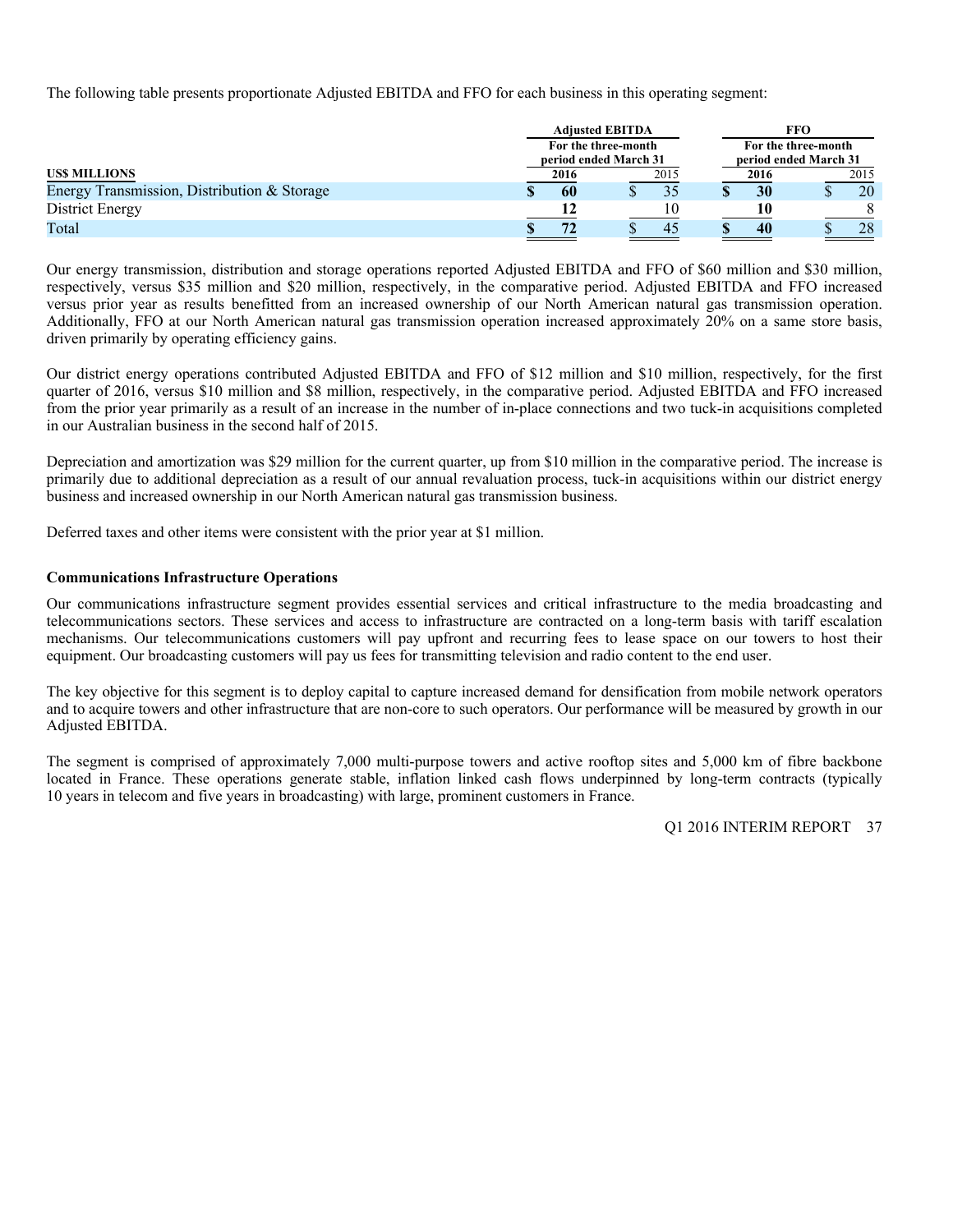The following table presents proportionate Adjusted EBITDA and FFO for each business in this operating segment:

|                                             | <b>Adjusted EBITDA</b>                       |      | <b>FFO</b>                                   |      |
|---------------------------------------------|----------------------------------------------|------|----------------------------------------------|------|
|                                             | For the three-month<br>period ended March 31 |      | For the three-month<br>period ended March 31 |      |
| USS MILLIONS                                | 2016                                         | 2015 | 2016                                         | 2015 |
| Energy Transmission, Distribution & Storage | 60                                           |      | 30                                           | 20   |
| District Energy                             |                                              | 10   | 10                                           |      |
| Total                                       |                                              | 45   | 40                                           | 28   |

Our energy transmission, distribution and storage operations reported Adjusted EBITDA and FFO of \$60 million and \$30 million, respectively, versus \$35 million and \$20 million, respectively, in the comparative period. Adjusted EBITDA and FFO increased versus prior year as results benefitted from an increased ownership of our North American natural gas transmission operation. Additionally, FFO at our North American natural gas transmission operation increased approximately 20% on a same store basis, driven primarily by operating efficiency gains.

Our district energy operations contributed Adjusted EBITDA and FFO of \$12 million and \$10 million, respectively, for the first quarter of 2016, versus \$10 million and \$8 million, respectively, in the comparative period. Adjusted EBITDA and FFO increased from the prior year primarily as a result of an increase in the number of in-place connections and two tuck-in acquisitions completed in our Australian business in the second half of 2015.

Depreciation and amortization was \$29 million for the current quarter, up from \$10 million in the comparative period. The increase is primarily due to additional depreciation as a result of our annual revaluation process, tuck-in acquisitions within our district energy business and increased ownership in our North American natural gas transmission business.

Deferred taxes and other items were consistent with the prior year at \$1 million.

### **Communications Infrastructure Operations**

Our communications infrastructure segment provides essential services and critical infrastructure to the media broadcasting and telecommunications sectors. These services and access to infrastructure are contracted on a long-term basis with tariff escalation mechanisms. Our telecommunications customers will pay upfront and recurring fees to lease space on our towers to host their equipment. Our broadcasting customers will pay us fees for transmitting television and radio content to the end user.

The key objective for this segment is to deploy capital to capture increased demand for densification from mobile network operators and to acquire towers and other infrastructure that are non-core to such operators. Our performance will be measured by growth in our Adjusted EBITDA.

The segment is comprised of approximately 7,000 multi-purpose towers and active rooftop sites and 5,000 km of fibre backbone located in France. These operations generate stable, inflation linked cash flows underpinned by long-term contracts (typically 10 years in telecom and five years in broadcasting) with large, prominent customers in France.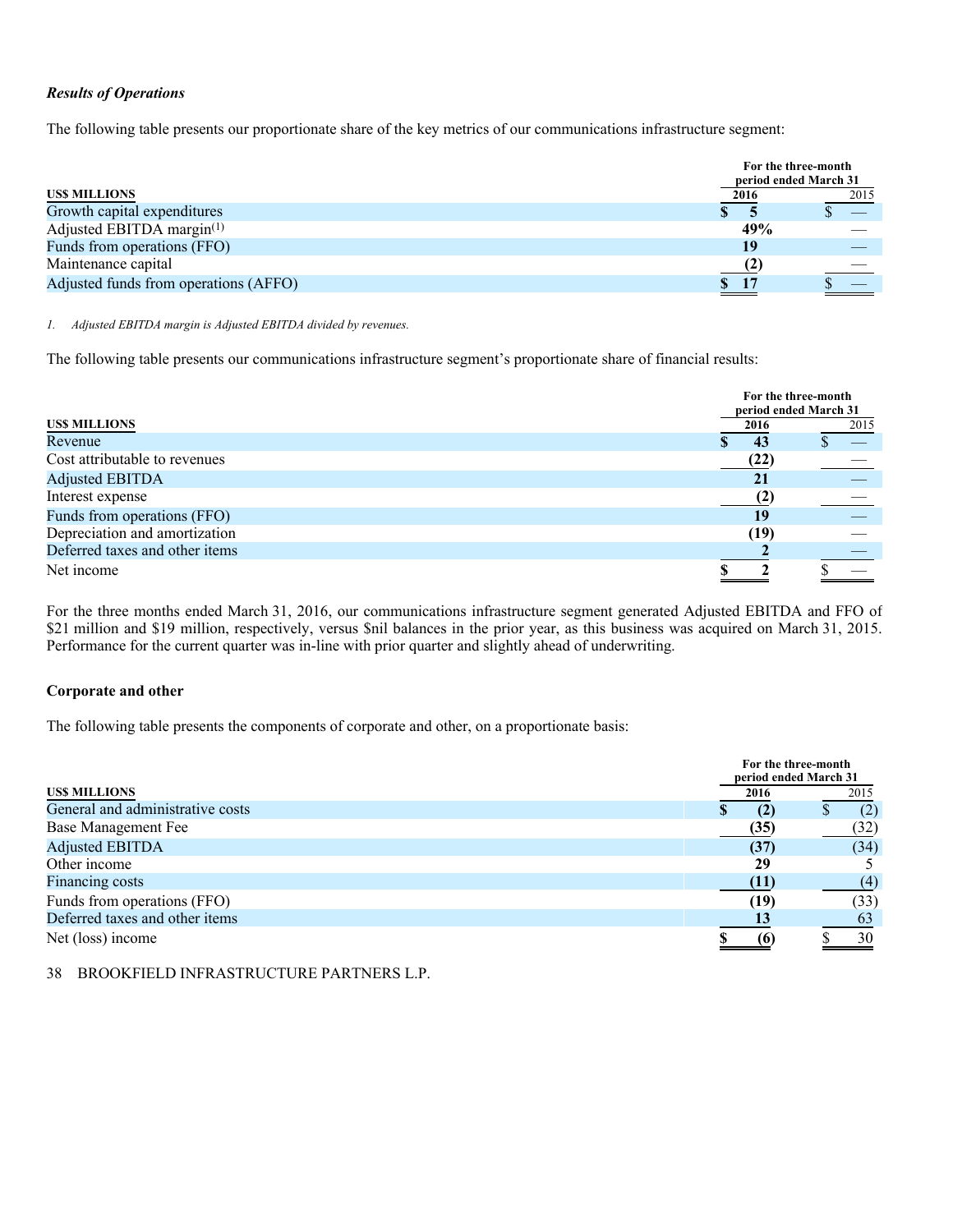### *Results of Operations*

The following table presents our proportionate share of the key metrics of our communications infrastructure segment:

|                                       | For the three-month<br>period ended March 31 |      |
|---------------------------------------|----------------------------------------------|------|
| <b>USS MILLIONS</b>                   | 2016                                         | 2015 |
| Growth capital expenditures           |                                              |      |
| Adjusted EBITDA margin $(1)$          | 49%                                          |      |
| Funds from operations (FFO)           | 19                                           |      |
| Maintenance capital                   |                                              |      |
| Adjusted funds from operations (AFFO) | <u>expertise</u>                             |      |
|                                       |                                              |      |

*1. Adjusted EBITDA margin is Adjusted EBITDA divided by revenues.* 

The following table presents our communications infrastructure segment's proportionate share of financial results:

|                                |      | For the three-month<br>period ended March 31 |
|--------------------------------|------|----------------------------------------------|
| US\$ MILLIONS                  | 2016 | 2015                                         |
| Revenue                        | 43   |                                              |
| Cost attributable to revenues  | (22) |                                              |
| <b>Adjusted EBITDA</b>         | 21   |                                              |
| Interest expense               |      |                                              |
| Funds from operations (FFO)    | 19   |                                              |
| Depreciation and amortization  | (19) |                                              |
| Deferred taxes and other items |      |                                              |
| Net income                     |      |                                              |

For the three months ended March 31, 2016, our communications infrastructure segment generated Adjusted EBITDA and FFO of \$21 million and \$19 million, respectively, versus \$nil balances in the prior year, as this business was acquired on March 31, 2015. Performance for the current quarter was in-line with prior quarter and slightly ahead of underwriting.

### **Corporate and other**

The following table presents the components of corporate and other, on a proportionate basis:

|                                  |           | For the three-month<br>period ended March 31 |  |  |  |
|----------------------------------|-----------|----------------------------------------------|--|--|--|
| <b>USS MILLIONS</b>              | 2016      | 2015                                         |  |  |  |
| General and administrative costs | (2)<br>ъD | (2)                                          |  |  |  |
| Base Management Fee              | (35)      | (32)                                         |  |  |  |
| <b>Adjusted EBITDA</b>           | (37)      | (34)                                         |  |  |  |
| Other income                     | 29        |                                              |  |  |  |
| Financing costs                  | (11)      | (4)                                          |  |  |  |
| Funds from operations (FFO)      | (19)      | (33)                                         |  |  |  |
| Deferred taxes and other items   |           | 63                                           |  |  |  |
| Net (loss) income                | 66        | 30                                           |  |  |  |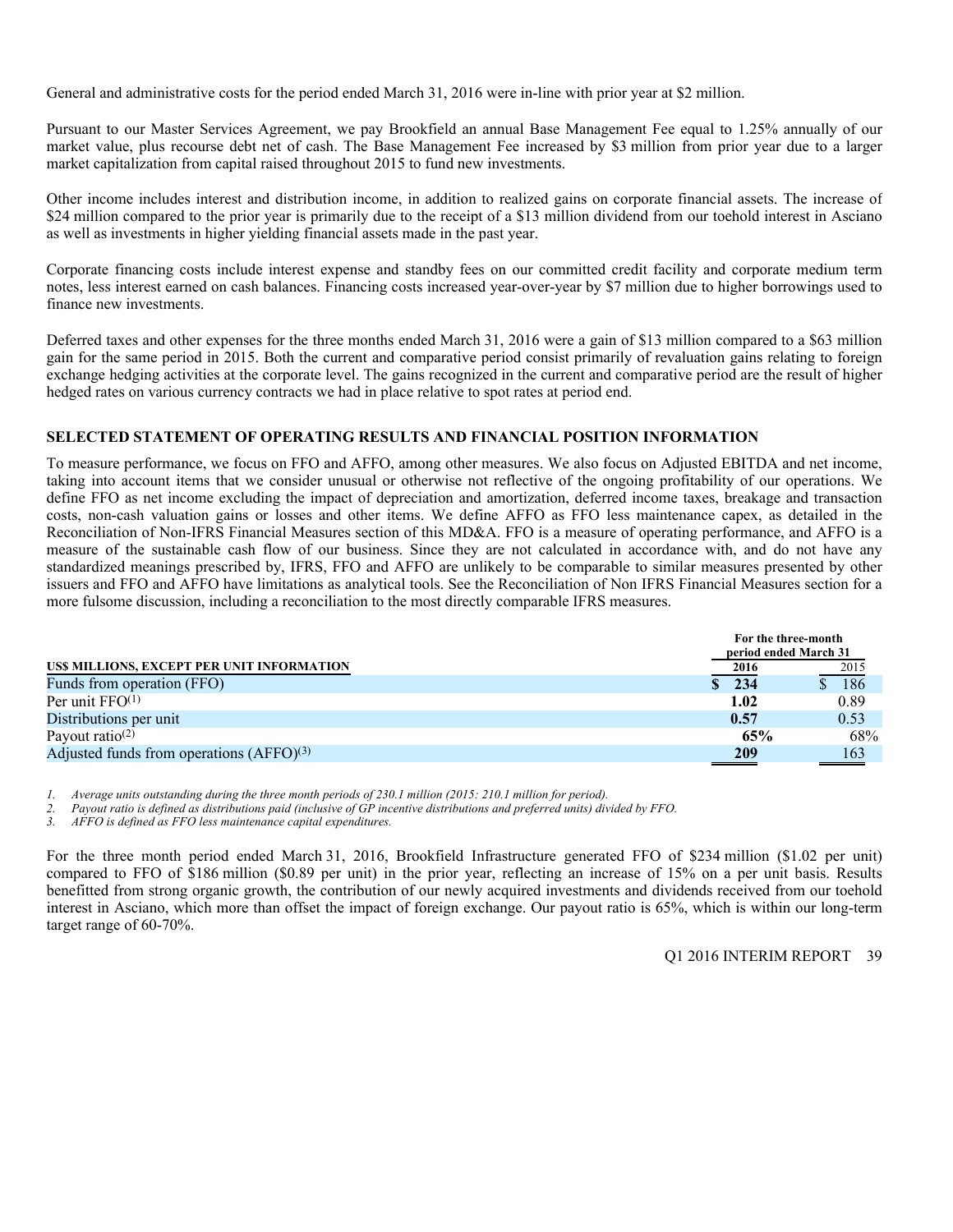General and administrative costs for the period ended March 31, 2016 were in-line with prior year at \$2 million.

Pursuant to our Master Services Agreement, we pay Brookfield an annual Base Management Fee equal to 1.25% annually of our market value, plus recourse debt net of cash. The Base Management Fee increased by \$3 million from prior year due to a larger market capitalization from capital raised throughout 2015 to fund new investments.

Other income includes interest and distribution income, in addition to realized gains on corporate financial assets. The increase of \$24 million compared to the prior year is primarily due to the receipt of a \$13 million dividend from our toehold interest in Asciano as well as investments in higher yielding financial assets made in the past year.

Corporate financing costs include interest expense and standby fees on our committed credit facility and corporate medium term notes, less interest earned on cash balances. Financing costs increased year-over-year by \$7 million due to higher borrowings used to finance new investments.

Deferred taxes and other expenses for the three months ended March 31, 2016 were a gain of \$13 million compared to a \$63 million gain for the same period in 2015. Both the current and comparative period consist primarily of revaluation gains relating to foreign exchange hedging activities at the corporate level. The gains recognized in the current and comparative period are the result of higher hedged rates on various currency contracts we had in place relative to spot rates at period end.

### **SELECTED STATEMENT OF OPERATING RESULTS AND FINANCIAL POSITION INFORMATION**

To measure performance, we focus on FFO and AFFO, among other measures. We also focus on Adjusted EBITDA and net income, taking into account items that we consider unusual or otherwise not reflective of the ongoing profitability of our operations. We define FFO as net income excluding the impact of depreciation and amortization, deferred income taxes, breakage and transaction costs, non-cash valuation gains or losses and other items. We define AFFO as FFO less maintenance capex, as detailed in the Reconciliation of Non-IFRS Financial Measures section of this MD&A. FFO is a measure of operating performance, and AFFO is a measure of the sustainable cash flow of our business. Since they are not calculated in accordance with, and do not have any standardized meanings prescribed by, IFRS, FFO and AFFO are unlikely to be comparable to similar measures presented by other issuers and FFO and AFFO have limitations as analytical tools. See the Reconciliation of Non IFRS Financial Measures section for a more fulsome discussion, including a reconciliation to the most directly comparable IFRS measures.

|                                            | For the three-month   |      |
|--------------------------------------------|-----------------------|------|
|                                            | period ended March 31 |      |
| US\$ MILLIONS, EXCEPT PER UNIT INFORMATION | 2016                  | 2015 |
| Funds from operation (FFO)                 | \$234                 | 186  |
| Per unit $FFO(1)$                          | 1.02                  | 0.89 |
| Distributions per unit                     | 0.57                  | 0.53 |
| Payout ratio <sup>(2)</sup>                | 65%                   | 68%  |
| Adjusted funds from operations $(AFFO)(3)$ | 209                   | 163  |
|                                            |                       |      |

*1. Average units outstanding during the three month periods of 230.1 million (2015: 210.1 million for period).* 

*2. Payout ratio is defined as distributions paid (inclusive of GP incentive distributions and preferred units) divided by FFO.* 

*3. AFFO is defined as FFO less maintenance capital expenditures.* 

For the three month period ended March 31, 2016, Brookfield Infrastructure generated FFO of \$234 million (\$1.02 per unit) compared to FFO of \$186 million (\$0.89 per unit) in the prior year, reflecting an increase of 15% on a per unit basis. Results benefitted from strong organic growth, the contribution of our newly acquired investments and dividends received from our toehold interest in Asciano, which more than offset the impact of foreign exchange. Our payout ratio is 65%, which is within our long-term target range of 60-70%.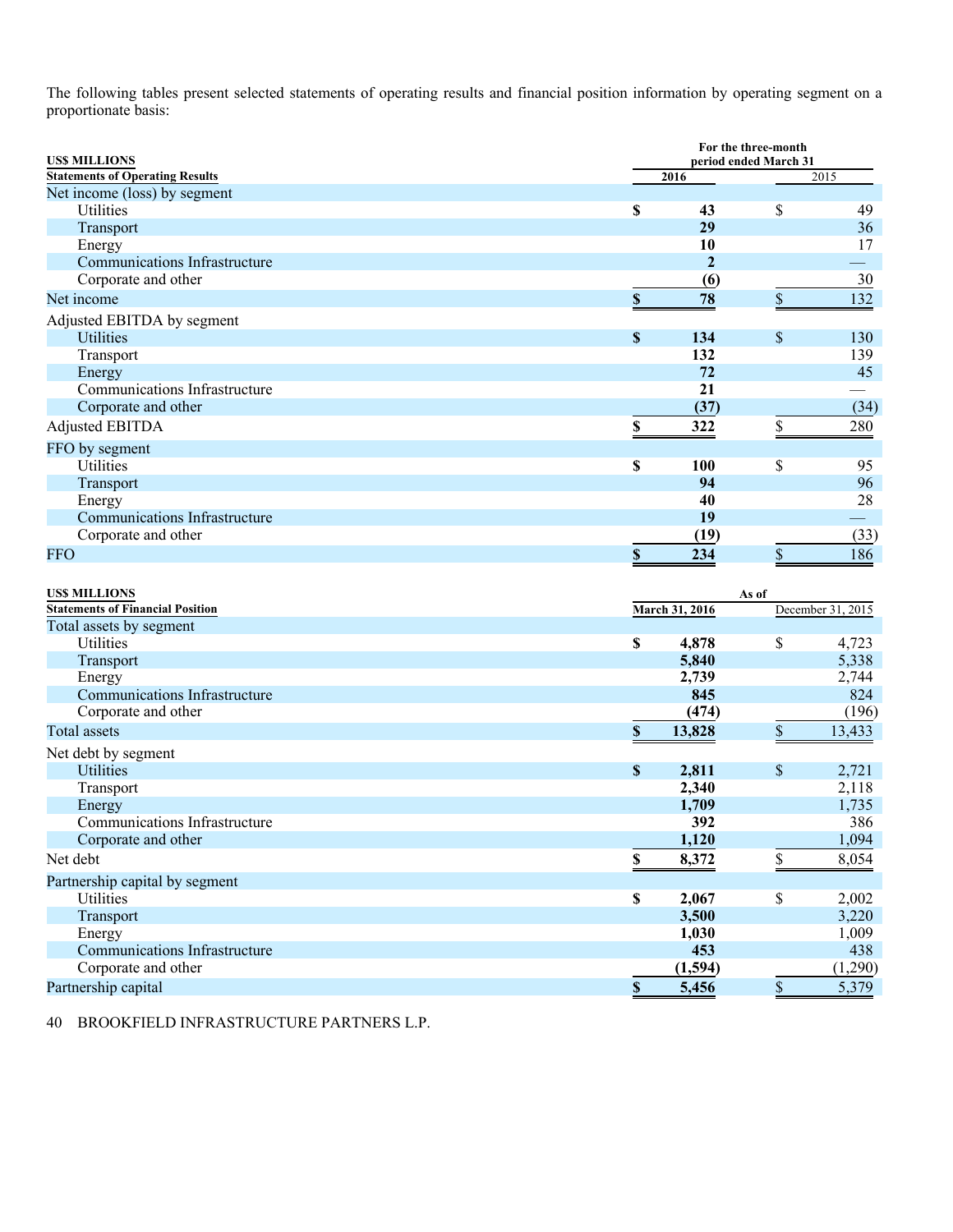The following tables present selected statements of operating results and financial position information by operating segment on a proportionate basis:

| <b>US\$ MILLIONS</b>                    |                           |                | For the three-month<br>period ended March 31 |                   |
|-----------------------------------------|---------------------------|----------------|----------------------------------------------|-------------------|
| <b>Statements of Operating Results</b>  |                           | 2016           |                                              | 2015              |
| Net income (loss) by segment            |                           |                |                                              |                   |
| Utilities                               | \$                        | 43             | \$                                           | 49                |
| Transport                               |                           | 29             |                                              | 36                |
| Energy                                  |                           | 10             |                                              | 17                |
| Communications Infrastructure           |                           | $\overline{2}$ |                                              |                   |
| Corporate and other                     |                           | (6)            |                                              | 30                |
| Net income                              | $\$$                      | 78             | $\mathbb S$                                  | 132               |
| Adjusted EBITDA by segment              |                           |                |                                              |                   |
| <b>Utilities</b>                        | $\boldsymbol{\mathsf{S}}$ | 134            | \$                                           | 130               |
| Transport                               |                           | 132            |                                              | 139               |
| Energy                                  |                           | 72             |                                              | 45                |
| Communications Infrastructure           |                           | 21             |                                              |                   |
| Corporate and other                     |                           | (37)           |                                              | (34)              |
| <b>Adjusted EBITDA</b>                  | \$                        | 322            | $\frac{1}{2}$                                | 280               |
| FFO by segment                          |                           |                |                                              |                   |
| Utilities                               | \$                        | 100            | \$                                           | 95                |
| Transport                               |                           | 94             |                                              | 96                |
| Energy                                  |                           | 40             |                                              | 28                |
| Communications Infrastructure           |                           | 19             |                                              |                   |
| Corporate and other                     |                           | (19)           |                                              | (33)              |
| <b>FFO</b>                              | $\boldsymbol{\mathsf{S}}$ | 234            | \$                                           | 186               |
|                                         |                           |                |                                              |                   |
| US\$ MILLIONS                           |                           |                | As of                                        |                   |
| <b>Statements of Financial Position</b> |                           | March 31, 2016 |                                              | December 31, 2015 |
| Total assets by segment                 |                           |                |                                              |                   |
| Utilities                               | \$                        | 4,878          | \$                                           | 4,723             |
| Transport                               |                           | 5,840<br>2,739 |                                              | 5,338             |
| Energy<br>Communications Infrastructure |                           | 845            |                                              | 2,744<br>824      |
| Corporate and other                     |                           | (474)          |                                              | (196)             |
| <b>Total assets</b>                     | \$                        | 13,828         | \$                                           | 13,433            |
|                                         |                           |                |                                              |                   |
| Net debt by segment                     |                           |                |                                              |                   |
| Utilities                               | \$                        | 2,811          | \$                                           | 2,721             |
| Transport                               |                           | 2,340<br>1,709 |                                              | 2,118<br>1,735    |
| Energy<br>Communications Infrastructure |                           | 392            |                                              | 386               |
| Corporate and other                     |                           | 1,120          |                                              | 1,094             |
| Net debt                                | $\mathbb S$               |                |                                              |                   |
|                                         |                           | 8,372          | \$                                           | 8,054             |
| Partnership capital by segment          |                           |                |                                              |                   |
| Utilities                               | $\mathbb S$               | 2,067          | \$                                           | 2,002             |
| Transport                               |                           | 3,500          |                                              | 3,220             |
| Energy<br>Communications Infrastructure |                           | 1,030          |                                              | 1,009             |
| Corporate and other                     |                           | 453<br>(1,594) |                                              | 438<br>(1,290)    |
|                                         |                           |                |                                              |                   |
| Partnership capital                     | $\boldsymbol{\mathsf{S}}$ | 5,456          | $\overline{\mathbb{S}}$                      | 5,379             |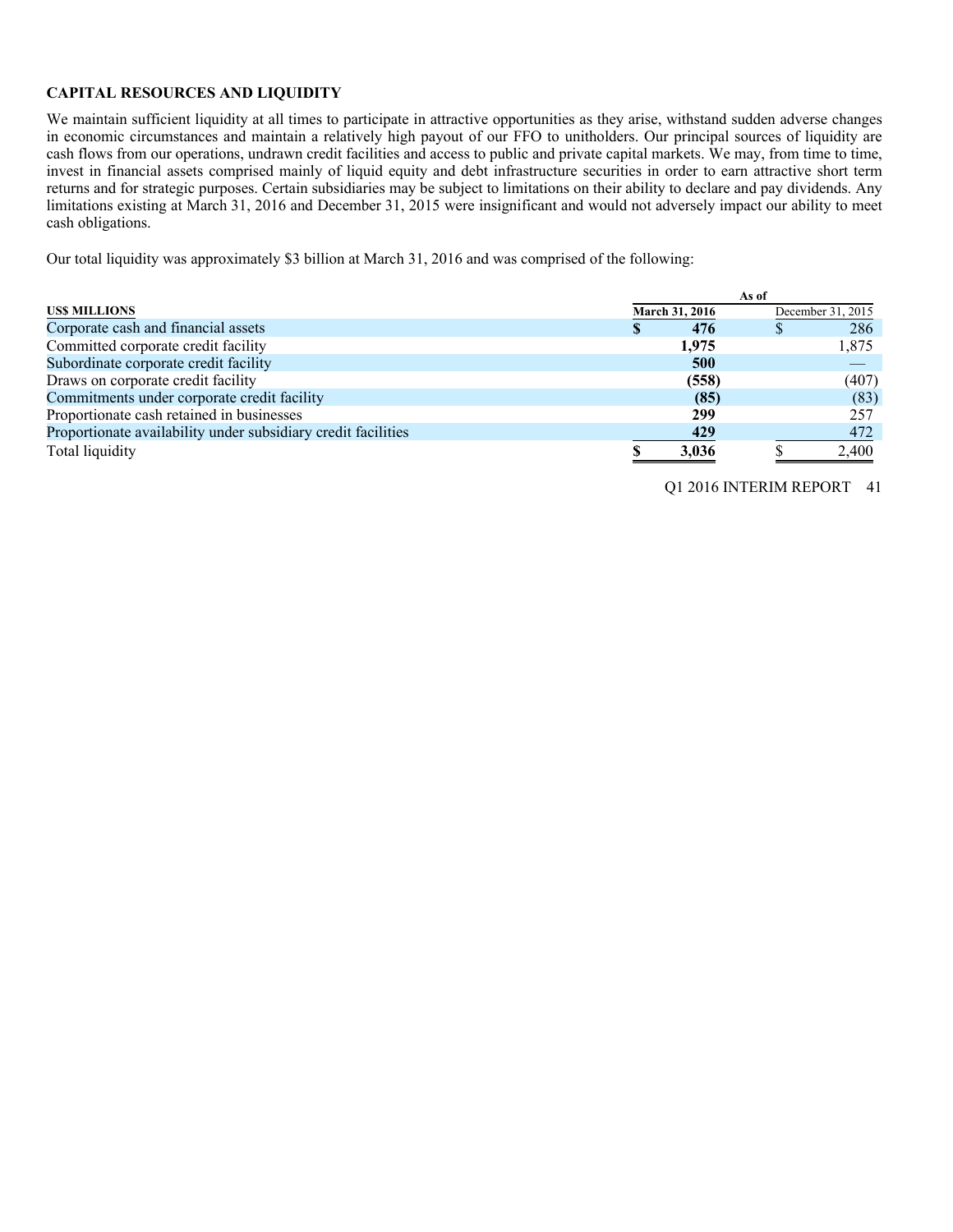### **CAPITAL RESOURCES AND LIQUIDITY**

We maintain sufficient liquidity at all times to participate in attractive opportunities as they arise, withstand sudden adverse changes in economic circumstances and maintain a relatively high payout of our FFO to unitholders. Our principal sources of liquidity are cash flows from our operations, undrawn credit facilities and access to public and private capital markets. We may, from time to time, invest in financial assets comprised mainly of liquid equity and debt infrastructure securities in order to earn attractive short term returns and for strategic purposes. Certain subsidiaries may be subject to limitations on their ability to declare and pay dividends. Any limitations existing at March 31, 2016 and December 31, 2015 were insignificant and would not adversely impact our ability to meet cash obligations.

Our total liquidity was approximately \$3 billion at March 31, 2016 and was comprised of the following:

|                                                               |                       | As of |                   |
|---------------------------------------------------------------|-----------------------|-------|-------------------|
| <b>USS MILLIONS</b>                                           | <b>March 31, 2016</b> |       | December 31, 2015 |
| Corporate cash and financial assets                           | 476                   |       | 286               |
| Committed corporate credit facility                           | 1,975                 |       | 1,875             |
| Subordinate corporate credit facility                         | 500                   |       |                   |
| Draws on corporate credit facility                            | (558)                 |       | (407)             |
| Commitments under corporate credit facility                   | (85)                  |       | (83)              |
| Proportionate cash retained in businesses                     | 299                   |       | 257               |
| Proportionate availability under subsidiary credit facilities | 429                   |       | 472               |
| Total liquidity                                               | 3,036                 |       | 2,400             |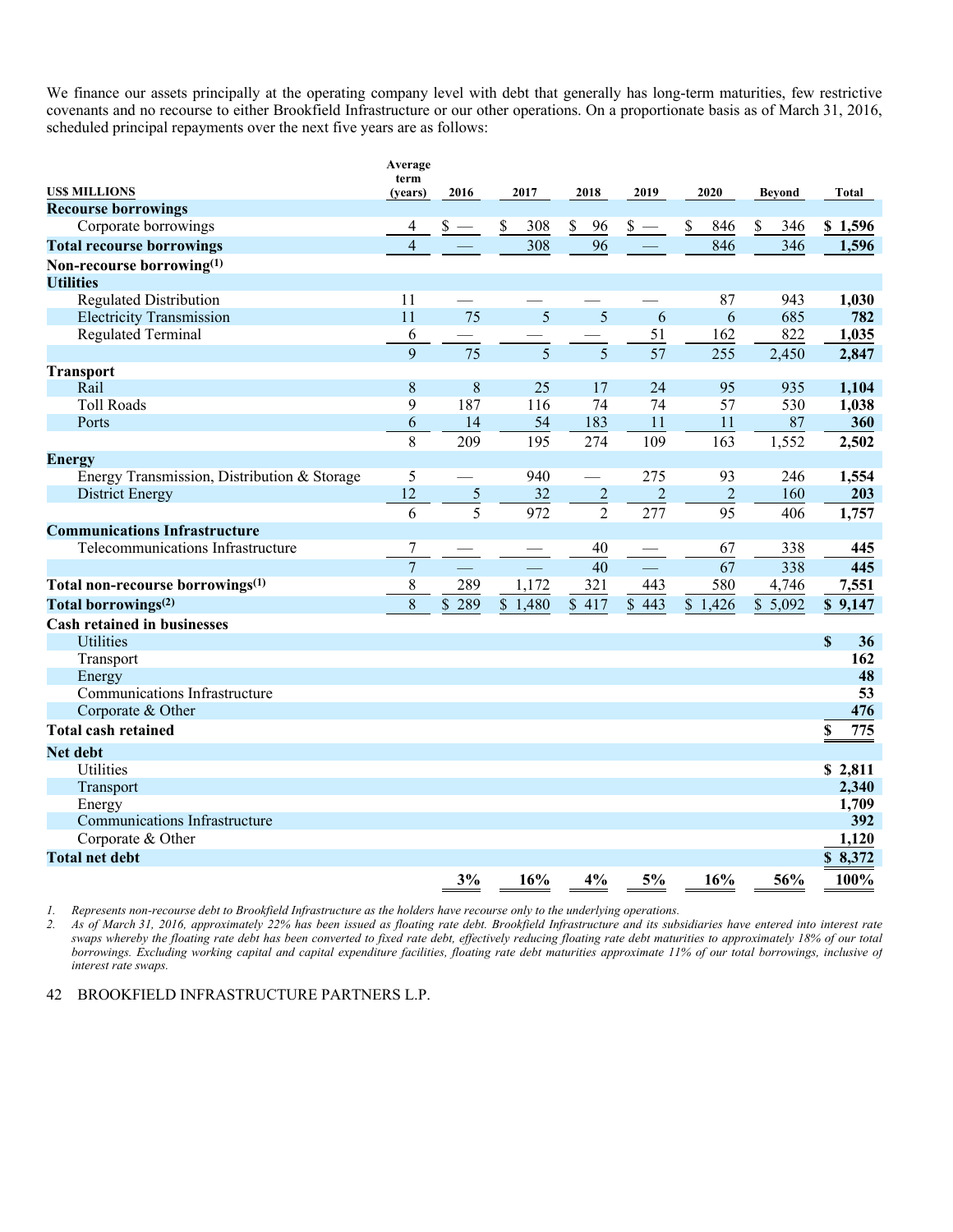We finance our assets principally at the operating company level with debt that generally has long-term maturities, few restrictive covenants and no recourse to either Brookfield Infrastructure or our other operations. On a proportionate basis as of March 31, 2016, scheduled principal repayments over the next five years are as follows:

| term<br><b>US\$ MILLIONS</b><br>2019<br>2016<br>2017<br>2018<br>2020<br>Beyond<br>Total<br>(years)<br><b>Recourse borrowings</b><br>846<br>\$<br>Corporate borrowings<br>\$<br>308<br>\$<br>96<br>\$<br>346<br>\$1,596<br>$s -$<br>$\overline{308}$<br>96<br>346<br>846<br>1,596<br><b>Total recourse borrowings</b><br>4<br>Non-recourse borrowing(1)<br><b>Utilities</b><br><b>Regulated Distribution</b><br>11<br>87<br>943<br>1,030<br>75<br>5<br>11<br>5<br>685<br><b>Electricity Transmission</b><br>6<br>6<br>782<br>51<br><b>Regulated Terminal</b><br>6<br>162<br>822<br>1,035<br>$\overline{75}$<br>$\overline{57}$<br>5<br>9<br>5<br>255<br>2,450<br>2,847<br><b>Transport</b><br>8<br>8<br>25<br>24<br>95<br>935<br>1,104<br>Rail<br>17<br>9<br>187<br><b>Toll Roads</b><br>116<br>74<br>74<br>57<br>530<br>1,038<br>6<br>54<br>183<br>11<br>11<br>87<br>360<br>Ports<br>14<br>8<br>209<br>195<br>274<br>109<br>163<br>1,552<br>2,502<br><b>Energy</b><br>5<br>940<br>275<br>1,554<br>Energy Transmission, Distribution & Storage<br>93<br>246<br>L.<br>12<br>$\sqrt{5}$<br>32<br>$\overline{c}$<br>$\overline{2}$<br>$\overline{2}$<br>160<br>203<br><b>District Energy</b><br>$\overline{5}$<br>$\overline{2}$<br>972<br>277<br>95<br>6<br>406<br>1,757<br><b>Communications Infrastructure</b><br>7<br>338<br>Telecommunications Infrastructure<br>40<br>67<br>445<br>$\overline{7}$<br>67<br>338<br>40<br>445<br>8<br>289<br>1,172<br>321<br>580<br>7,551<br>Total non-recourse borrowings <sup>(1)</sup><br>443<br>4,746<br>8<br>Total borrowings <sup>(2)</sup><br>289<br>\$1,480<br>\$417<br>\$443<br>\$1,426<br>\$5,092<br>\$9,147<br>\$ |
|--------------------------------------------------------------------------------------------------------------------------------------------------------------------------------------------------------------------------------------------------------------------------------------------------------------------------------------------------------------------------------------------------------------------------------------------------------------------------------------------------------------------------------------------------------------------------------------------------------------------------------------------------------------------------------------------------------------------------------------------------------------------------------------------------------------------------------------------------------------------------------------------------------------------------------------------------------------------------------------------------------------------------------------------------------------------------------------------------------------------------------------------------------------------------------------------------------------------------------------------------------------------------------------------------------------------------------------------------------------------------------------------------------------------------------------------------------------------------------------------------------------------------------------------------------------------------------------------------------------------------------------------------------------|
|                                                                                                                                                                                                                                                                                                                                                                                                                                                                                                                                                                                                                                                                                                                                                                                                                                                                                                                                                                                                                                                                                                                                                                                                                                                                                                                                                                                                                                                                                                                                                                                                                                                              |
|                                                                                                                                                                                                                                                                                                                                                                                                                                                                                                                                                                                                                                                                                                                                                                                                                                                                                                                                                                                                                                                                                                                                                                                                                                                                                                                                                                                                                                                                                                                                                                                                                                                              |
|                                                                                                                                                                                                                                                                                                                                                                                                                                                                                                                                                                                                                                                                                                                                                                                                                                                                                                                                                                                                                                                                                                                                                                                                                                                                                                                                                                                                                                                                                                                                                                                                                                                              |
|                                                                                                                                                                                                                                                                                                                                                                                                                                                                                                                                                                                                                                                                                                                                                                                                                                                                                                                                                                                                                                                                                                                                                                                                                                                                                                                                                                                                                                                                                                                                                                                                                                                              |
|                                                                                                                                                                                                                                                                                                                                                                                                                                                                                                                                                                                                                                                                                                                                                                                                                                                                                                                                                                                                                                                                                                                                                                                                                                                                                                                                                                                                                                                                                                                                                                                                                                                              |
|                                                                                                                                                                                                                                                                                                                                                                                                                                                                                                                                                                                                                                                                                                                                                                                                                                                                                                                                                                                                                                                                                                                                                                                                                                                                                                                                                                                                                                                                                                                                                                                                                                                              |
|                                                                                                                                                                                                                                                                                                                                                                                                                                                                                                                                                                                                                                                                                                                                                                                                                                                                                                                                                                                                                                                                                                                                                                                                                                                                                                                                                                                                                                                                                                                                                                                                                                                              |
|                                                                                                                                                                                                                                                                                                                                                                                                                                                                                                                                                                                                                                                                                                                                                                                                                                                                                                                                                                                                                                                                                                                                                                                                                                                                                                                                                                                                                                                                                                                                                                                                                                                              |
|                                                                                                                                                                                                                                                                                                                                                                                                                                                                                                                                                                                                                                                                                                                                                                                                                                                                                                                                                                                                                                                                                                                                                                                                                                                                                                                                                                                                                                                                                                                                                                                                                                                              |
|                                                                                                                                                                                                                                                                                                                                                                                                                                                                                                                                                                                                                                                                                                                                                                                                                                                                                                                                                                                                                                                                                                                                                                                                                                                                                                                                                                                                                                                                                                                                                                                                                                                              |
|                                                                                                                                                                                                                                                                                                                                                                                                                                                                                                                                                                                                                                                                                                                                                                                                                                                                                                                                                                                                                                                                                                                                                                                                                                                                                                                                                                                                                                                                                                                                                                                                                                                              |
|                                                                                                                                                                                                                                                                                                                                                                                                                                                                                                                                                                                                                                                                                                                                                                                                                                                                                                                                                                                                                                                                                                                                                                                                                                                                                                                                                                                                                                                                                                                                                                                                                                                              |
|                                                                                                                                                                                                                                                                                                                                                                                                                                                                                                                                                                                                                                                                                                                                                                                                                                                                                                                                                                                                                                                                                                                                                                                                                                                                                                                                                                                                                                                                                                                                                                                                                                                              |
|                                                                                                                                                                                                                                                                                                                                                                                                                                                                                                                                                                                                                                                                                                                                                                                                                                                                                                                                                                                                                                                                                                                                                                                                                                                                                                                                                                                                                                                                                                                                                                                                                                                              |
|                                                                                                                                                                                                                                                                                                                                                                                                                                                                                                                                                                                                                                                                                                                                                                                                                                                                                                                                                                                                                                                                                                                                                                                                                                                                                                                                                                                                                                                                                                                                                                                                                                                              |
|                                                                                                                                                                                                                                                                                                                                                                                                                                                                                                                                                                                                                                                                                                                                                                                                                                                                                                                                                                                                                                                                                                                                                                                                                                                                                                                                                                                                                                                                                                                                                                                                                                                              |
|                                                                                                                                                                                                                                                                                                                                                                                                                                                                                                                                                                                                                                                                                                                                                                                                                                                                                                                                                                                                                                                                                                                                                                                                                                                                                                                                                                                                                                                                                                                                                                                                                                                              |
|                                                                                                                                                                                                                                                                                                                                                                                                                                                                                                                                                                                                                                                                                                                                                                                                                                                                                                                                                                                                                                                                                                                                                                                                                                                                                                                                                                                                                                                                                                                                                                                                                                                              |
|                                                                                                                                                                                                                                                                                                                                                                                                                                                                                                                                                                                                                                                                                                                                                                                                                                                                                                                                                                                                                                                                                                                                                                                                                                                                                                                                                                                                                                                                                                                                                                                                                                                              |
|                                                                                                                                                                                                                                                                                                                                                                                                                                                                                                                                                                                                                                                                                                                                                                                                                                                                                                                                                                                                                                                                                                                                                                                                                                                                                                                                                                                                                                                                                                                                                                                                                                                              |
|                                                                                                                                                                                                                                                                                                                                                                                                                                                                                                                                                                                                                                                                                                                                                                                                                                                                                                                                                                                                                                                                                                                                                                                                                                                                                                                                                                                                                                                                                                                                                                                                                                                              |
|                                                                                                                                                                                                                                                                                                                                                                                                                                                                                                                                                                                                                                                                                                                                                                                                                                                                                                                                                                                                                                                                                                                                                                                                                                                                                                                                                                                                                                                                                                                                                                                                                                                              |
|                                                                                                                                                                                                                                                                                                                                                                                                                                                                                                                                                                                                                                                                                                                                                                                                                                                                                                                                                                                                                                                                                                                                                                                                                                                                                                                                                                                                                                                                                                                                                                                                                                                              |
|                                                                                                                                                                                                                                                                                                                                                                                                                                                                                                                                                                                                                                                                                                                                                                                                                                                                                                                                                                                                                                                                                                                                                                                                                                                                                                                                                                                                                                                                                                                                                                                                                                                              |
| <b>Cash retained in businesses</b>                                                                                                                                                                                                                                                                                                                                                                                                                                                                                                                                                                                                                                                                                                                                                                                                                                                                                                                                                                                                                                                                                                                                                                                                                                                                                                                                                                                                                                                                                                                                                                                                                           |
| <b>Utilities</b><br>$\mathbf S$<br>36                                                                                                                                                                                                                                                                                                                                                                                                                                                                                                                                                                                                                                                                                                                                                                                                                                                                                                                                                                                                                                                                                                                                                                                                                                                                                                                                                                                                                                                                                                                                                                                                                        |
| 162<br>Transport                                                                                                                                                                                                                                                                                                                                                                                                                                                                                                                                                                                                                                                                                                                                                                                                                                                                                                                                                                                                                                                                                                                                                                                                                                                                                                                                                                                                                                                                                                                                                                                                                                             |
| 48<br>Energy                                                                                                                                                                                                                                                                                                                                                                                                                                                                                                                                                                                                                                                                                                                                                                                                                                                                                                                                                                                                                                                                                                                                                                                                                                                                                                                                                                                                                                                                                                                                                                                                                                                 |
| 53<br>Communications Infrastructure                                                                                                                                                                                                                                                                                                                                                                                                                                                                                                                                                                                                                                                                                                                                                                                                                                                                                                                                                                                                                                                                                                                                                                                                                                                                                                                                                                                                                                                                                                                                                                                                                          |
| 476<br>Corporate & Other                                                                                                                                                                                                                                                                                                                                                                                                                                                                                                                                                                                                                                                                                                                                                                                                                                                                                                                                                                                                                                                                                                                                                                                                                                                                                                                                                                                                                                                                                                                                                                                                                                     |
| <b>Total cash retained</b><br>775<br>\$                                                                                                                                                                                                                                                                                                                                                                                                                                                                                                                                                                                                                                                                                                                                                                                                                                                                                                                                                                                                                                                                                                                                                                                                                                                                                                                                                                                                                                                                                                                                                                                                                      |
| <b>Net debt</b>                                                                                                                                                                                                                                                                                                                                                                                                                                                                                                                                                                                                                                                                                                                                                                                                                                                                                                                                                                                                                                                                                                                                                                                                                                                                                                                                                                                                                                                                                                                                                                                                                                              |
| \$2,811<br>Utilities                                                                                                                                                                                                                                                                                                                                                                                                                                                                                                                                                                                                                                                                                                                                                                                                                                                                                                                                                                                                                                                                                                                                                                                                                                                                                                                                                                                                                                                                                                                                                                                                                                         |
| 2,340<br>Transport                                                                                                                                                                                                                                                                                                                                                                                                                                                                                                                                                                                                                                                                                                                                                                                                                                                                                                                                                                                                                                                                                                                                                                                                                                                                                                                                                                                                                                                                                                                                                                                                                                           |
| 1,709<br>Energy                                                                                                                                                                                                                                                                                                                                                                                                                                                                                                                                                                                                                                                                                                                                                                                                                                                                                                                                                                                                                                                                                                                                                                                                                                                                                                                                                                                                                                                                                                                                                                                                                                              |
| 392<br>Communications Infrastructure                                                                                                                                                                                                                                                                                                                                                                                                                                                                                                                                                                                                                                                                                                                                                                                                                                                                                                                                                                                                                                                                                                                                                                                                                                                                                                                                                                                                                                                                                                                                                                                                                         |
| 1,120<br>Corporate & Other                                                                                                                                                                                                                                                                                                                                                                                                                                                                                                                                                                                                                                                                                                                                                                                                                                                                                                                                                                                                                                                                                                                                                                                                                                                                                                                                                                                                                                                                                                                                                                                                                                   |
| \$8,372<br><b>Total net debt</b>                                                                                                                                                                                                                                                                                                                                                                                                                                                                                                                                                                                                                                                                                                                                                                                                                                                                                                                                                                                                                                                                                                                                                                                                                                                                                                                                                                                                                                                                                                                                                                                                                             |
| 3%<br>16%<br>5%<br>100%<br>4%<br>16%<br>56%                                                                                                                                                                                                                                                                                                                                                                                                                                                                                                                                                                                                                                                                                                                                                                                                                                                                                                                                                                                                                                                                                                                                                                                                                                                                                                                                                                                                                                                                                                                                                                                                                  |

*1. Represents non-recourse debt to Brookfield Infrastructure as the holders have recourse only to the underlying operations.* 

*2. As of March 31, 2016, approximately 22% has been issued as floating rate debt. Brookfield Infrastructure and its subsidiaries have entered into interest rate swaps whereby the floating rate debt has been converted to fixed rate debt, effectively reducing floating rate debt maturities to approximately 18% of our total borrowings. Excluding working capital and capital expenditure facilities, floating rate debt maturities approximate 11% of our total borrowings, inclusive of interest rate swaps.*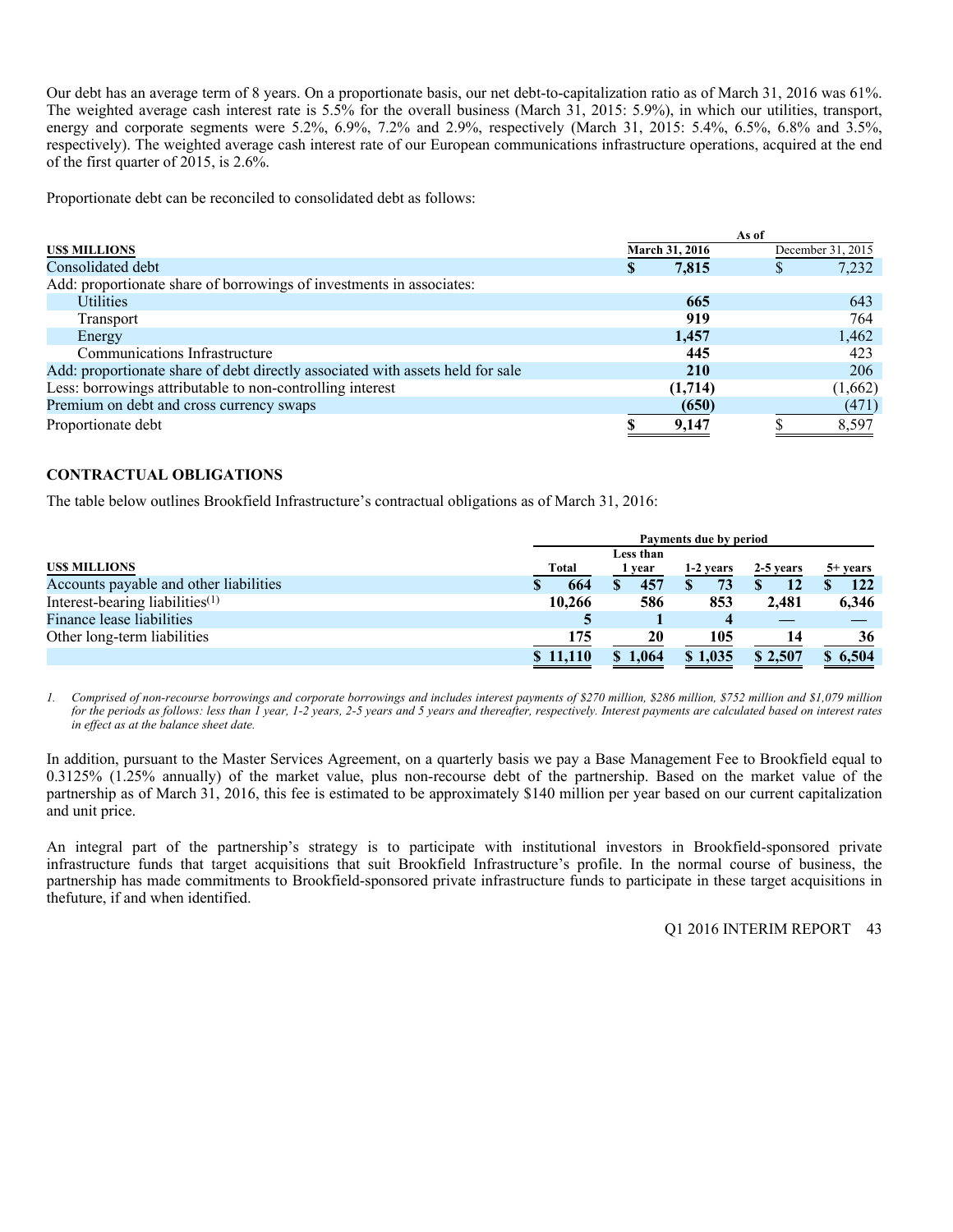Our debt has an average term of 8 years. On a proportionate basis, our net debt-to-capitalization ratio as of March 31, 2016 was 61%. The weighted average cash interest rate is 5.5% for the overall business (March 31, 2015: 5.9%), in which our utilities, transport, energy and corporate segments were 5.2%, 6.9%, 7.2% and 2.9%, respectively (March 31, 2015: 5.4%, 6.5%, 6.8% and 3.5%, respectively). The weighted average cash interest rate of our European communications infrastructure operations, acquired at the end of the first quarter of 2015, is 2.6%.

Proportionate debt can be reconciled to consolidated debt as follows:

|                                                                                |   |                | As of |                   |
|--------------------------------------------------------------------------------|---|----------------|-------|-------------------|
| <b>USS MILLIONS</b>                                                            |   | March 31, 2016 |       | December 31, 2015 |
| Consolidated debt                                                              | S | 7,815          |       | 7,232             |
| Add: proportionate share of borrowings of investments in associates:           |   |                |       |                   |
| <b>Utilities</b>                                                               |   | 665            |       | 643               |
| Transport                                                                      |   | 919            |       | 764               |
| Energy                                                                         |   | 1,457          |       | 1,462             |
| Communications Infrastructure                                                  |   | 445            |       | 423               |
| Add: proportionate share of debt directly associated with assets held for sale |   | <b>210</b>     |       | 206               |
| Less: borrowings attributable to non-controlling interest                      |   | (1,714)        |       | (1,662)           |
| Premium on debt and cross currency swaps                                       |   | (650)          |       | (471)             |
| Proportionate debt                                                             | S | 9.147          |       | 8,597             |

### **CONTRACTUAL OBLIGATIONS**

The table below outlines Brookfield Infrastructure's contractual obligations as of March 31, 2016:

|                                        |          | Payments due by period |           |           |            |  |
|----------------------------------------|----------|------------------------|-----------|-----------|------------|--|
|                                        |          | Less than              |           |           |            |  |
| <b>USS MILLIONS</b>                    | Total    | 1 year                 | 1-2 years | 2-5 years | $5+$ years |  |
| Accounts payable and other liabilities | 664      | 457                    | 73        |           | 122        |  |
| Interest-bearing liabilities $(1)$     | 10,266   | 586                    | 853       | 2.481     | 6,346      |  |
| Finance lease liabilities              | Э        |                        |           |           |            |  |
| Other long-term liabilities            | 175      | 20                     | 105       |           | 36         |  |
|                                        | \$11,110 | 1,064                  | \$1,035   | \$2,507   | \$6,504    |  |

*1. Comprised of non-recourse borrowings and corporate borrowings and includes interest payments of \$270 million, \$286 million, \$752 million and \$1,079 million for the periods as follows: less than 1 year, 1-2 years, 2-5 years and 5 years and thereafter, respectively. Interest payments are calculated based on interest rates in effect as at the balance sheet date.* 

In addition, pursuant to the Master Services Agreement, on a quarterly basis we pay a Base Management Fee to Brookfield equal to 0.3125% (1.25% annually) of the market value, plus non-recourse debt of the partnership. Based on the market value of the partnership as of March 31, 2016, this fee is estimated to be approximately \$140 million per year based on our current capitalization and unit price.

An integral part of the partnership's strategy is to participate with institutional investors in Brookfield-sponsored private infrastructure funds that target acquisitions that suit Brookfield Infrastructure's profile. In the normal course of business, the partnership has made commitments to Brookfield-sponsored private infrastructure funds to participate in these target acquisitions in thefuture, if and when identified.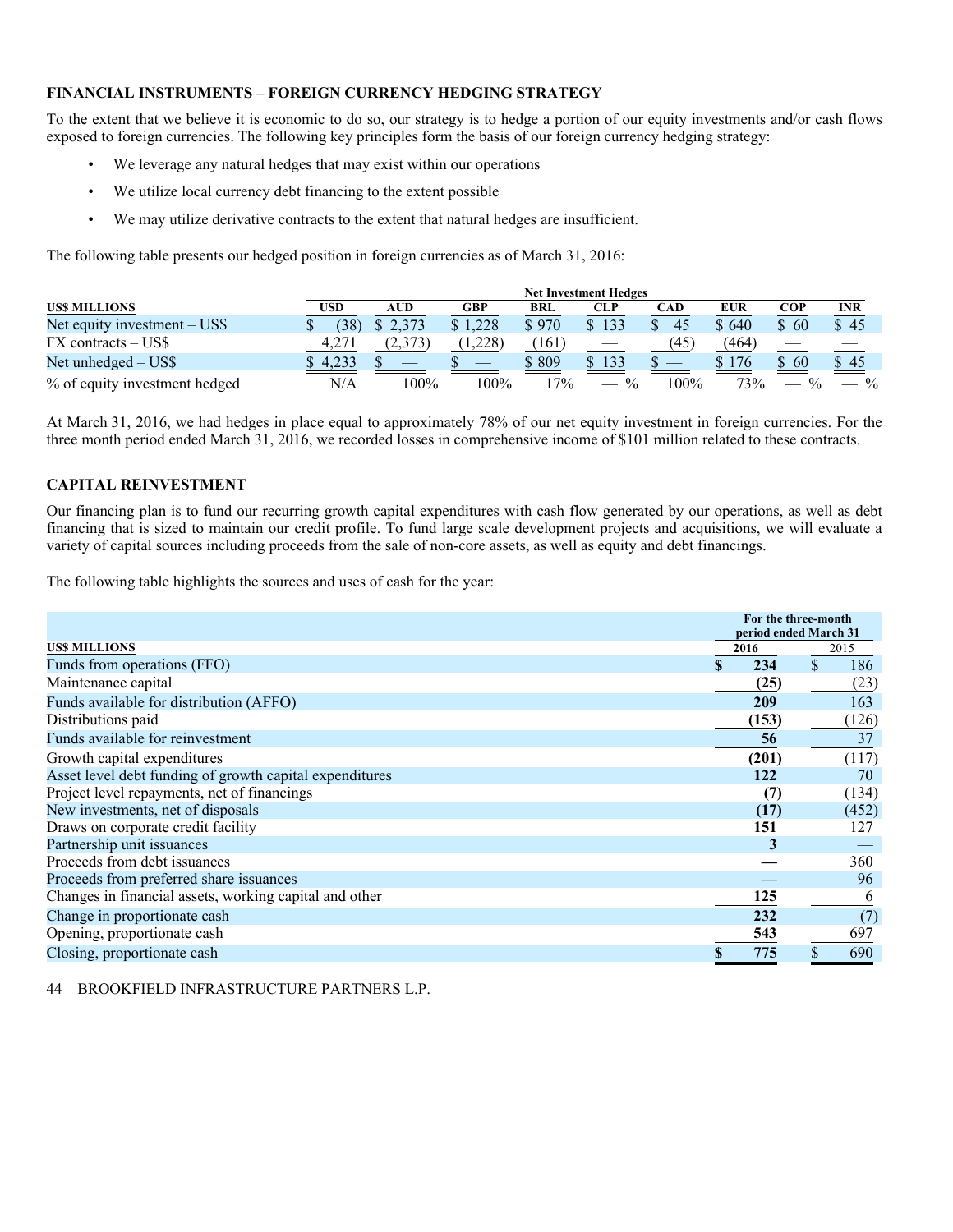### **FINANCIAL INSTRUMENTS – FOREIGN CURRENCY HEDGING STRATEGY**

To the extent that we believe it is economic to do so, our strategy is to hedge a portion of our equity investments and/or cash flows exposed to foreign currencies. The following key principles form the basis of our foreign currency hedging strategy:

- We leverage any natural hedges that may exist within our operations
- We utilize local currency debt financing to the extent possible
- We may utilize derivative contracts to the extent that natural hedges are insufficient.

The following table presents our hedged position in foreign currencies as of March 31, 2016:

|                               |          |         |         |            | <b>Net Investment Hedges</b> |      |       |      |               |
|-------------------------------|----------|---------|---------|------------|------------------------------|------|-------|------|---------------|
| <b>USS MILLIONS</b>           | USD      | AUD     | GBP     | <b>BRL</b> | CLP                          | CAD  | EUR   | COP  | <b>INR</b>    |
| Net equity investment – US\$  | (38)     | \$2,373 | \$1.228 | \$970      | 133                          | 45   | \$640 | \$60 | \$45          |
| FX contracts – US\$           | 4,271    |         | .228)   | (161)      |                              | (45) | (464) |      |               |
| Net unhedged $-$ US\$         | $-4.233$ |         |         | \$809      | 133                          |      | \$176 | -60  | \$45          |
| % of equity investment hedged | N/A      | $100\%$ | 100%    | $7\%$      | $\frac{0}{0}$                | 100% | 73%   |      | $\frac{0}{0}$ |

At March 31, 2016, we had hedges in place equal to approximately 78% of our net equity investment in foreign currencies. For the three month period ended March 31, 2016, we recorded losses in comprehensive income of \$101 million related to these contracts.

### **CAPITAL REINVESTMENT**

Our financing plan is to fund our recurring growth capital expenditures with cash flow generated by our operations, as well as debt financing that is sized to maintain our credit profile. To fund large scale development projects and acquisitions, we will evaluate a variety of capital sources including proceeds from the sale of non-core assets, as well as equity and debt financings.

The following table highlights the sources and uses of cash for the year:

|                                                         | For the three-month<br>period ended March 31 |                    |       |
|---------------------------------------------------------|----------------------------------------------|--------------------|-------|
| <b>USS MILLIONS</b>                                     | 2016                                         | 2015               |       |
| Funds from operations (FFO)                             | 234                                          | $\mathbf{\hat{S}}$ | 186   |
| Maintenance capital                                     | (25)                                         |                    | (23)  |
| Funds available for distribution (AFFO)                 | 209                                          |                    | 163   |
| Distributions paid                                      | (153)                                        |                    | (126) |
| Funds available for reinvestment                        | 56                                           |                    | 37    |
| Growth capital expenditures                             | (201)                                        |                    | (117) |
| Asset level debt funding of growth capital expenditures | 122                                          |                    | 70    |
| Project level repayments, net of financings             | (7)                                          |                    | (134) |
| New investments, net of disposals                       | (17)                                         |                    | (452) |
| Draws on corporate credit facility                      | 151                                          |                    | 127   |
| Partnership unit issuances                              | 3                                            |                    |       |
| Proceeds from debt issuances                            |                                              |                    | 360   |
| Proceeds from preferred share issuances                 |                                              |                    | 96    |
| Changes in financial assets, working capital and other  | 125                                          |                    | 6     |
| Change in proportionate cash                            | 232                                          |                    | (7)   |
| Opening, proportionate cash                             | 543                                          |                    | 697   |
| Closing, proportionate cash                             | 775                                          |                    | 690   |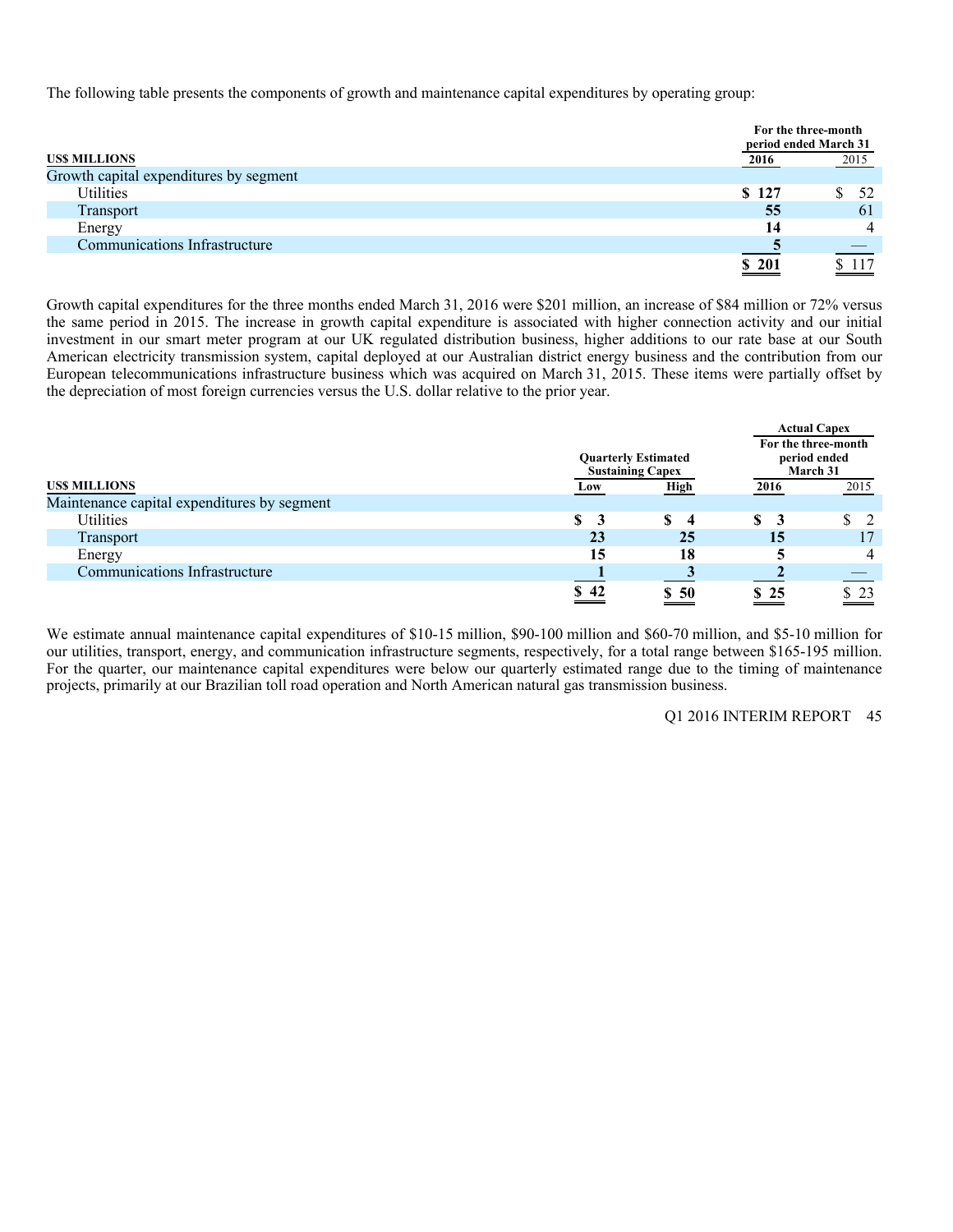The following table presents the components of growth and maintenance capital expenditures by operating group:

|                                        |       | For the three-month<br>period ended March 31 |
|----------------------------------------|-------|----------------------------------------------|
| <b>USS MILLIONS</b>                    | 2016  | 2015                                         |
| Growth capital expenditures by segment |       |                                              |
| <b>Utilities</b>                       | \$127 | 52                                           |
| Transport                              | 55    | 61                                           |
| Energy                                 | 14    | 4                                            |
| Communications Infrastructure          |       |                                              |
|                                        | \$201 |                                              |

Growth capital expenditures for the three months ended March 31, 2016 were \$201 million, an increase of \$84 million or 72% versus the same period in 2015. The increase in growth capital expenditure is associated with higher connection activity and our initial investment in our smart meter program at our UK regulated distribution business, higher additions to our rate base at our South American electricity transmission system, capital deployed at our Australian district energy business and the contribution from our European telecommunications infrastructure business which was acquired on March 31, 2015. These items were partially offset by the depreciation of most foreign currencies versus the U.S. dollar relative to the prior year.

|                                             |      | <b>Quarterly Estimated</b><br><b>Sustaining Capex</b> |      | <b>Actual Capex</b><br>For the three-month<br>period ended<br>March 31 |
|---------------------------------------------|------|-------------------------------------------------------|------|------------------------------------------------------------------------|
| <b>USS MILLIONS</b>                         | Low  | <b>High</b>                                           | 2016 | 2015                                                                   |
| Maintenance capital expenditures by segment |      |                                                       |      |                                                                        |
| Utilities                                   | \$   | \$<br>$\overline{\mathbf{4}}$                         |      |                                                                        |
| Transport                                   | 23   | 25                                                    | 15   | 17                                                                     |
| Energy                                      | 15   | 18                                                    |      | 4                                                                      |
| Communications Infrastructure               |      |                                                       |      |                                                                        |
|                                             | \$42 | \$50                                                  | \$25 | -23                                                                    |

We estimate annual maintenance capital expenditures of \$10-15 million, \$90-100 million and \$60-70 million, and \$5-10 million for our utilities, transport, energy, and communication infrastructure segments, respectively, for a total range between \$165-195 million. For the quarter, our maintenance capital expenditures were below our quarterly estimated range due to the timing of maintenance projects, primarily at our Brazilian toll road operation and North American natural gas transmission business.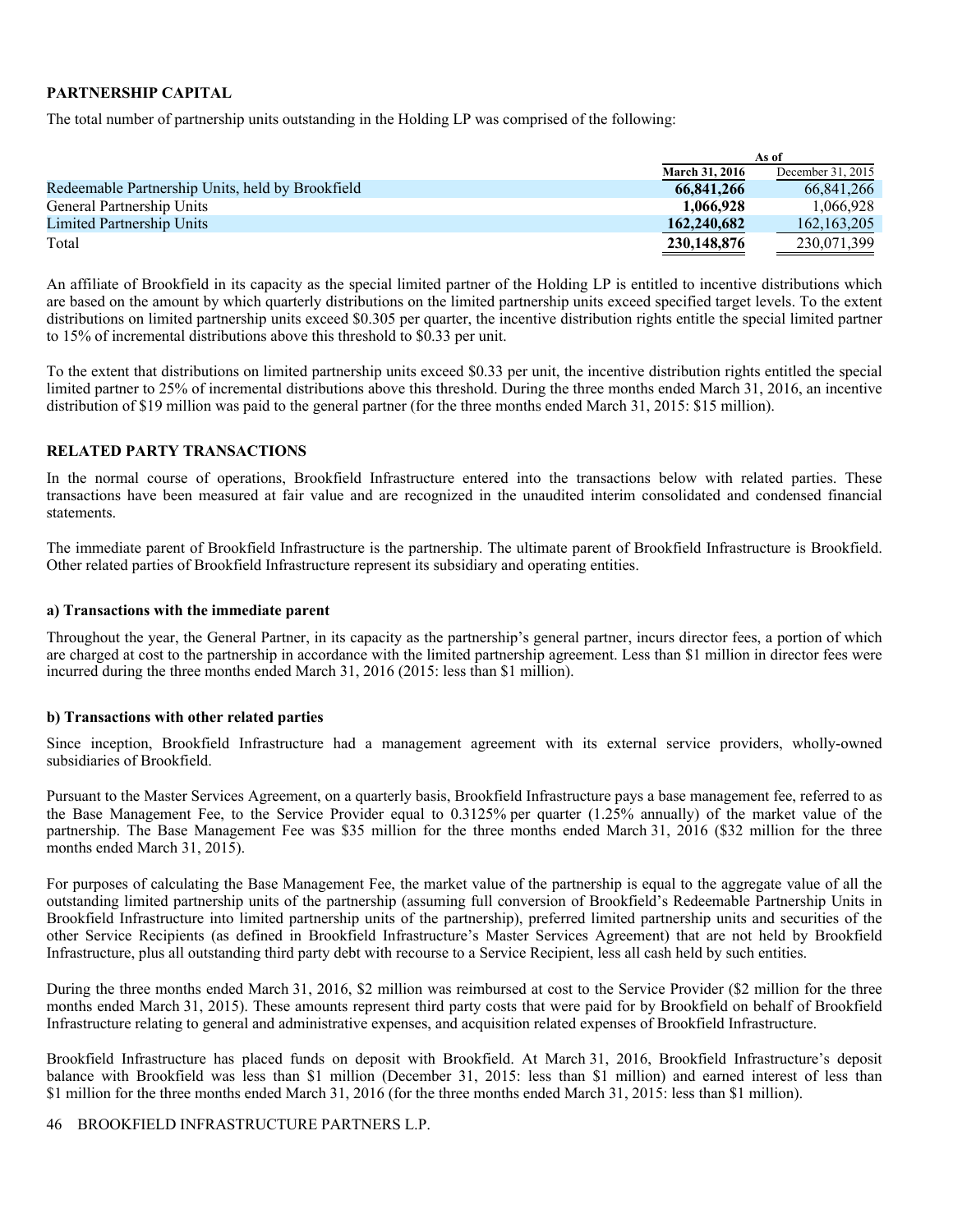### **PARTNERSHIP CAPITAL**

The total number of partnership units outstanding in the Holding LP was comprised of the following:

|                                                  |                       | As of             |
|--------------------------------------------------|-----------------------|-------------------|
|                                                  | <b>March 31, 2016</b> | December 31, 2015 |
| Redeemable Partnership Units, held by Brookfield | 66,841,266            | 66.841.266        |
| General Partnership Units                        | 1,066,928             | 1.066.928         |
| <b>Limited Partnership Units</b>                 | 162,240,682           | 162, 163, 205     |
| Total                                            | 230,148,876           | 230,071,399       |

An affiliate of Brookfield in its capacity as the special limited partner of the Holding LP is entitled to incentive distributions which are based on the amount by which quarterly distributions on the limited partnership units exceed specified target levels. To the extent distributions on limited partnership units exceed \$0.305 per quarter, the incentive distribution rights entitle the special limited partner to 15% of incremental distributions above this threshold to \$0.33 per unit.

To the extent that distributions on limited partnership units exceed \$0.33 per unit, the incentive distribution rights entitled the special limited partner to 25% of incremental distributions above this threshold. During the three months ended March 31, 2016, an incentive distribution of \$19 million was paid to the general partner (for the three months ended March 31, 2015: \$15 million).

### **RELATED PARTY TRANSACTIONS**

In the normal course of operations, Brookfield Infrastructure entered into the transactions below with related parties. These transactions have been measured at fair value and are recognized in the unaudited interim consolidated and condensed financial statements.

The immediate parent of Brookfield Infrastructure is the partnership. The ultimate parent of Brookfield Infrastructure is Brookfield. Other related parties of Brookfield Infrastructure represent its subsidiary and operating entities.

### **a) Transactions with the immediate parent**

Throughout the year, the General Partner, in its capacity as the partnership's general partner, incurs director fees, a portion of which are charged at cost to the partnership in accordance with the limited partnership agreement. Less than \$1 million in director fees were incurred during the three months ended March 31, 2016 (2015: less than \$1 million).

### **b) Transactions with other related parties**

Since inception, Brookfield Infrastructure had a management agreement with its external service providers, wholly-owned subsidiaries of Brookfield.

Pursuant to the Master Services Agreement, on a quarterly basis, Brookfield Infrastructure pays a base management fee, referred to as the Base Management Fee, to the Service Provider equal to 0.3125% per quarter (1.25% annually) of the market value of the partnership. The Base Management Fee was \$35 million for the three months ended March 31, 2016 (\$32 million for the three months ended March 31, 2015).

For purposes of calculating the Base Management Fee, the market value of the partnership is equal to the aggregate value of all the outstanding limited partnership units of the partnership (assuming full conversion of Brookfield's Redeemable Partnership Units in Brookfield Infrastructure into limited partnership units of the partnership), preferred limited partnership units and securities of the other Service Recipients (as defined in Brookfield Infrastructure's Master Services Agreement) that are not held by Brookfield Infrastructure, plus all outstanding third party debt with recourse to a Service Recipient, less all cash held by such entities.

During the three months ended March 31, 2016, \$2 million was reimbursed at cost to the Service Provider (\$2 million for the three months ended March 31, 2015). These amounts represent third party costs that were paid for by Brookfield on behalf of Brookfield Infrastructure relating to general and administrative expenses, and acquisition related expenses of Brookfield Infrastructure.

Brookfield Infrastructure has placed funds on deposit with Brookfield. At March 31, 2016, Brookfield Infrastructure's deposit balance with Brookfield was less than \$1 million (December 31, 2015: less than \$1 million) and earned interest of less than \$1 million for the three months ended March 31, 2016 (for the three months ended March 31, 2015: less than \$1 million).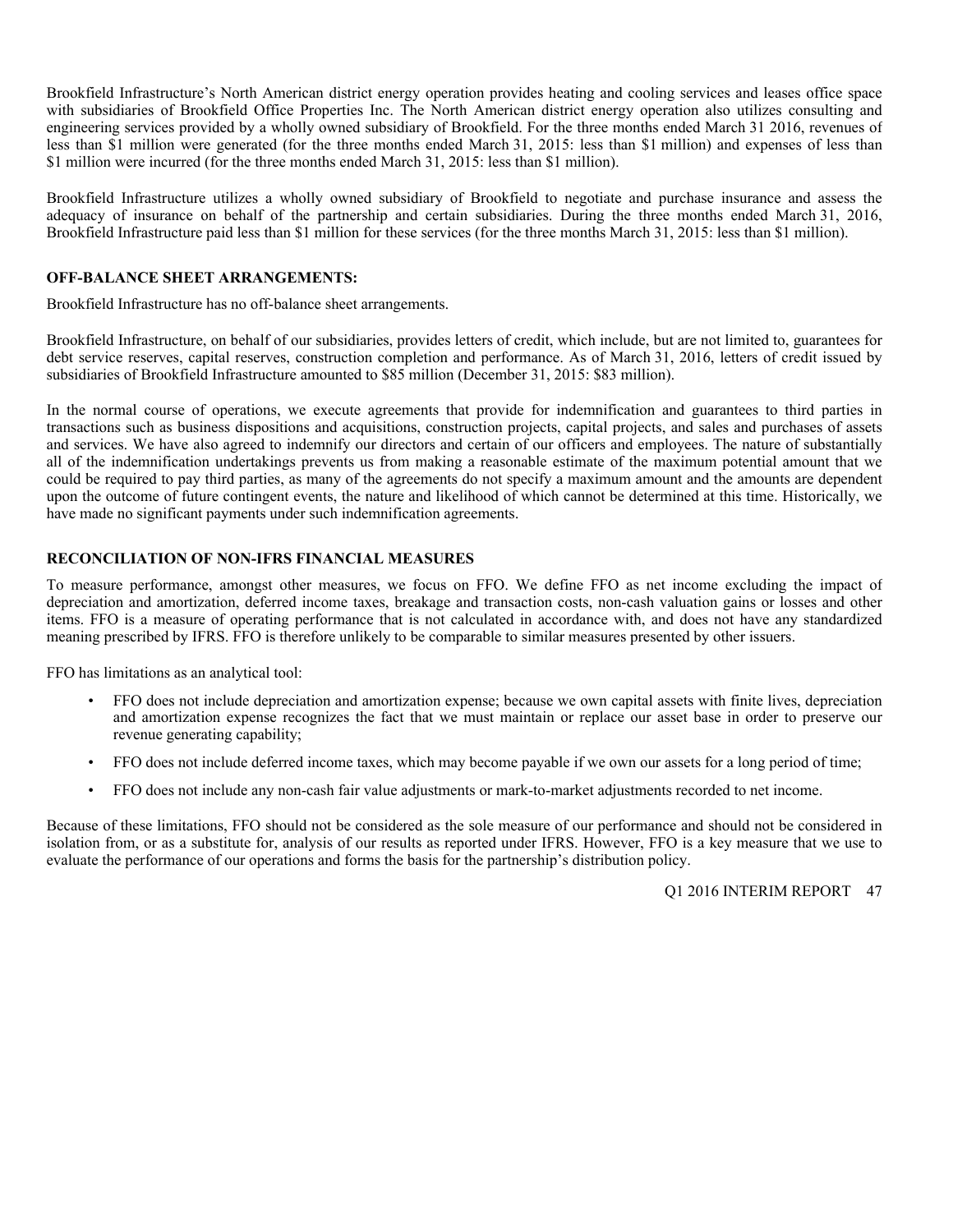Brookfield Infrastructure's North American district energy operation provides heating and cooling services and leases office space with subsidiaries of Brookfield Office Properties Inc. The North American district energy operation also utilizes consulting and engineering services provided by a wholly owned subsidiary of Brookfield. For the three months ended March 31 2016, revenues of less than \$1 million were generated (for the three months ended March 31, 2015: less than \$1 million) and expenses of less than \$1 million were incurred (for the three months ended March 31, 2015: less than \$1 million).

Brookfield Infrastructure utilizes a wholly owned subsidiary of Brookfield to negotiate and purchase insurance and assess the adequacy of insurance on behalf of the partnership and certain subsidiaries. During the three months ended March 31, 2016, Brookfield Infrastructure paid less than \$1 million for these services (for the three months March 31, 2015: less than \$1 million).

### **OFF-BALANCE SHEET ARRANGEMENTS:**

Brookfield Infrastructure has no off-balance sheet arrangements.

Brookfield Infrastructure, on behalf of our subsidiaries, provides letters of credit, which include, but are not limited to, guarantees for debt service reserves, capital reserves, construction completion and performance. As of March 31, 2016, letters of credit issued by subsidiaries of Brookfield Infrastructure amounted to \$85 million (December 31, 2015: \$83 million).

In the normal course of operations, we execute agreements that provide for indemnification and guarantees to third parties in transactions such as business dispositions and acquisitions, construction projects, capital projects, and sales and purchases of assets and services. We have also agreed to indemnify our directors and certain of our officers and employees. The nature of substantially all of the indemnification undertakings prevents us from making a reasonable estimate of the maximum potential amount that we could be required to pay third parties, as many of the agreements do not specify a maximum amount and the amounts are dependent upon the outcome of future contingent events, the nature and likelihood of which cannot be determined at this time. Historically, we have made no significant payments under such indemnification agreements.

### **RECONCILIATION OF NON-IFRS FINANCIAL MEASURES**

To measure performance, amongst other measures, we focus on FFO. We define FFO as net income excluding the impact of depreciation and amortization, deferred income taxes, breakage and transaction costs, non-cash valuation gains or losses and other items. FFO is a measure of operating performance that is not calculated in accordance with, and does not have any standardized meaning prescribed by IFRS. FFO is therefore unlikely to be comparable to similar measures presented by other issuers.

FFO has limitations as an analytical tool:

- FFO does not include depreciation and amortization expense; because we own capital assets with finite lives, depreciation and amortization expense recognizes the fact that we must maintain or replace our asset base in order to preserve our revenue generating capability;
- FFO does not include deferred income taxes, which may become payable if we own our assets for a long period of time;
- FFO does not include any non-cash fair value adjustments or mark-to-market adjustments recorded to net income.

Because of these limitations, FFO should not be considered as the sole measure of our performance and should not be considered in isolation from, or as a substitute for, analysis of our results as reported under IFRS. However, FFO is a key measure that we use to evaluate the performance of our operations and forms the basis for the partnership's distribution policy.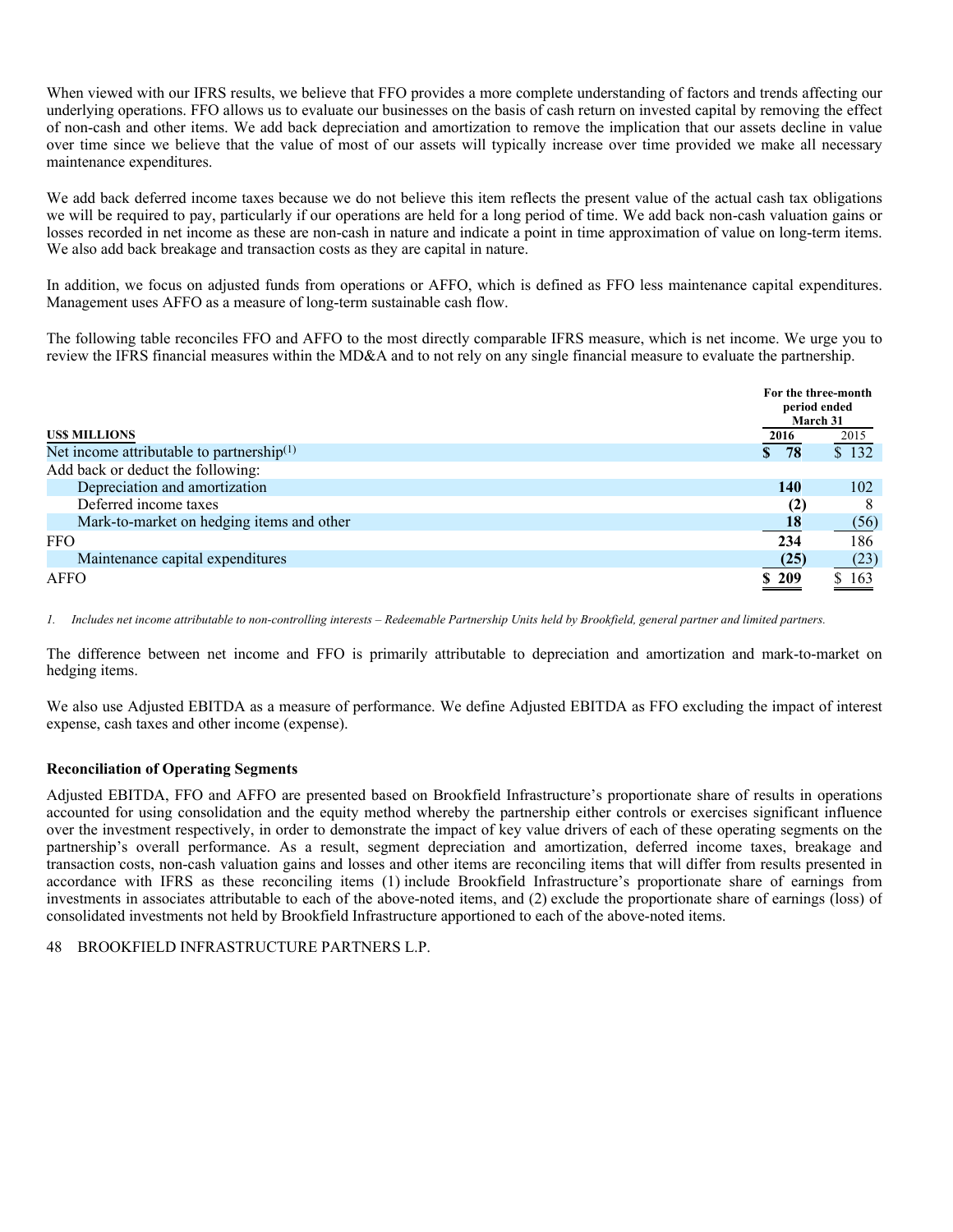When viewed with our IFRS results, we believe that FFO provides a more complete understanding of factors and trends affecting our underlying operations. FFO allows us to evaluate our businesses on the basis of cash return on invested capital by removing the effect of non-cash and other items. We add back depreciation and amortization to remove the implication that our assets decline in value over time since we believe that the value of most of our assets will typically increase over time provided we make all necessary maintenance expenditures.

We add back deferred income taxes because we do not believe this item reflects the present value of the actual cash tax obligations we will be required to pay, particularly if our operations are held for a long period of time. We add back non-cash valuation gains or losses recorded in net income as these are non-cash in nature and indicate a point in time approximation of value on long-term items. We also add back breakage and transaction costs as they are capital in nature.

In addition, we focus on adjusted funds from operations or AFFO, which is defined as FFO less maintenance capital expenditures. Management uses AFFO as a measure of long-term sustainable cash flow.

The following table reconciles FFO and AFFO to the most directly comparable IFRS measure, which is net income. We urge you to review the IFRS financial measures within the MD&A and to not rely on any single financial measure to evaluate the partnership.

|                                              | For the three-month<br>period ended<br>March 31 |                                |  |  |  |
|----------------------------------------------|-------------------------------------------------|--------------------------------|--|--|--|
| <b>USS MILLIONS</b>                          | 2016                                            | 2015                           |  |  |  |
| Net income attributable to partnership $(1)$ | 78<br>$\mathbf{s}$                              | $\overline{$}3\overline{$}132$ |  |  |  |
| Add back or deduct the following:            |                                                 |                                |  |  |  |
| Depreciation and amortization                | 140                                             | 102                            |  |  |  |
| Deferred income taxes                        | (2)                                             | 8                              |  |  |  |
| Mark-to-market on hedging items and other    | <b>18</b>                                       | (56)                           |  |  |  |
| <b>FFO</b>                                   | 234                                             | 186                            |  |  |  |
| Maintenance capital expenditures             | (25)                                            | (23)                           |  |  |  |
| AFFO                                         | \$209                                           | \$163                          |  |  |  |

*1. Includes net income attributable to non-controlling interests – Redeemable Partnership Units held by Brookfield, general partner and limited partners.* 

The difference between net income and FFO is primarily attributable to depreciation and amortization and mark-to-market on hedging items.

We also use Adjusted EBITDA as a measure of performance. We define Adjusted EBITDA as FFO excluding the impact of interest expense, cash taxes and other income (expense).

### **Reconciliation of Operating Segments**

Adjusted EBITDA, FFO and AFFO are presented based on Brookfield Infrastructure's proportionate share of results in operations accounted for using consolidation and the equity method whereby the partnership either controls or exercises significant influence over the investment respectively, in order to demonstrate the impact of key value drivers of each of these operating segments on the partnership's overall performance. As a result, segment depreciation and amortization, deferred income taxes, breakage and transaction costs, non-cash valuation gains and losses and other items are reconciling items that will differ from results presented in accordance with IFRS as these reconciling items (1) include Brookfield Infrastructure's proportionate share of earnings from investments in associates attributable to each of the above-noted items, and (2) exclude the proportionate share of earnings (loss) of consolidated investments not held by Brookfield Infrastructure apportioned to each of the above-noted items.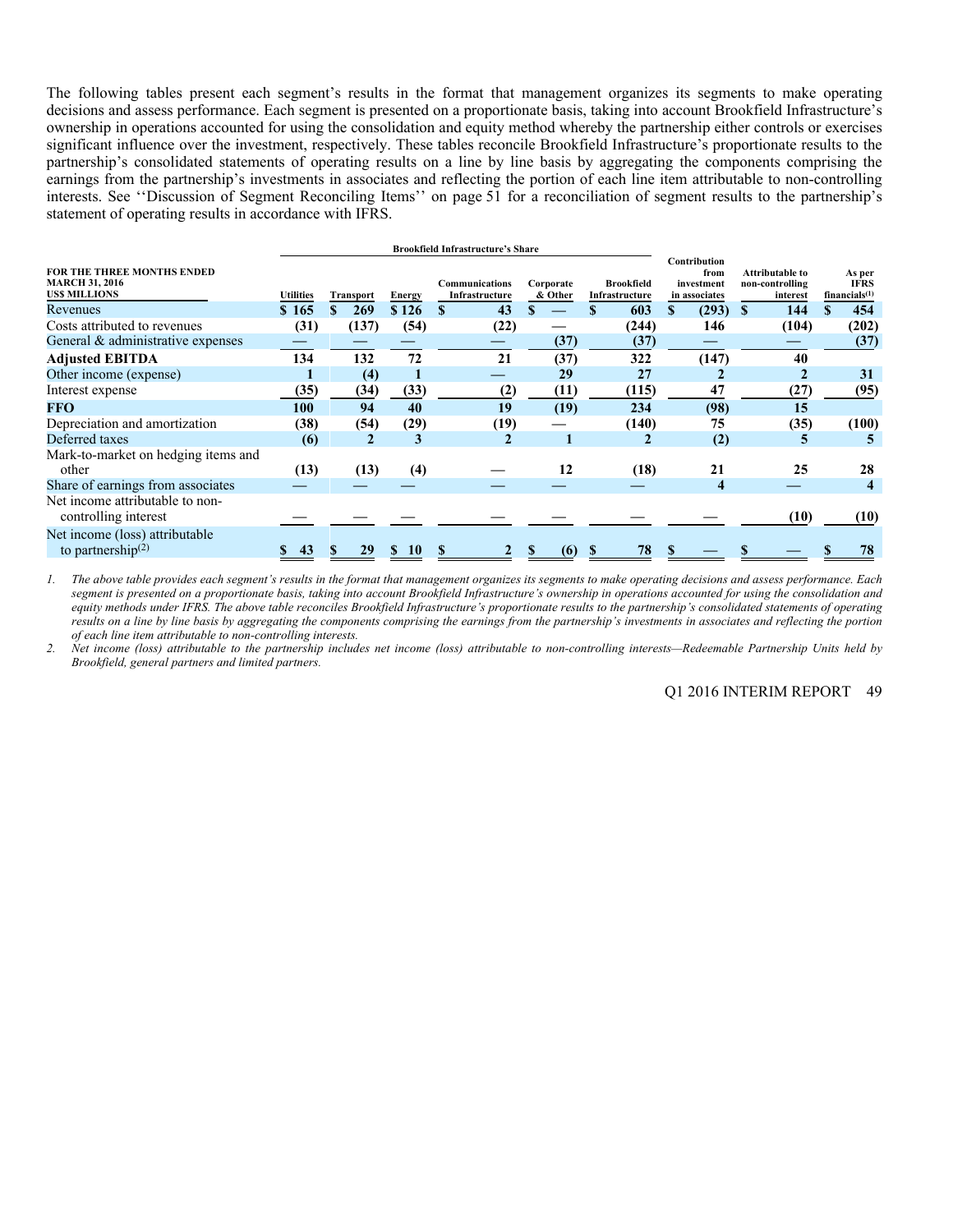The following tables present each segment's results in the format that management organizes its segments to make operating decisions and assess performance. Each segment is presented on a proportionate basis, taking into account Brookfield Infrastructure's ownership in operations accounted for using the consolidation and equity method whereby the partnership either controls or exercises significant influence over the investment, respectively. These tables reconcile Brookfield Infrastructure's proportionate results to the partnership's consolidated statements of operating results on a line by line basis by aggregating the components comprising the earnings from the partnership's investments in associates and reflecting the portion of each line item attributable to non-controlling interests. See ''Discussion of Segment Reconciling Items'' on page 51 for a reconciliation of segment results to the partnership's statement of operating results in accordance with IFRS.

|                                                                            |                  |                  |                    | <b>Brookfield Infrastructure's Share</b> |                      |                                     |                                                     |   |                                                |                                           |
|----------------------------------------------------------------------------|------------------|------------------|--------------------|------------------------------------------|----------------------|-------------------------------------|-----------------------------------------------------|---|------------------------------------------------|-------------------------------------------|
| FOR THE THREE MONTHS ENDED<br><b>MARCH 31, 2016</b><br><b>USS MILLIONS</b> | <b>Utilities</b> | <b>Transport</b> | <b>Energy</b>      | Communications<br>Infrastructure         | Corporate<br>& Other | <b>Brookfield</b><br>Infrastructure | Contribution<br>from<br>investment<br>in associates |   | Attributable to<br>non-controlling<br>interest | As per<br><b>IFRS</b><br>financials $(1)$ |
| Revenues                                                                   | \$165            | <b>269</b>       | \$126              | 43<br>\$                                 |                      | 603                                 | \$<br>(293)                                         | S | 144                                            | 454                                       |
| Costs attributed to revenues                                               | (31)             | (137)            | (54)               | (22)                                     |                      | (244)                               | 146                                                 |   | (104)                                          | (202)                                     |
| General & administrative expenses                                          |                  |                  |                    |                                          | (37)                 | (37)                                |                                                     |   |                                                | (37)                                      |
| <b>Adjusted EBITDA</b>                                                     | 134              | 132              | 72                 | 21                                       | (37)                 | 322                                 | (147)                                               |   | 40                                             |                                           |
| Other income (expense)                                                     |                  | (4)              |                    |                                          | 29                   | 27                                  |                                                     |   |                                                | 31                                        |
| Interest expense                                                           | (35)             | (34)             | (33)               | (2)                                      | (11)                 | (115)                               | 47                                                  |   | (27)                                           | (95)                                      |
| <b>FFO</b>                                                                 | 100              | 94               | 40                 | 19                                       | (19)                 | 234                                 | (98)                                                |   | 15                                             |                                           |
| Depreciation and amortization                                              | (38)             | (54)             | (29)               | (19)                                     |                      | (140)                               | 75                                                  |   | (35)                                           | (100)                                     |
| Deferred taxes                                                             | (6)              | 2                | 3                  |                                          |                      | 2                                   | (2)                                                 |   | 5                                              |                                           |
| Mark-to-market on hedging items and                                        |                  |                  |                    |                                          |                      |                                     |                                                     |   |                                                |                                           |
| other                                                                      | (13)             | (13)             | (4)                |                                          | 12                   | (18)                                | 21                                                  |   | 25                                             | 28                                        |
| Share of earnings from associates                                          |                  |                  |                    |                                          |                      |                                     | $\overline{\bf{4}}$                                 |   |                                                | 4                                         |
| Net income attributable to non-<br>controlling interest                    |                  |                  |                    |                                          |                      |                                     |                                                     |   | (10)                                           | (10)                                      |
| Net income (loss) attributable<br>to partnership $(2)$                     | 43               | 29               | 10<br>$\mathbf{r}$ |                                          | (6)                  | 78                                  |                                                     |   |                                                | 78                                        |

 *1. The above table provides each segment's results in the format that management organizes its segments to make operating decisions and assess performance. Each segment is presented on a proportionate basis, taking into account Brookfield Infrastructure's ownership in operations accounted for using the consolidation and equity methods under IFRS. The above table reconciles Brookfield Infrastructure's proportionate results to the partnership's consolidated statements of operating results on a line by line basis by aggregating the components comprising the earnings from the partnership's investments in associates and reflecting the portion of each line item attributable to non-controlling interests.* 

*2. Net income (loss) attributable to the partnership includes net income (loss) attributable to non-controlling interests—Redeemable Partnership Units held by Brookfield, general partners and limited partners.*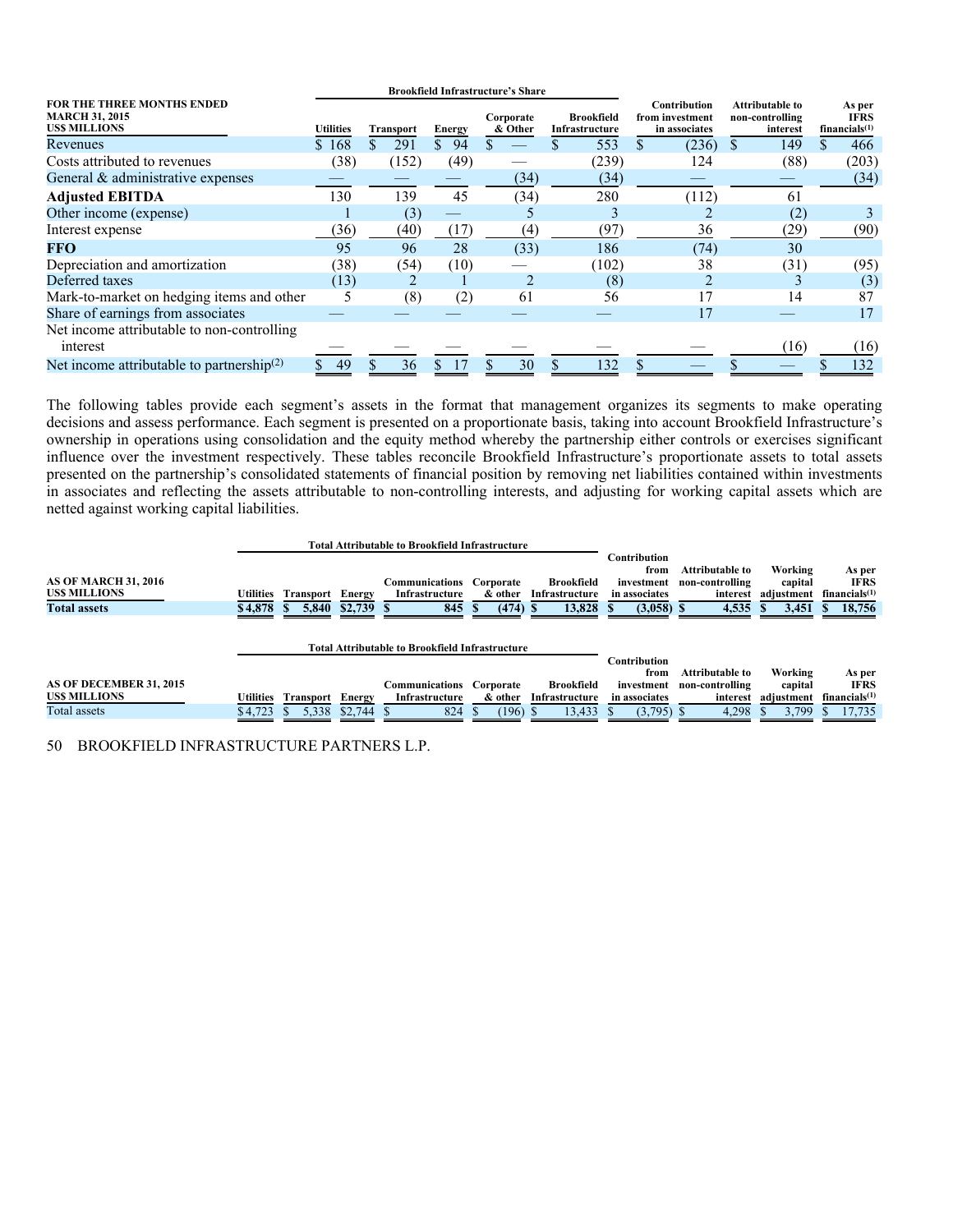|                                                                            |                  |                  |                    | <b>Brookfield Infrastructure's Share</b> |                                     |                                                  |                                                       |                                           |
|----------------------------------------------------------------------------|------------------|------------------|--------------------|------------------------------------------|-------------------------------------|--------------------------------------------------|-------------------------------------------------------|-------------------------------------------|
| FOR THE THREE MONTHS ENDED<br><b>MARCH 31, 2015</b><br><b>USS MILLIONS</b> | <b>Utilities</b> | <b>Transport</b> | <b>Energy</b>      | Corporate<br>& Other                     | <b>Brookfield</b><br>Infrastructure | Contribution<br>from investment<br>in associates | <b>Attributable to</b><br>non-controlling<br>interest | As per<br><b>IFRS</b><br>financials $(1)$ |
| Revenues                                                                   | \$168            | 291              | 94<br>$\mathbf{s}$ |                                          | 553                                 | (236)                                            | 149                                                   | 466                                       |
| Costs attributed to revenues                                               | (38)             | (152)            | (49)               |                                          | (239)                               | 124                                              | (88)                                                  | (203)                                     |
| General $&$ administrative expenses                                        |                  |                  |                    | (34)                                     | (34)                                |                                                  |                                                       | (34)                                      |
| <b>Adjusted EBITDA</b>                                                     | 130              | 139              | 45                 | (34)                                     | 280                                 | (112)                                            | 61                                                    |                                           |
| Other income (expense)                                                     |                  | (3)              |                    |                                          |                                     |                                                  | (2)                                                   |                                           |
| Interest expense                                                           | (36)             | (40)             | (17)               | (4)                                      | (97)                                | 36                                               | (29)                                                  | (90)                                      |
| <b>FFO</b>                                                                 | 95               | 96               | 28                 | (33)                                     | 186                                 | (74)                                             | 30                                                    |                                           |
| Depreciation and amortization                                              | (38)             | (54)             | (10)               |                                          | (102)                               | 38                                               | (31)                                                  | (95)                                      |
| Deferred taxes                                                             | (13)             |                  |                    |                                          | (8)                                 |                                                  |                                                       | (3)                                       |
| Mark-to-market on hedging items and other                                  |                  | (8)              | (2)                | 61                                       | 56                                  |                                                  | 14                                                    | 87                                        |
| Share of earnings from associates                                          |                  |                  |                    |                                          |                                     | 17                                               |                                                       | 17                                        |
| Net income attributable to non-controlling<br>interest                     |                  |                  |                    |                                          |                                     |                                                  | (16)                                                  | (16)                                      |
| Net income attributable to partnership <sup>(2)</sup>                      | 49               | 36               |                    | 30                                       | 132                                 |                                                  |                                                       | 132                                       |

The following tables provide each segment's assets in the format that management organizes its segments to make operating decisions and assess performance. Each segment is presented on a proportionate basis, taking into account Brookfield Infrastructure's ownership in operations using consolidation and the equity method whereby the partnership either controls or exercises significant influence over the investment respectively. These tables reconcile Brookfield Infrastructure's proportionate assets to total assets presented on the partnership's consolidated statements of financial position by removing net liabilities contained within investments in associates and reflecting the assets attributable to non-controlling interests, and adjusting for working capital assets which are netted against working capital liabilities.

|                                                    |           |                  |             | <b>Total Attributable to Brookfield Infrastructure</b> |                      |                              |                                                     |                                                       |                                  |                                                    |
|----------------------------------------------------|-----------|------------------|-------------|--------------------------------------------------------|----------------------|------------------------------|-----------------------------------------------------|-------------------------------------------------------|----------------------------------|----------------------------------------------------|
| <b>AS OF MARCH 31, 2016</b><br><b>USS MILLIONS</b> | Utilities | Transport        | Energy      | Communications<br>Infrastructure                       | Corporate<br>& other | Brookfield<br>Infrastructure | Contribution<br>from<br>investment<br>in associates | <b>Attributable to</b><br>non-controlling<br>interest | Working<br>capital<br>adjustment | As per<br><b>IFRS</b><br>financials <sup>(1)</sup> |
| <b>Total assets</b>                                | \$4,878   | 5,840            | $$2,739$ \$ | 845                                                    | $(474)$ \$           | 13,828 \$                    | $(3,058)$ \$                                        | 4,535                                                 | 3,451                            | 18,756                                             |
| Total Attributable to Brookfield Infrastructure    |           |                  |             |                                                        |                      |                              | Contribution                                        |                                                       |                                  |                                                    |
|                                                    |           |                  |             |                                                        |                      |                              | from                                                | <b>Attributable to</b>                                | Working                          | As per                                             |
| AS OF DECEMBER 31, 2015                            |           |                  |             | Communications                                         | Corporate            | Brookfield                   | investment                                          | non-controlling                                       | capital                          | <b>IFRS</b>                                        |
| <b>USS MILLIONS</b>                                | Utilities | <b>Transport</b> | Energy      | Infrastructure                                         | & other              | Infrastructure               | in associates                                       | interest                                              | adjustment                       | financials <sup>(1)</sup>                          |
| Total assets                                       | \$4,723   | 5.338            | \$2.744S    | 824                                                    | $(196)$ \$           | 13,433                       | $(3,795)$ \$                                        | 4,298                                                 | 3.799                            | 17.735                                             |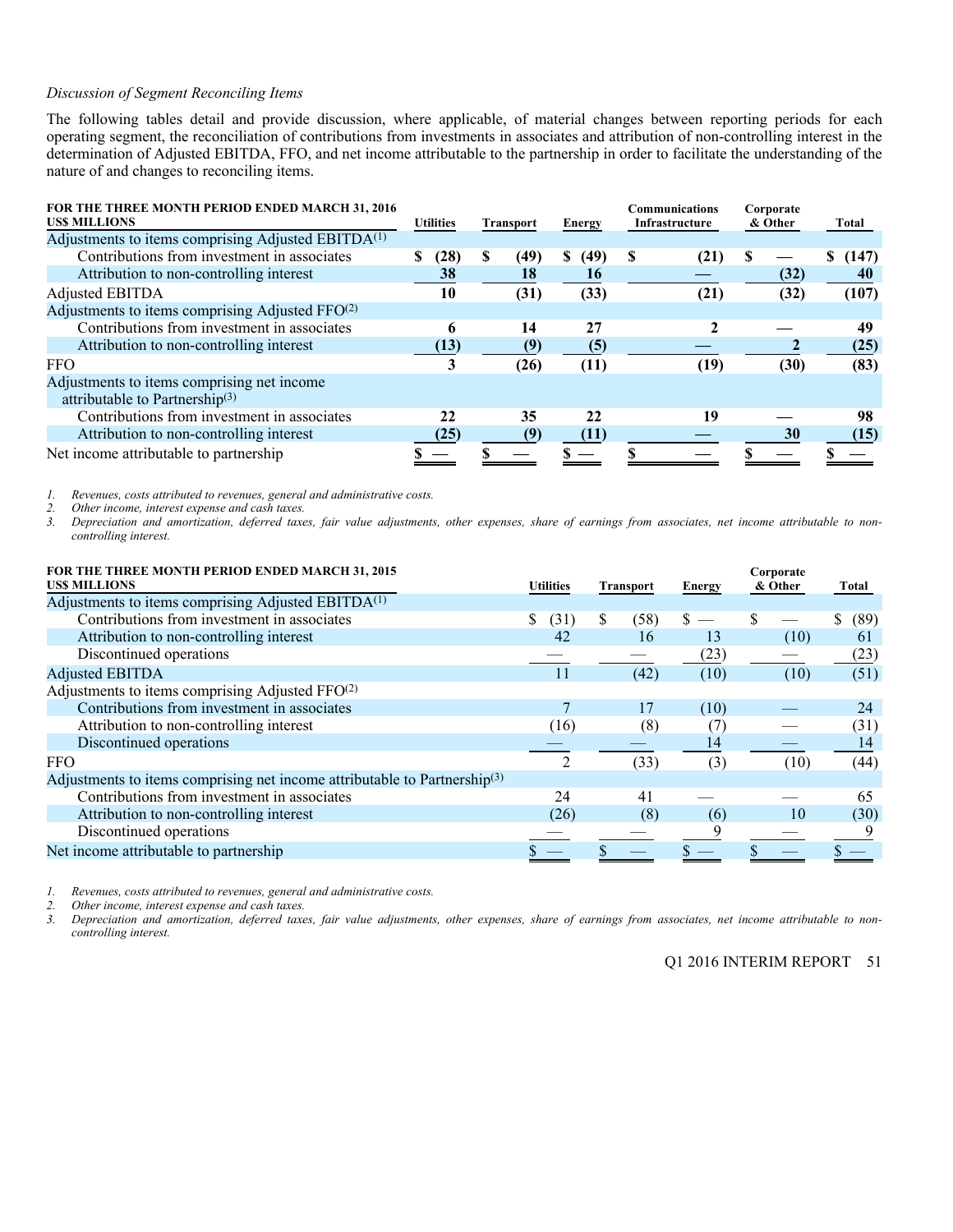### *Discussion of Segment Reconciling Items*

The following tables detail and provide discussion, where applicable, of material changes between reporting periods for each operating segment, the reconciliation of contributions from investments in associates and attribution of non-controlling interest in the determination of Adjusted EBITDA, FFO, and net income attributable to the partnership in order to facilitate the understanding of the nature of and changes to reconciling items.

| FOR THE THREE MONTH PERIOD ENDED MARCH 31, 2016<br><b>USS MILLIONS</b>                   | <b>Utilities</b> | <b>Transport</b> | <b>Energy</b> | Communications<br>Infrastructure | Corporate<br>& Other | Total      |  |
|------------------------------------------------------------------------------------------|------------------|------------------|---------------|----------------------------------|----------------------|------------|--|
| Adjustments to items comprising Adjusted EBITDA <sup>(1)</sup>                           |                  |                  |               |                                  |                      |            |  |
| Contributions from investment in associates                                              | (28)<br>S        | S<br>(49)        | S<br>(49)     | S<br>(21)                        |                      | (147)<br>S |  |
| Attribution to non-controlling interest                                                  | 38               | 18               | 16            |                                  | (32)                 | 40         |  |
| <b>Adjusted EBITDA</b>                                                                   | 10               | (31)             | (33)          | (21)                             | (32)                 | (107)      |  |
| Adjustments to items comprising Adjusted FFO(2)                                          |                  |                  |               |                                  |                      |            |  |
| Contributions from investment in associates                                              | 6                | 14               | 27            |                                  |                      | 49         |  |
| Attribution to non-controlling interest                                                  | (13)             | (9)              | (5)           |                                  |                      | (25)       |  |
| <b>FFO</b>                                                                               | 3                | (26)             | (11)          | (19                              | (30)                 | (83)       |  |
| Adjustments to items comprising net income<br>attributable to Partnership <sup>(3)</sup> |                  |                  |               |                                  |                      |            |  |
| Contributions from investment in associates                                              | 22               | 35               | 22            | 19                               |                      | 98         |  |
| Attribution to non-controlling interest                                                  | (25)             | (9)              | (11)          |                                  | 30                   | (15)       |  |
| Net income attributable to partnership                                                   |                  |                  |               |                                  |                      |            |  |

*1. Revenues, costs attributed to revenues, general and administrative costs.* 

*2. Other income, interest expense and cash taxes.* 

*3. Depreciation and amortization, deferred taxes, fair value adjustments, other expenses, share of earnings from associates, net income attributable to noncontrolling interest.* 

| FOR THE THREE MONTH PERIOD ENDED MARCH 31, 2015<br><b>USS MILLIONS</b>                | <b>Utilities</b> | <b>Transport</b> | <b>Energy</b>     | Corporate<br>& Other | Total      |  |
|---------------------------------------------------------------------------------------|------------------|------------------|-------------------|----------------------|------------|--|
| Adjustments to items comprising Adjusted EBITDA <sup>(1)</sup>                        |                  |                  |                   |                      |            |  |
| Contributions from investment in associates                                           | S<br>(31)        | S<br>(58)        |                   |                      | \$<br>(89) |  |
| Attribution to non-controlling interest                                               | 42               | 16               | 13                | (10)                 | 61         |  |
| Discontinued operations                                                               |                  |                  | (23)              |                      | (23)       |  |
| <b>Adjusted EBITDA</b>                                                                | 11               | (42)             | (10)              | (10)                 | (51)       |  |
| Adjustments to items comprising Adjusted FFO(2)                                       |                  |                  |                   |                      |            |  |
| Contributions from investment in associates                                           |                  | 17               | (10)              |                      | 24         |  |
| Attribution to non-controlling interest                                               | (16)             | (8)              | $\left( T\right)$ |                      | (31)       |  |
| Discontinued operations                                                               |                  |                  | 14                |                      | 14         |  |
| <b>FFO</b>                                                                            | 2                | (33)             | (3)               | (10)                 | (44)       |  |
| Adjustments to items comprising net income attributable to Partnership <sup>(3)</sup> |                  |                  |                   |                      |            |  |
| Contributions from investment in associates                                           | 24               | 41               |                   |                      | 65         |  |
| Attribution to non-controlling interest                                               | (26)             | (8)              | (6)               | 10                   | (30)       |  |
| Discontinued operations                                                               |                  |                  |                   |                      |            |  |
| Net income attributable to partnership                                                |                  |                  |                   |                      |            |  |

*1. Revenues, costs attributed to revenues, general and administrative costs.* 

*2. Other income, interest expense and cash taxes.* 

*3. Depreciation and amortization, deferred taxes, fair value adjustments, other expenses, share of earnings from associates, net income attributable to noncontrolling interest.* 

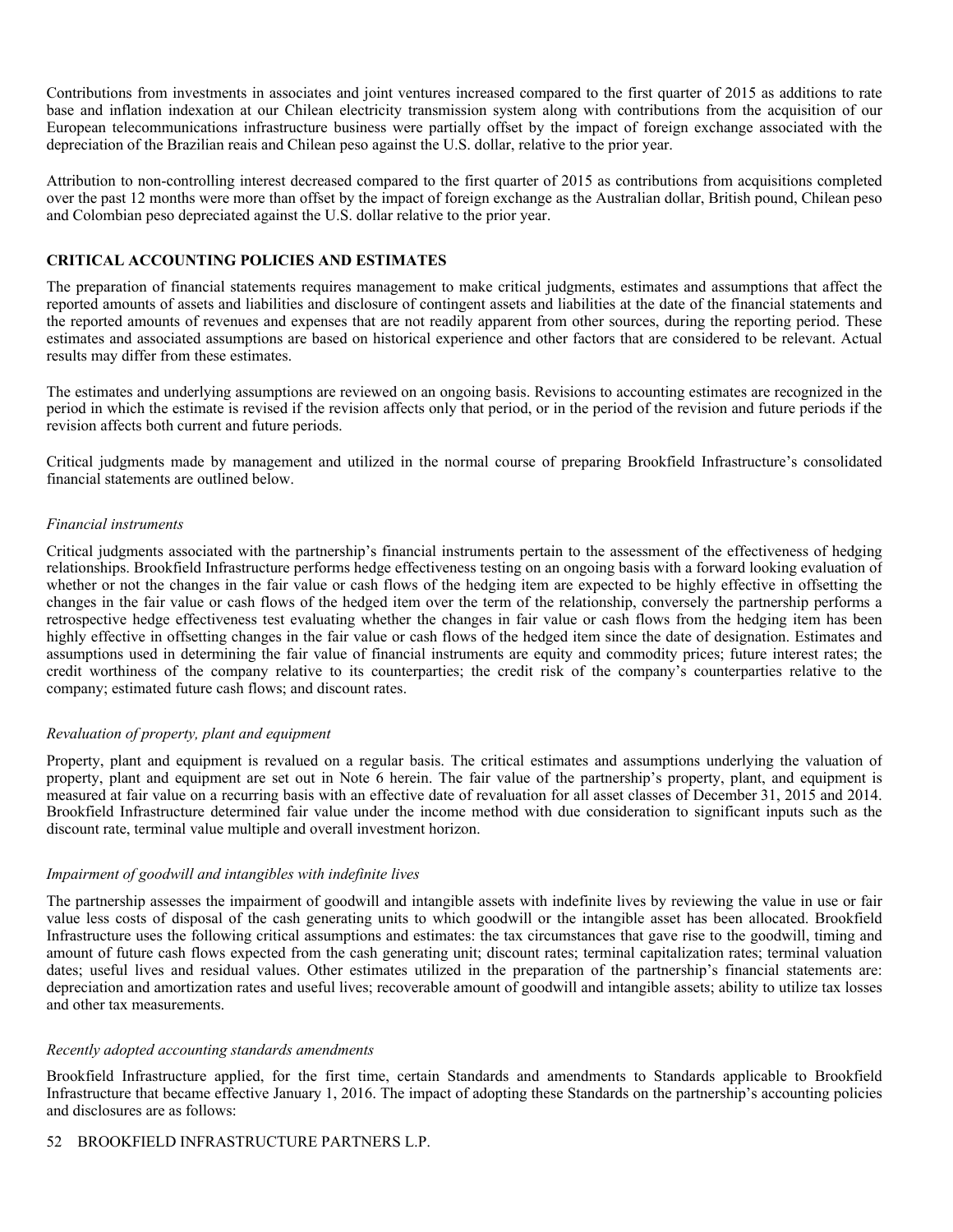Contributions from investments in associates and joint ventures increased compared to the first quarter of 2015 as additions to rate base and inflation indexation at our Chilean electricity transmission system along with contributions from the acquisition of our European telecommunications infrastructure business were partially offset by the impact of foreign exchange associated with the depreciation of the Brazilian reais and Chilean peso against the U.S. dollar, relative to the prior year.

Attribution to non-controlling interest decreased compared to the first quarter of 2015 as contributions from acquisitions completed over the past 12 months were more than offset by the impact of foreign exchange as the Australian dollar, British pound, Chilean peso and Colombian peso depreciated against the U.S. dollar relative to the prior year.

### **CRITICAL ACCOUNTING POLICIES AND ESTIMATES**

The preparation of financial statements requires management to make critical judgments, estimates and assumptions that affect the reported amounts of assets and liabilities and disclosure of contingent assets and liabilities at the date of the financial statements and the reported amounts of revenues and expenses that are not readily apparent from other sources, during the reporting period. These estimates and associated assumptions are based on historical experience and other factors that are considered to be relevant. Actual results may differ from these estimates.

The estimates and underlying assumptions are reviewed on an ongoing basis. Revisions to accounting estimates are recognized in the period in which the estimate is revised if the revision affects only that period, or in the period of the revision and future periods if the revision affects both current and future periods.

Critical judgments made by management and utilized in the normal course of preparing Brookfield Infrastructure's consolidated financial statements are outlined below.

### *Financial instruments*

Critical judgments associated with the partnership's financial instruments pertain to the assessment of the effectiveness of hedging relationships. Brookfield Infrastructure performs hedge effectiveness testing on an ongoing basis with a forward looking evaluation of whether or not the changes in the fair value or cash flows of the hedging item are expected to be highly effective in offsetting the changes in the fair value or cash flows of the hedged item over the term of the relationship, conversely the partnership performs a retrospective hedge effectiveness test evaluating whether the changes in fair value or cash flows from the hedging item has been highly effective in offsetting changes in the fair value or cash flows of the hedged item since the date of designation. Estimates and assumptions used in determining the fair value of financial instruments are equity and commodity prices; future interest rates; the credit worthiness of the company relative to its counterparties; the credit risk of the company's counterparties relative to the company; estimated future cash flows; and discount rates.

### *Revaluation of property, plant and equipment*

Property, plant and equipment is revalued on a regular basis. The critical estimates and assumptions underlying the valuation of property, plant and equipment are set out in Note 6 herein. The fair value of the partnership's property, plant, and equipment is measured at fair value on a recurring basis with an effective date of revaluation for all asset classes of December 31, 2015 and 2014. Brookfield Infrastructure determined fair value under the income method with due consideration to significant inputs such as the discount rate, terminal value multiple and overall investment horizon.

### *Impairment of goodwill and intangibles with indefinite lives*

The partnership assesses the impairment of goodwill and intangible assets with indefinite lives by reviewing the value in use or fair value less costs of disposal of the cash generating units to which goodwill or the intangible asset has been allocated. Brookfield Infrastructure uses the following critical assumptions and estimates: the tax circumstances that gave rise to the goodwill, timing and amount of future cash flows expected from the cash generating unit; discount rates; terminal capitalization rates; terminal valuation dates; useful lives and residual values. Other estimates utilized in the preparation of the partnership's financial statements are: depreciation and amortization rates and useful lives; recoverable amount of goodwill and intangible assets; ability to utilize tax losses and other tax measurements.

### *Recently adopted accounting standards amendments*

Brookfield Infrastructure applied, for the first time, certain Standards and amendments to Standards applicable to Brookfield Infrastructure that became effective January 1, 2016. The impact of adopting these Standards on the partnership's accounting policies and disclosures are as follows: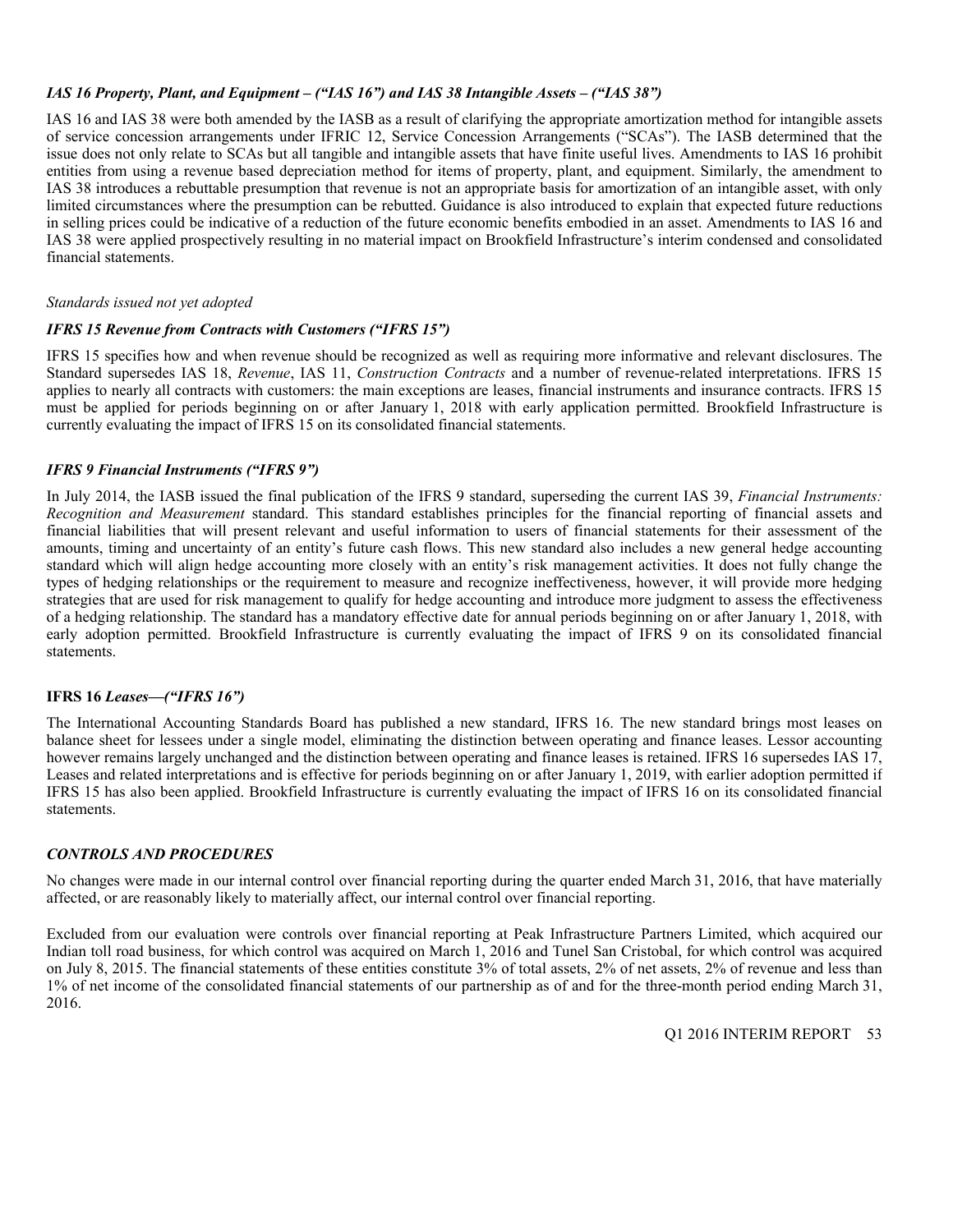### *IAS 16 Property, Plant, and Equipment – ("IAS 16") and IAS 38 Intangible Assets – ("IAS 38")*

IAS 16 and IAS 38 were both amended by the IASB as a result of clarifying the appropriate amortization method for intangible assets of service concession arrangements under IFRIC 12, Service Concession Arrangements ("SCAs"). The IASB determined that the issue does not only relate to SCAs but all tangible and intangible assets that have finite useful lives. Amendments to IAS 16 prohibit entities from using a revenue based depreciation method for items of property, plant, and equipment. Similarly, the amendment to IAS 38 introduces a rebuttable presumption that revenue is not an appropriate basis for amortization of an intangible asset, with only limited circumstances where the presumption can be rebutted. Guidance is also introduced to explain that expected future reductions in selling prices could be indicative of a reduction of the future economic benefits embodied in an asset. Amendments to IAS 16 and IAS 38 were applied prospectively resulting in no material impact on Brookfield Infrastructure's interim condensed and consolidated financial statements.

### *Standards issued not yet adopted*

### *IFRS 15 Revenue from Contracts with Customers ("IFRS 15")*

IFRS 15 specifies how and when revenue should be recognized as well as requiring more informative and relevant disclosures. The Standard supersedes IAS 18, *Revenue*, IAS 11, *Construction Contracts* and a number of revenue-related interpretations. IFRS 15 applies to nearly all contracts with customers: the main exceptions are leases, financial instruments and insurance contracts. IFRS 15 must be applied for periods beginning on or after January 1, 2018 with early application permitted. Brookfield Infrastructure is currently evaluating the impact of IFRS 15 on its consolidated financial statements.

### *IFRS 9 Financial Instruments ("IFRS 9")*

In July 2014, the IASB issued the final publication of the IFRS 9 standard, superseding the current IAS 39, *Financial Instruments: Recognition and Measurement* standard. This standard establishes principles for the financial reporting of financial assets and financial liabilities that will present relevant and useful information to users of financial statements for their assessment of the amounts, timing and uncertainty of an entity's future cash flows. This new standard also includes a new general hedge accounting standard which will align hedge accounting more closely with an entity's risk management activities. It does not fully change the types of hedging relationships or the requirement to measure and recognize ineffectiveness, however, it will provide more hedging strategies that are used for risk management to qualify for hedge accounting and introduce more judgment to assess the effectiveness of a hedging relationship. The standard has a mandatory effective date for annual periods beginning on or after January 1, 2018, with early adoption permitted. Brookfield Infrastructure is currently evaluating the impact of IFRS 9 on its consolidated financial statements.

### **IFRS 16** *Leases—("IFRS 16")*

The International Accounting Standards Board has published a new standard, IFRS 16. The new standard brings most leases on balance sheet for lessees under a single model, eliminating the distinction between operating and finance leases. Lessor accounting however remains largely unchanged and the distinction between operating and finance leases is retained. IFRS 16 supersedes IAS 17, Leases and related interpretations and is effective for periods beginning on or after January 1, 2019, with earlier adoption permitted if IFRS 15 has also been applied. Brookfield Infrastructure is currently evaluating the impact of IFRS 16 on its consolidated financial statements.

### *CONTROLS AND PROCEDURES*

No changes were made in our internal control over financial reporting during the quarter ended March 31, 2016, that have materially affected, or are reasonably likely to materially affect, our internal control over financial reporting.

Excluded from our evaluation were controls over financial reporting at Peak Infrastructure Partners Limited, which acquired our Indian toll road business, for which control was acquired on March 1, 2016 and Tunel San Cristobal, for which control was acquired on July 8, 2015. The financial statements of these entities constitute 3% of total assets, 2% of net assets, 2% of revenue and less than 1% of net income of the consolidated financial statements of our partnership as of and for the three-month period ending March 31, 2016.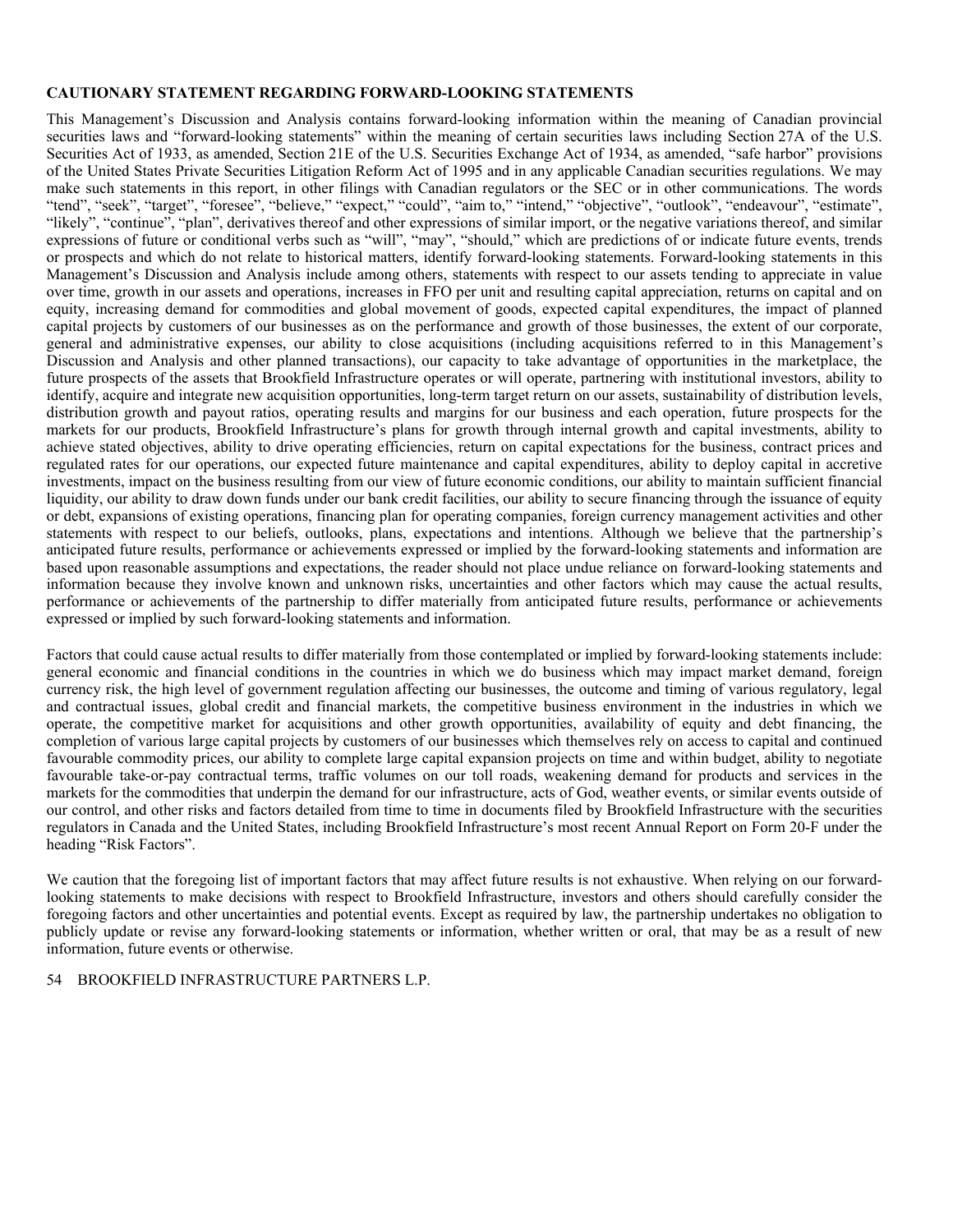### **CAUTIONARY STATEMENT REGARDING FORWARD-LOOKING STATEMENTS**

This Management's Discussion and Analysis contains forward-looking information within the meaning of Canadian provincial securities laws and "forward-looking statements" within the meaning of certain securities laws including Section 27A of the U.S. Securities Act of 1933, as amended, Section 21E of the U.S. Securities Exchange Act of 1934, as amended, "safe harbor" provisions of the United States Private Securities Litigation Reform Act of 1995 and in any applicable Canadian securities regulations. We may make such statements in this report, in other filings with Canadian regulators or the SEC or in other communications. The words "tend", "seek", "target", "foresee", "believe," "expect," "could", "aim to," "intend," "objective", "outlook", "endeavour", "estimate", "likely", "continue", "plan", derivatives thereof and other expressions of similar import, or the negative variations thereof, and similar expressions of future or conditional verbs such as "will", "may", "should," which are predictions of or indicate future events, trends or prospects and which do not relate to historical matters, identify forward-looking statements. Forward-looking statements in this Management's Discussion and Analysis include among others, statements with respect to our assets tending to appreciate in value over time, growth in our assets and operations, increases in FFO per unit and resulting capital appreciation, returns on capital and on equity, increasing demand for commodities and global movement of goods, expected capital expenditures, the impact of planned capital projects by customers of our businesses as on the performance and growth of those businesses, the extent of our corporate, general and administrative expenses, our ability to close acquisitions (including acquisitions referred to in this Management's Discussion and Analysis and other planned transactions), our capacity to take advantage of opportunities in the marketplace, the future prospects of the assets that Brookfield Infrastructure operates or will operate, partnering with institutional investors, ability to identify, acquire and integrate new acquisition opportunities, long-term target return on our assets, sustainability of distribution levels, distribution growth and payout ratios, operating results and margins for our business and each operation, future prospects for the markets for our products, Brookfield Infrastructure's plans for growth through internal growth and capital investments, ability to achieve stated objectives, ability to drive operating efficiencies, return on capital expectations for the business, contract prices and regulated rates for our operations, our expected future maintenance and capital expenditures, ability to deploy capital in accretive investments, impact on the business resulting from our view of future economic conditions, our ability to maintain sufficient financial liquidity, our ability to draw down funds under our bank credit facilities, our ability to secure financing through the issuance of equity or debt, expansions of existing operations, financing plan for operating companies, foreign currency management activities and other statements with respect to our beliefs, outlooks, plans, expectations and intentions. Although we believe that the partnership's anticipated future results, performance or achievements expressed or implied by the forward-looking statements and information are based upon reasonable assumptions and expectations, the reader should not place undue reliance on forward-looking statements and information because they involve known and unknown risks, uncertainties and other factors which may cause the actual results, performance or achievements of the partnership to differ materially from anticipated future results, performance or achievements expressed or implied by such forward-looking statements and information.

Factors that could cause actual results to differ materially from those contemplated or implied by forward-looking statements include: general economic and financial conditions in the countries in which we do business which may impact market demand, foreign currency risk, the high level of government regulation affecting our businesses, the outcome and timing of various regulatory, legal and contractual issues, global credit and financial markets, the competitive business environment in the industries in which we operate, the competitive market for acquisitions and other growth opportunities, availability of equity and debt financing, the completion of various large capital projects by customers of our businesses which themselves rely on access to capital and continued favourable commodity prices, our ability to complete large capital expansion projects on time and within budget, ability to negotiate favourable take-or-pay contractual terms, traffic volumes on our toll roads, weakening demand for products and services in the markets for the commodities that underpin the demand for our infrastructure, acts of God, weather events, or similar events outside of our control, and other risks and factors detailed from time to time in documents filed by Brookfield Infrastructure with the securities regulators in Canada and the United States, including Brookfield Infrastructure's most recent Annual Report on Form 20-F under the heading "Risk Factors".

We caution that the foregoing list of important factors that may affect future results is not exhaustive. When relying on our forwardlooking statements to make decisions with respect to Brookfield Infrastructure, investors and others should carefully consider the foregoing factors and other uncertainties and potential events. Except as required by law, the partnership undertakes no obligation to publicly update or revise any forward-looking statements or information, whether written or oral, that may be as a result of new information, future events or otherwise.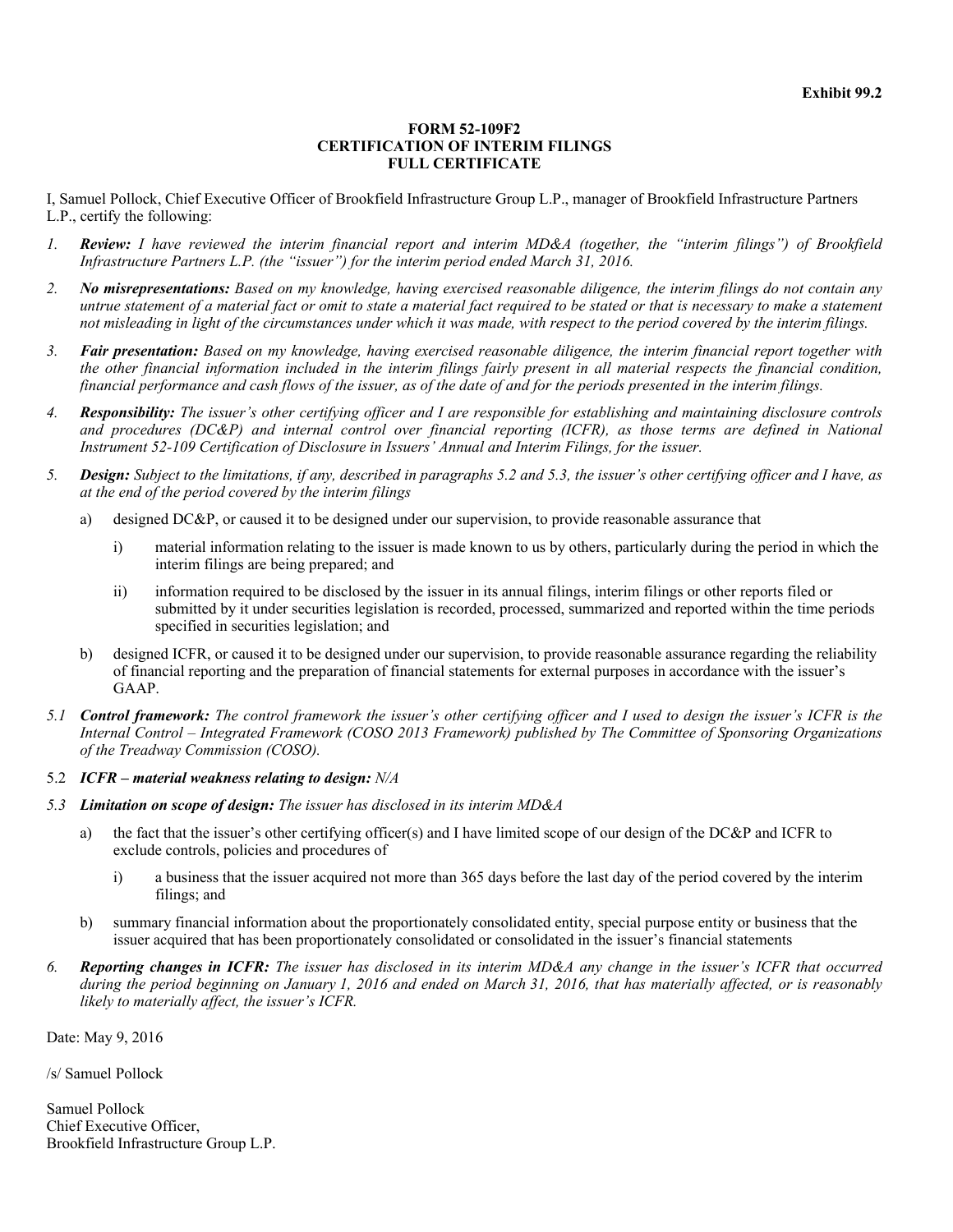### **FORM 52-109F2 CERTIFICATION OF INTERIM FILINGS FULL CERTIFICATE**

I, Samuel Pollock, Chief Executive Officer of Brookfield Infrastructure Group L.P., manager of Brookfield Infrastructure Partners L.P., certify the following:

- *1. Review: I have reviewed the interim financial report and interim MD&A (together, the "interim filings") of Brookfield Infrastructure Partners L.P. (the "issuer") for the interim period ended March 31, 2016.*
- *2. No misrepresentations: Based on my knowledge, having exercised reasonable diligence, the interim filings do not contain any untrue statement of a material fact or omit to state a material fact required to be stated or that is necessary to make a statement not misleading in light of the circumstances under which it was made, with respect to the period covered by the interim filings.*
- *3. Fair presentation: Based on my knowledge, having exercised reasonable diligence, the interim financial report together with the other financial information included in the interim filings fairly present in all material respects the financial condition, financial performance and cash flows of the issuer, as of the date of and for the periods presented in the interim filings.*
- *4. Responsibility: The issuer's other certifying officer and I are responsible for establishing and maintaining disclosure controls and procedures (DC&P) and internal control over financial reporting (ICFR), as those terms are defined in National Instrument 52-109 Certification of Disclosure in Issuers' Annual and Interim Filings, for the issuer.*
- *5. Design: Subject to the limitations, if any, described in paragraphs 5.2 and 5.3, the issuer's other certifying officer and I have, as at the end of the period covered by the interim filings* 
	- a) designed DC&P, or caused it to be designed under our supervision, to provide reasonable assurance that
		- i) material information relating to the issuer is made known to us by others, particularly during the period in which the interim filings are being prepared; and
		- ii) information required to be disclosed by the issuer in its annual filings, interim filings or other reports filed or submitted by it under securities legislation is recorded, processed, summarized and reported within the time periods specified in securities legislation; and
	- b) designed ICFR, or caused it to be designed under our supervision, to provide reasonable assurance regarding the reliability of financial reporting and the preparation of financial statements for external purposes in accordance with the issuer's GAAP.
- *5.1 Control framework: The control framework the issuer's other certifying officer and I used to design the issuer's ICFR is the Internal Control – Integrated Framework (COSO 2013 Framework) published by The Committee of Sponsoring Organizations of the Treadway Commission (COSO).*
- 5.2 *ICFR material weakness relating to design: N/A*
- *5.3 Limitation on scope of design: The issuer has disclosed in its interim MD&A* 
	- a) the fact that the issuer's other certifying officer(s) and I have limited scope of our design of the DC&P and ICFR to exclude controls, policies and procedures of
		- i) a business that the issuer acquired not more than 365 days before the last day of the period covered by the interim filings; and
	- b) summary financial information about the proportionately consolidated entity, special purpose entity or business that the issuer acquired that has been proportionately consolidated or consolidated in the issuer's financial statements
- *6. Reporting changes in ICFR: The issuer has disclosed in its interim MD&A any change in the issuer's ICFR that occurred during the period beginning on January 1, 2016 and ended on March 31, 2016, that has materially affected, or is reasonably likely to materially affect, the issuer's ICFR.*

Date: May 9, 2016

/s/ Samuel Pollock

Samuel Pollock Chief Executive Officer, Brookfield Infrastructure Group L.P.